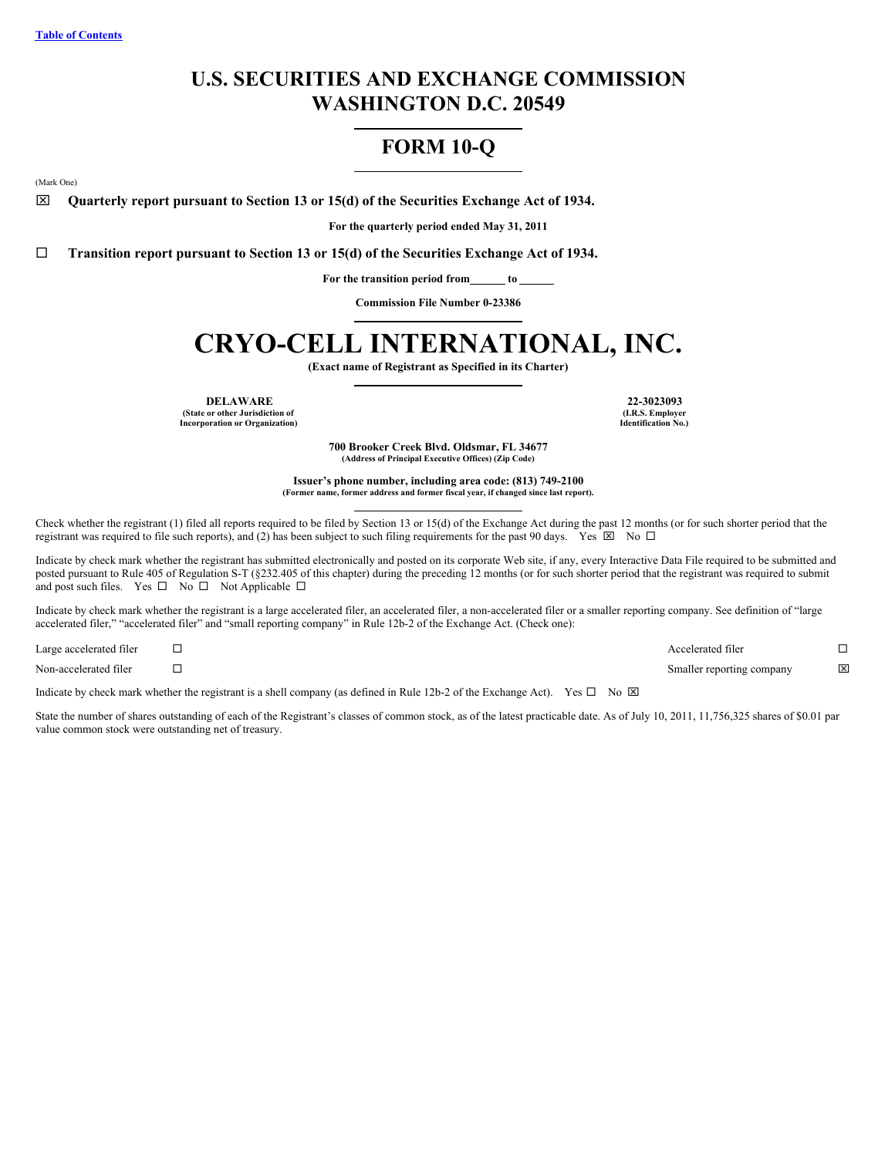# **U.S. SECURITIES AND EXCHANGE COMMISSION WASHINGTON D.C. 20549**

# **FORM 10-Q**

(Mark One)

x **Quarterly report pursuant to Section 13 or 15(d) of the Securities Exchange Act of 1934.**

**For the quarterly period ended May 31, 2011**

¨ **Transition report pursuant to Section 13 or 15(d) of the Securities Exchange Act of 1934.**

**For the transition period from to**

**Commission File Number 0-23386**

# **CRYO-CELL INTERNATIONAL, INC.**

**(Exact name of Registrant as Specified in its Charter)**

**DELAWARE 22-3023093**

**(State or other Jurisdiction of Incorporation or Organization)**

**(I.R.S. Employer Identification No.)**

**700 Brooker Creek Blvd. Oldsmar, FL 34677 (Address of Principal Executive Offices) (Zip Code)**

**Issuer's phone number, including area code: (813) 749-2100 (Former name, former address and former fiscal year, if changed since last report).**

Check whether the registrant (1) filed all reports required to be filed by Section 13 or 15(d) of the Exchange Act during the past 12 months (or for such shorter period that the registrant was required to file such reports), and (2) has been subject to such filing requirements for the past 90 days. Yes  $\boxtimes$  No  $\Box$ 

Indicate by check mark whether the registrant has submitted electronically and posted on its corporate Web site, if any, every Interactive Data File required to be submitted and posted pursuant to Rule 405 of Regulation S-T (§232.405 of this chapter) during the preceding 12 months (or for such shorter period that the registrant was required to submit and post such files. Yes  $\square$  No  $\square$  Not Applicable  $\square$ 

Indicate by check mark whether the registrant is a large accelerated filer, an accelerated filer, a non-accelerated filer or a smaller reporting company. See definition of "large accelerated filer," "accelerated filer" and "small reporting company" in Rule 12b-2 of the Exchange Act. (Check one):

| Large accelerated filer | Accelerated filer         |   |
|-------------------------|---------------------------|---|
| Non-accelerated filer   | Smaller reporting company | ⊠ |

Indicate by check mark whether the registrant is a shell company (as defined in Rule 12b-2 of the Exchange Act). Yes  $\Box$  No  $\boxtimes$ 

State the number of shares outstanding of each of the Registrant's classes of common stock, as of the latest practicable date. As of July 10, 2011, 11,756,325 shares of \$0.01 par value common stock were outstanding net of treasury.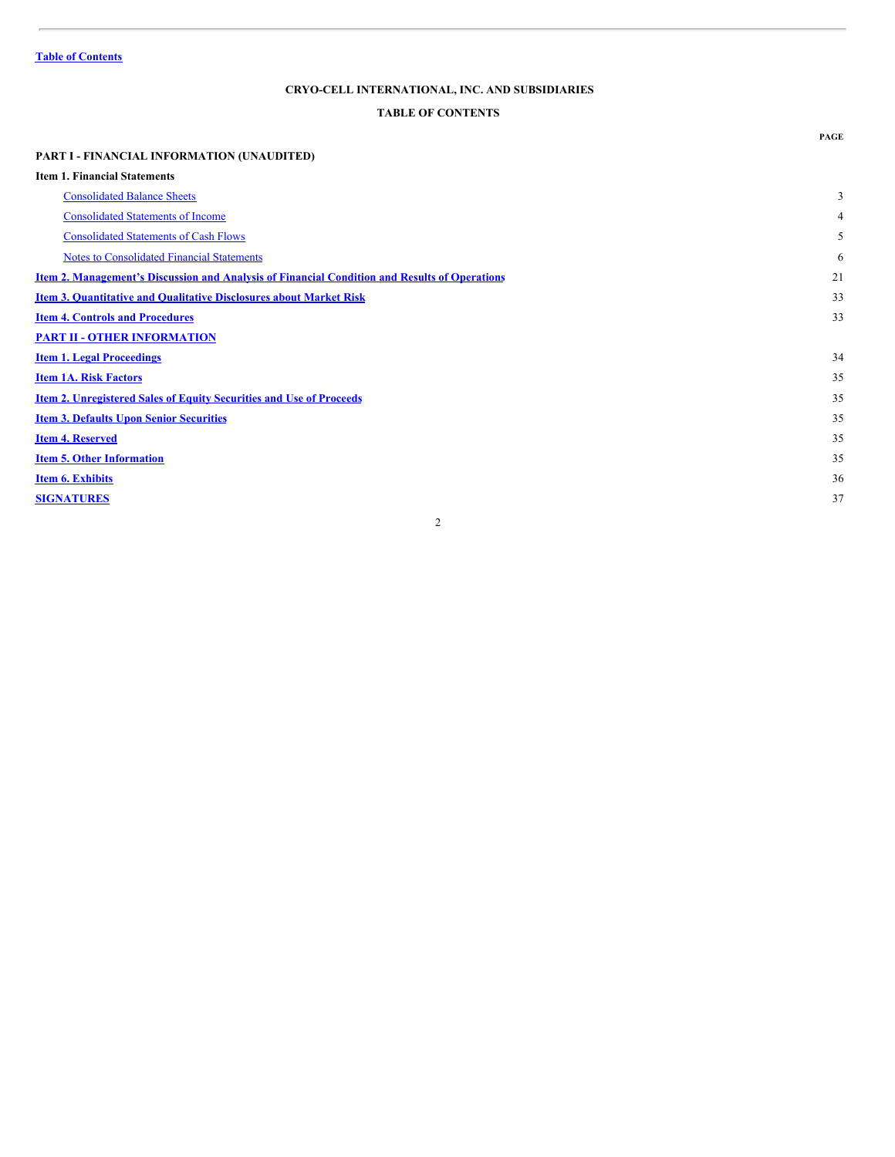# <span id="page-1-0"></span>**TABLE OF CONTENTS**

|                                                                                                      | PAGE |
|------------------------------------------------------------------------------------------------------|------|
| <b>PART I - FINANCIAL INFORMATION (UNAUDITED)</b>                                                    |      |
| <b>Item 1. Financial Statements</b>                                                                  |      |
| <b>Consolidated Balance Sheets</b>                                                                   | 3    |
| <b>Consolidated Statements of Income</b>                                                             | 4    |
| <b>Consolidated Statements of Cash Flows</b>                                                         | 5    |
| <b>Notes to Consolidated Financial Statements</b>                                                    | 6    |
| <u>Item 2. Management's Discussion and Analysis of Financial Condition and Results of Operations</u> | 21   |
| <b>Item 3. Quantitative and Qualitative Disclosures about Market Risk</b>                            | 33   |
| <b>Item 4. Controls and Procedures</b>                                                               | 33   |
| <b>PART II - OTHER INFORMATION</b>                                                                   |      |
| <b>Item 1. Legal Proceedings</b>                                                                     | 34   |
| <b>Item 1A. Risk Factors</b>                                                                         | 35   |
| <b>Item 2. Unregistered Sales of Equity Securities and Use of Proceeds</b>                           | 35   |
| <b>Item 3. Defaults Upon Senior Securities</b>                                                       | 35   |
| <b>Item 4. Reserved</b>                                                                              | 35   |
| <b>Item 5. Other Information</b>                                                                     | 35   |
| <b>Item 6. Exhibits</b>                                                                              | 36   |
| <b>SIGNATURES</b>                                                                                    | 37   |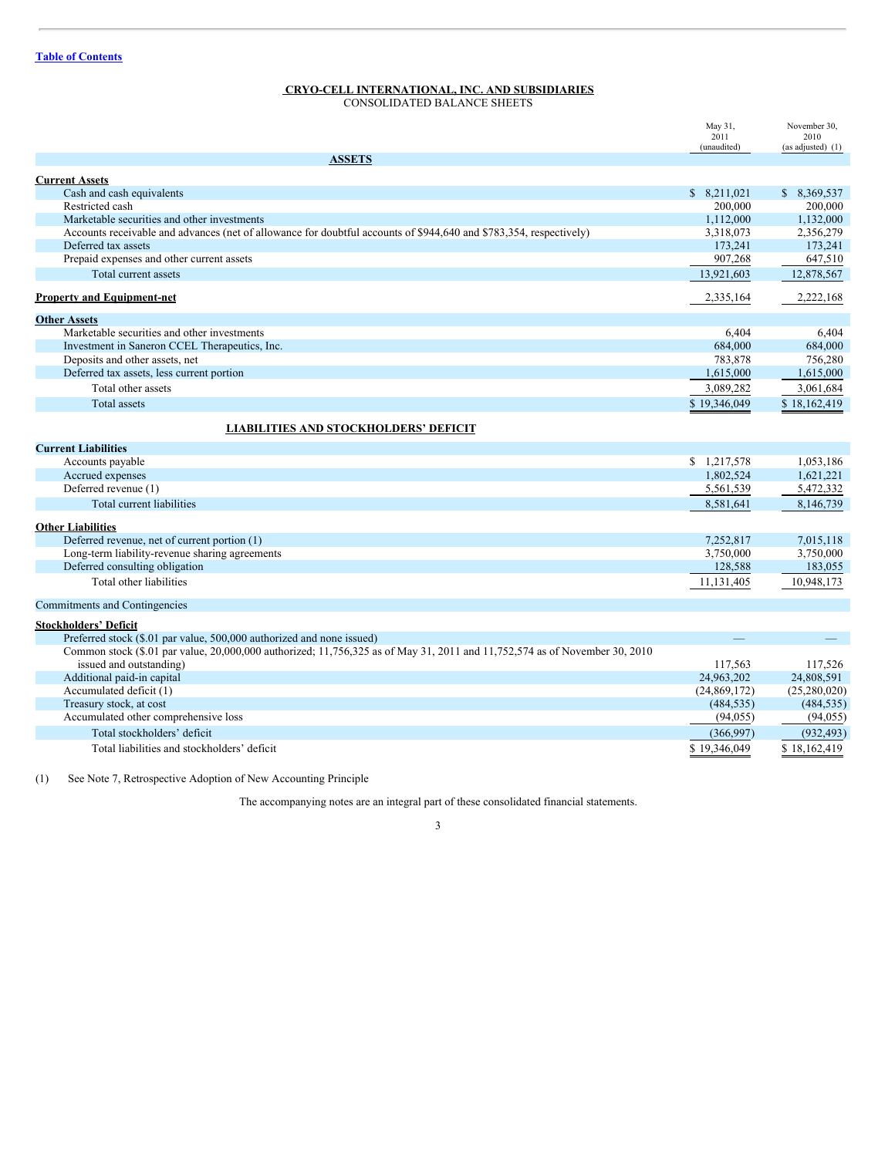<span id="page-2-0"></span>CONSOLIDATED BALANCE SHEETS

|                                                                                                                            | May 31,<br>2011 | November 30,<br>2010 |
|----------------------------------------------------------------------------------------------------------------------------|-----------------|----------------------|
|                                                                                                                            | (unaudited)     | (as adjusted) (1)    |
| <b>ASSETS</b>                                                                                                              |                 |                      |
| <b>Current Assets</b>                                                                                                      |                 |                      |
| Cash and cash equivalents                                                                                                  | \$8,211,021     | \$8,369,537          |
| Restricted cash                                                                                                            | 200,000         | 200,000              |
| Marketable securities and other investments                                                                                | 1,112,000       | 1,132,000            |
| Accounts receivable and advances (net of allowance for doubtful accounts of \$944,640 and \$783,354, respectively)         | 3,318,073       | 2,356,279            |
| Deferred tax assets                                                                                                        | 173,241         | 173,241              |
| Prepaid expenses and other current assets                                                                                  | 907,268         | 647,510              |
| Total current assets                                                                                                       | 13,921,603      | 12,878,567           |
|                                                                                                                            |                 |                      |
| <b>Property and Equipment-net</b>                                                                                          | 2,335,164       | 2,222,168            |
| <b>Other Assets</b>                                                                                                        |                 |                      |
| Marketable securities and other investments                                                                                | 6,404           | 6,404                |
| Investment in Saneron CCEL Therapeutics, Inc.                                                                              | 684,000         | 684,000              |
| Deposits and other assets, net                                                                                             | 783,878         | 756,280              |
| Deferred tax assets, less current portion                                                                                  | 1,615,000       | 1,615,000            |
| Total other assets                                                                                                         | 3,089,282       | 3,061,684            |
| <b>Total assets</b>                                                                                                        | \$19,346,049    | \$18,162,419         |
| <b>LIABILITIES AND STOCKHOLDERS' DEFICIT</b>                                                                               |                 |                      |
| <b>Current Liabilities</b>                                                                                                 |                 |                      |
| Accounts payable                                                                                                           | \$1,217,578     | 1.053.186            |
| Accrued expenses                                                                                                           | 1,802,524       | 1,621,221            |
| Deferred revenue (1)                                                                                                       | 5,561,539       | 5,472,332            |
| Total current liabilities                                                                                                  | 8.581.641       | 8,146,739            |
| <b>Other Liabilities</b>                                                                                                   |                 |                      |
| Deferred revenue, net of current portion (1)                                                                               | 7,252,817       | 7,015,118            |
| Long-term liability-revenue sharing agreements                                                                             | 3,750,000       | 3,750,000            |
| Deferred consulting obligation                                                                                             | 128,588         | 183,055              |
| Total other liabilities                                                                                                    | 11,131,405      | 10,948,173           |
| Commitments and Contingencies                                                                                              |                 |                      |
| <b>Stockholders' Deficit</b>                                                                                               |                 |                      |
| Preferred stock (\$.01 par value, 500,000 authorized and none issued)                                                      |                 |                      |
| Common stock (\$.01 par value, 20,000,000 authorized; 11,756,325 as of May 31, 2011 and 11,752,574 as of November 30, 2010 |                 |                      |
| issued and outstanding)                                                                                                    | 117,563         | 117,526              |
| Additional paid-in capital                                                                                                 | 24,963,202      | 24,808,591           |
| Accumulated deficit (1)                                                                                                    | (24, 869, 172)  | (25, 280, 020)       |
| Treasury stock, at cost                                                                                                    | (484, 535)      | (484, 535)           |
| Accumulated other comprehensive loss                                                                                       | (94, 055)       | (94, 055)            |
| Total stockholders' deficit                                                                                                | (366,997)       | (932, 493)           |
| Total liabilities and stockholders' deficit                                                                                | \$19,346,049    | \$18,162,419         |

(1) See Note 7, Retrospective Adoption of New Accounting Principle

The accompanying notes are an integral part of these consolidated financial statements.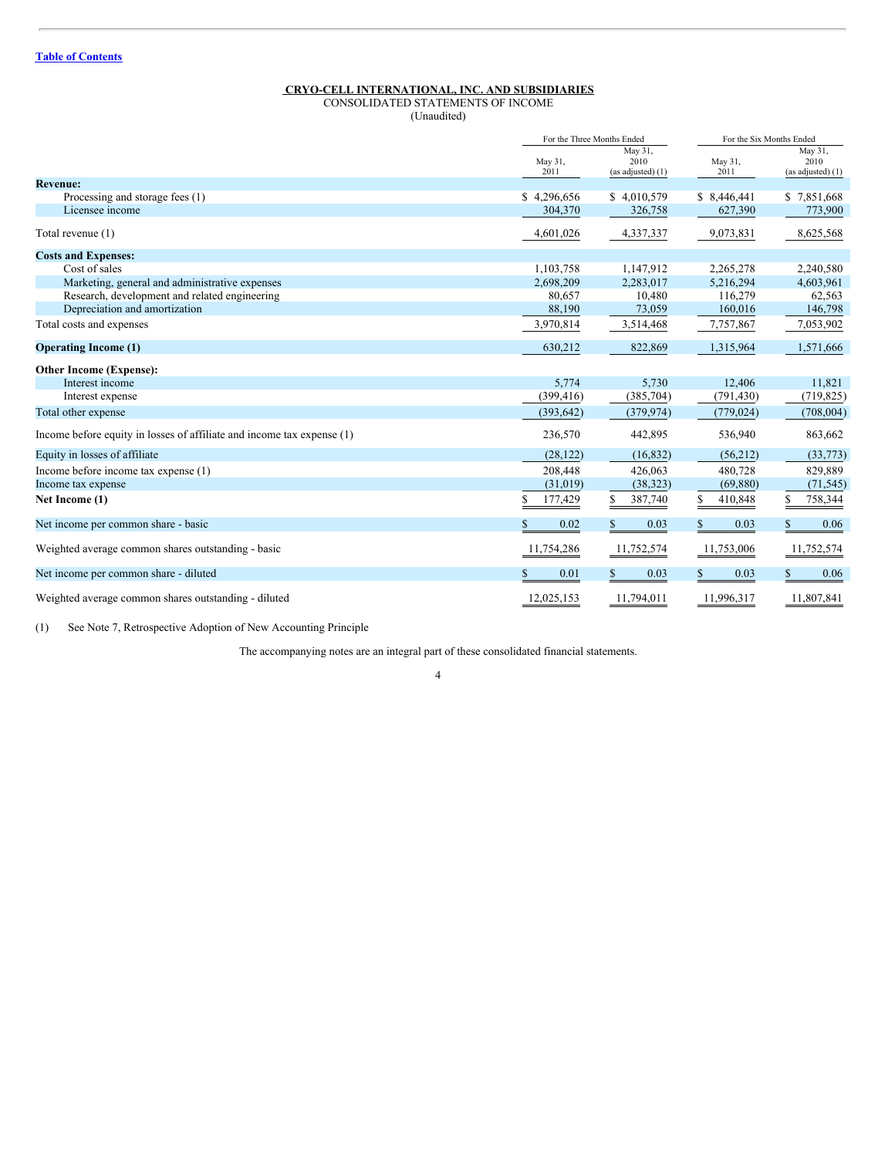<span id="page-3-0"></span>CONSOLIDATED STATEMENTS OF INCOME (Unaudited)

|                                                                        |                 | For the Three Months Ended           |                 | For the Six Months Ended             |
|------------------------------------------------------------------------|-----------------|--------------------------------------|-----------------|--------------------------------------|
|                                                                        | May 31,<br>2011 | May 31,<br>2010<br>(as adjusted) (1) | May 31,<br>2011 | May 31,<br>2010<br>(as adjusted) (1) |
| <b>Revenue:</b>                                                        |                 |                                      |                 |                                      |
| Processing and storage fees (1)                                        | \$4,296,656     | \$4,010,579                          | \$8,446,441     | \$7,851,668                          |
| Licensee income                                                        | 304,370         | 326,758                              | 627,390         | 773,900                              |
| Total revenue (1)                                                      | 4,601,026       | 4,337,337                            | 9,073,831       | 8,625,568                            |
| <b>Costs and Expenses:</b>                                             |                 |                                      |                 |                                      |
| Cost of sales                                                          | 1,103,758       | 1,147,912                            | 2,265,278       | 2,240,580                            |
| Marketing, general and administrative expenses                         | 2,698,209       | 2,283,017                            | 5,216,294       | 4,603,961                            |
| Research, development and related engineering                          | 80,657          | 10.480                               | 116,279         | 62,563                               |
| Depreciation and amortization                                          | 88,190          | 73,059                               | 160,016         | 146,798                              |
| Total costs and expenses                                               | 3,970,814       | 3,514,468                            | 7,757,867       | 7,053,902                            |
| <b>Operating Income (1)</b>                                            | 630,212         | 822,869                              | 1,315,964       | 1,571,666                            |
| Other Income (Expense):                                                |                 |                                      |                 |                                      |
| Interest income                                                        | 5,774           | 5,730                                | 12,406          | 11,821                               |
| Interest expense                                                       | (399, 416)      | (385,704)                            | (791, 430)      | (719, 825)                           |
| Total other expense                                                    | (393, 642)      | (379, 974)                           | (779, 024)      | (708,004)                            |
| Income before equity in losses of affiliate and income tax expense (1) | 236,570         | 442,895                              | 536,940         | 863,662                              |
| Equity in losses of affiliate                                          | (28, 122)       | (16, 832)                            | (56,212)        | (33,773)                             |
| Income before income tax expense (1)                                   | 208,448         | 426,063                              | 480,728         | 829,889                              |
| Income tax expense                                                     | (31,019)        | (38, 323)                            | (69, 880)       | (71, 545)                            |
| Net Income (1)                                                         | S<br>177,429    | 387,740                              | 410,848         | 758,344                              |
| Net income per common share - basic                                    | 0.02<br>\$      | 0.03<br>\$                           | 0.03<br>\$      | 0.06                                 |
| Weighted average common shares outstanding - basic                     | 11,754,286      | 11,752,574                           | 11,753,006      | 11,752,574                           |
| Net income per common share - diluted                                  | 0.01            | 0.03                                 | 0.03            | 0.06                                 |
| Weighted average common shares outstanding - diluted                   | 12,025,153      | 11,794,011                           | 11,996,317      | 11,807,841                           |

(1) See Note 7, Retrospective Adoption of New Accounting Principle

The accompanying notes are an integral part of these consolidated financial statements.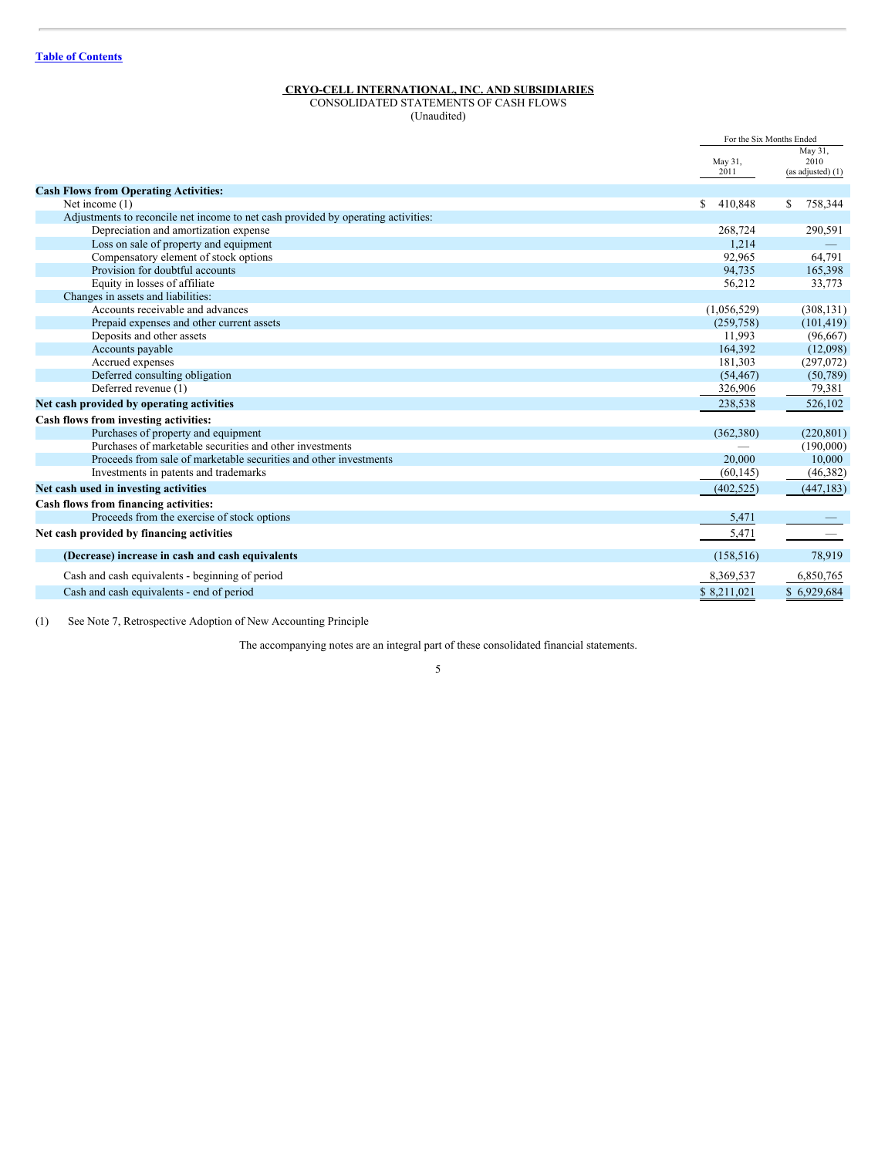<span id="page-4-0"></span>CONSOLIDATED STATEMENTS OF CASH FLOWS (Unaudited)

|                                                                                   |                 | For the Six Months Ended             |
|-----------------------------------------------------------------------------------|-----------------|--------------------------------------|
|                                                                                   | May 31,<br>2011 | May 31,<br>2010<br>(as adjusted) (1) |
| <b>Cash Flows from Operating Activities:</b>                                      |                 |                                      |
| Net income $(1)$                                                                  | S.<br>410,848   | \$<br>758,344                        |
| Adjustments to reconcile net income to net cash provided by operating activities: |                 |                                      |
| Depreciation and amortization expense                                             | 268,724         | 290,591                              |
| Loss on sale of property and equipment                                            | 1,214           |                                      |
| Compensatory element of stock options                                             | 92,965          | 64,791                               |
| Provision for doubtful accounts                                                   | 94,735          | 165,398                              |
| Equity in losses of affiliate                                                     | 56,212          | 33,773                               |
| Changes in assets and liabilities:                                                |                 |                                      |
| Accounts receivable and advances                                                  | (1,056,529)     | (308, 131)                           |
| Prepaid expenses and other current assets                                         | (259, 758)      | (101, 419)                           |
| Deposits and other assets                                                         | 11,993          | (96,667)                             |
| Accounts payable                                                                  | 164,392         | (12,098)                             |
| Accrued expenses                                                                  | 181,303         | (297,072)                            |
| Deferred consulting obligation                                                    | (54, 467)       | (50, 789)                            |
| Deferred revenue (1)                                                              | 326,906         | 79,381                               |
| Net cash provided by operating activities                                         | 238,538         | 526,102                              |
| Cash flows from investing activities:                                             |                 |                                      |
| Purchases of property and equipment                                               | (362, 380)      | (220, 801)                           |
| Purchases of marketable securities and other investments                          |                 | (190,000)                            |
| Proceeds from sale of marketable securities and other investments                 | 20,000          | 10,000                               |
| Investments in patents and trademarks                                             | (60, 145)       | (46, 382)                            |
| Net cash used in investing activities                                             | (402, 525)      | (447, 183)                           |
| Cash flows from financing activities:                                             |                 |                                      |
| Proceeds from the exercise of stock options                                       | 5,471           |                                      |
| Net cash provided by financing activities                                         | 5,471           |                                      |
| (Decrease) increase in cash and cash equivalents                                  | (158, 516)      | 78,919                               |
| Cash and cash equivalents - beginning of period                                   | 8,369,537       | 6,850,765                            |
| Cash and cash equivalents - end of period                                         | \$8.211.021     | \$6.929.684                          |

(1) See Note 7, Retrospective Adoption of New Accounting Principle

The accompanying notes are an integral part of these consolidated financial statements.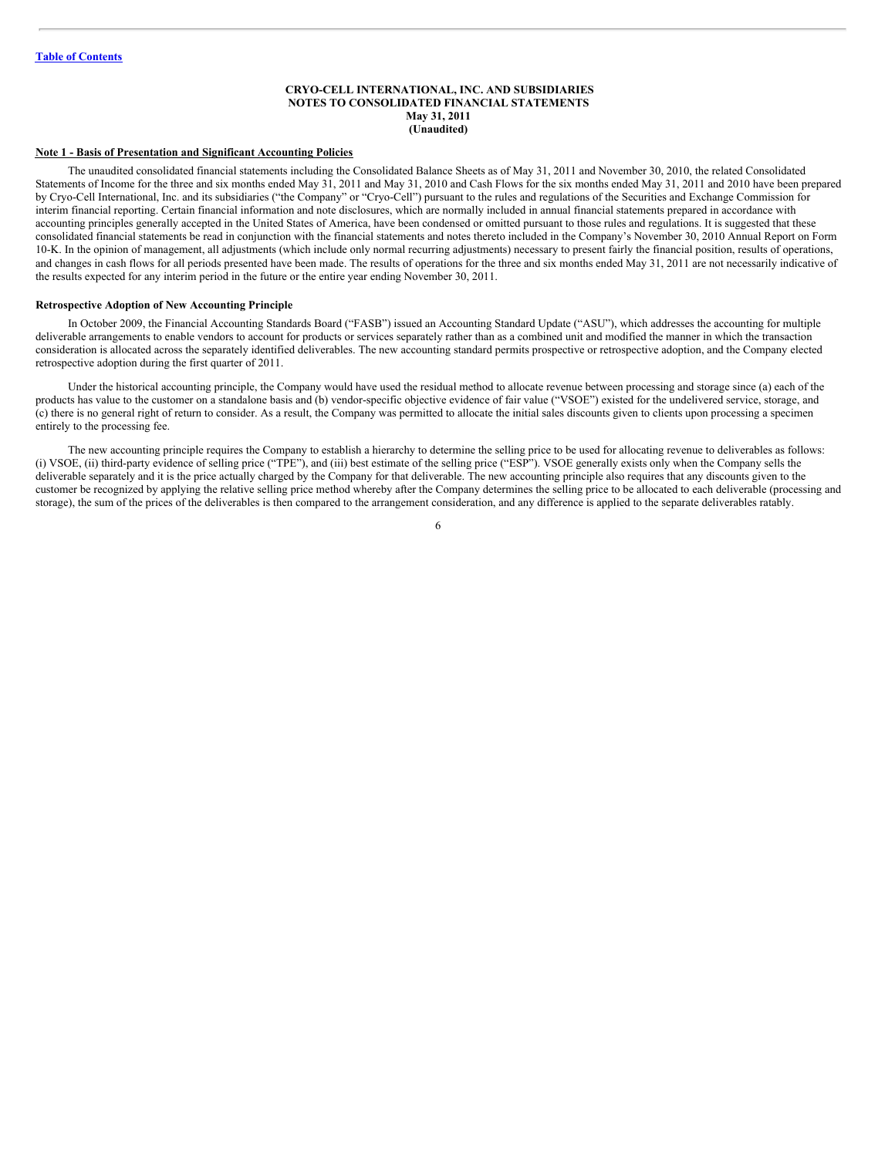## <span id="page-5-0"></span>**CRYO-CELL INTERNATIONAL, INC. AND SUBSIDIARIES NOTES TO CONSOLIDATED FINANCIAL STATEMENTS May 31, 2011 (Unaudited)**

#### **Note 1 - Basis of Presentation and Significant Accounting Policies**

The unaudited consolidated financial statements including the Consolidated Balance Sheets as of May 31, 2011 and November 30, 2010, the related Consolidated Statements of Income for the three and six months ended May 31, 2011 and May 31, 2010 and Cash Flows for the six months ended May 31, 2011 and 2010 have been prepared by Cryo-Cell International, Inc. and its subsidiaries ("the Company" or "Cryo-Cell") pursuant to the rules and regulations of the Securities and Exchange Commission for interim financial reporting. Certain financial information and note disclosures, which are normally included in annual financial statements prepared in accordance with accounting principles generally accepted in the United States of America, have been condensed or omitted pursuant to those rules and regulations. It is suggested that these consolidated financial statements be read in conjunction with the financial statements and notes thereto included in the Company's November 30, 2010 Annual Report on Form 10-K. In the opinion of management, all adjustments (which include only normal recurring adjustments) necessary to present fairly the financial position, results of operations, and changes in cash flows for all periods presented have been made. The results of operations for the three and six months ended May 31, 2011 are not necessarily indicative of the results expected for any interim period in the future or the entire year ending November 30, 2011.

#### **Retrospective Adoption of New Accounting Principle**

In October 2009, the Financial Accounting Standards Board ("FASB") issued an Accounting Standard Update ("ASU"), which addresses the accounting for multiple deliverable arrangements to enable vendors to account for products or services separately rather than as a combined unit and modified the manner in which the transaction consideration is allocated across the separately identified deliverables. The new accounting standard permits prospective or retrospective adoption, and the Company elected retrospective adoption during the first quarter of 2011.

Under the historical accounting principle, the Company would have used the residual method to allocate revenue between processing and storage since (a) each of the products has value to the customer on a standalone basis and (b) vendor-specific objective evidence of fair value ("VSOE") existed for the undelivered service, storage, and (c) there is no general right of return to consider. As a result, the Company was permitted to allocate the initial sales discounts given to clients upon processing a specimen entirely to the processing fee.

The new accounting principle requires the Company to establish a hierarchy to determine the selling price to be used for allocating revenue to deliverables as follows: (i) VSOE, (ii) third-party evidence of selling price ("TPE"), and (iii) best estimate of the selling price ("ESP"). VSOE generally exists only when the Company sells the deliverable separately and it is the price actually charged by the Company for that deliverable. The new accounting principle also requires that any discounts given to the customer be recognized by applying the relative selling price method whereby after the Company determines the selling price to be allocated to each deliverable (processing and storage), the sum of the prices of the deliverables is then compared to the arrangement consideration, and any difference is applied to the separate deliverables ratably.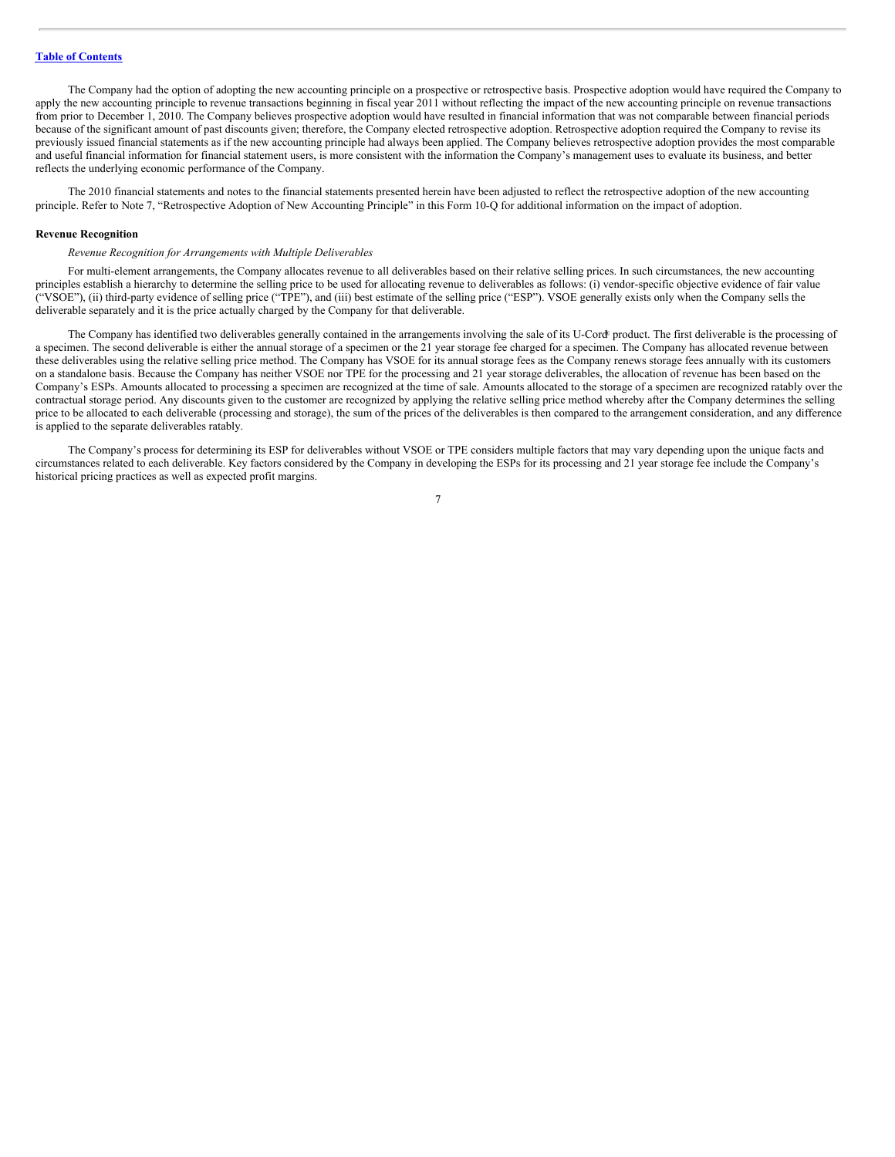The Company had the option of adopting the new accounting principle on a prospective or retrospective basis. Prospective adoption would have required the Company to apply the new accounting principle to revenue transactions beginning in fiscal year 2011 without reflecting the impact of the new accounting principle on revenue transactions from prior to December 1, 2010. The Company believes prospective adoption would have resulted in financial information that was not comparable between financial periods because of the significant amount of past discounts given; therefore, the Company elected retrospective adoption. Retrospective adoption required the Company to revise its previously issued financial statements as if the new accounting principle had always been applied. The Company believes retrospective adoption provides the most comparable and useful financial information for financial statement users, is more consistent with the information the Company's management uses to evaluate its business, and better reflects the underlying economic performance of the Company.

The 2010 financial statements and notes to the financial statements presented herein have been adjusted to reflect the retrospective adoption of the new accounting principle. Refer to Note 7, "Retrospective Adoption of New Accounting Principle" in this Form 10-Q for additional information on the impact of adoption.

#### **Revenue Recognition**

#### *Revenue Recognition for Arrangements with Multiple Deliverables*

For multi-element arrangements, the Company allocates revenue to all deliverables based on their relative selling prices. In such circumstances, the new accounting principles establish a hierarchy to determine the selling price to be used for allocating revenue to deliverables as follows: (i) vendor-specific objective evidence of fair value ("VSOE"), (ii) third-party evidence of selling price ("TPE"), and (iii) best estimate of the selling price ("ESP"). VSOE generally exists only when the Company sells the deliverable separately and it is the price actually charged by the Company for that deliverable.

The Company has identified two deliverables generally contained in the arrangements involving the sale of its U-Cord product. The first deliverable is the processing of a specimen. The second deliverable is either the annual storage of a specimen or the 21 year storage fee charged for a specimen. The Company has allocated revenue between these deliverables using the relative selling price method. The Company has VSOE for its annual storage fees as the Company renews storage fees annually with its customers on a standalone basis. Because the Company has neither VSOE nor TPE for the processing and 21 year storage deliverables, the allocation of revenue has been based on the Company's ESPs. Amounts allocated to processing a specimen are recognized at the time of sale. Amounts allocated to the storage of a specimen are recognized ratably over the contractual storage period. Any discounts given to the customer are recognized by applying the relative selling price method whereby after the Company determines the selling price to be allocated to each deliverable (processing and storage), the sum of the prices of the deliverables is then compared to the arrangement consideration, and any difference is applied to the separate deliverables ratably.

The Company's process for determining its ESP for deliverables without VSOE or TPE considers multiple factors that may vary depending upon the unique facts and circumstances related to each deliverable. Key factors considered by the Company in developing the ESPs for its processing and 21 year storage fee include the Company's historical pricing practices as well as expected profit margins.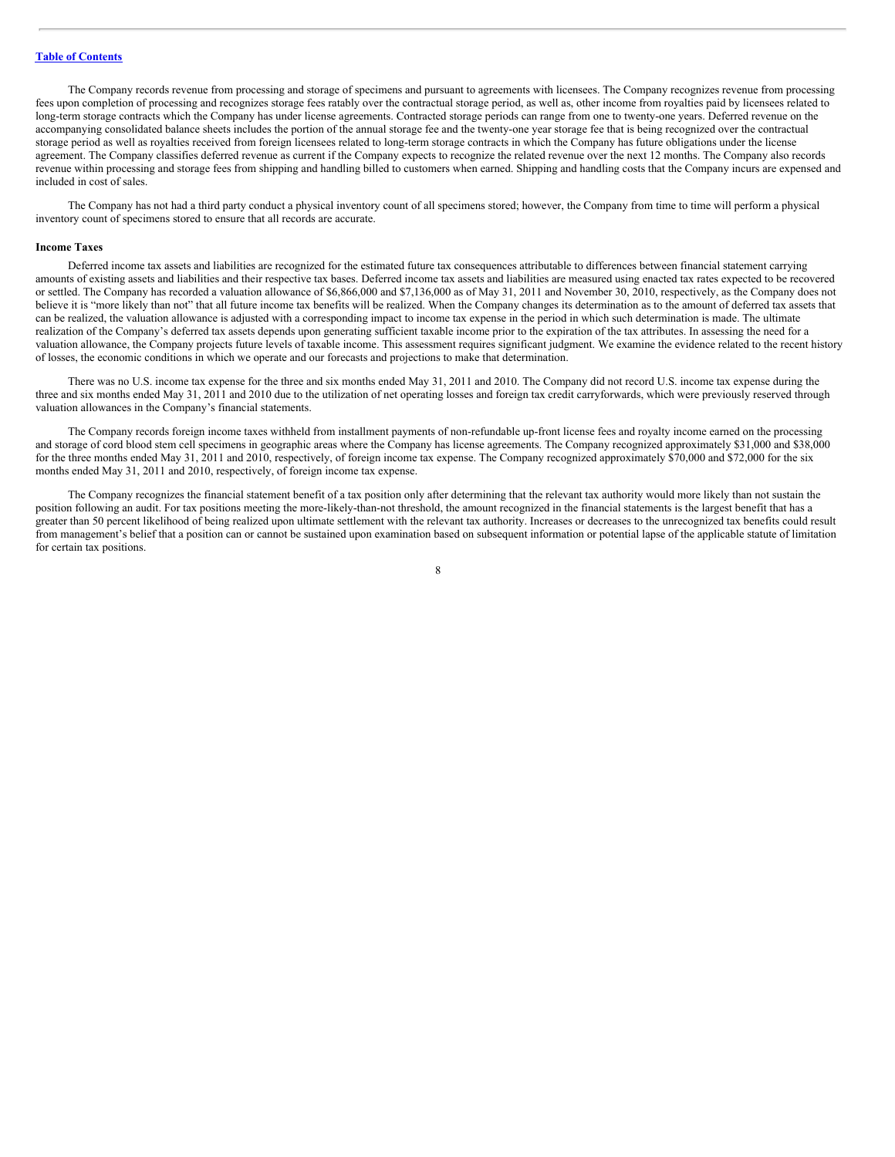The Company records revenue from processing and storage of specimens and pursuant to agreements with licensees. The Company recognizes revenue from processing fees upon completion of processing and recognizes storage fees ratably over the contractual storage period, as well as, other income from royalties paid by licensees related to long-term storage contracts which the Company has under license agreements. Contracted storage periods can range from one to twenty-one years. Deferred revenue on the accompanying consolidated balance sheets includes the portion of the annual storage fee and the twenty-one year storage fee that is being recognized over the contractual storage period as well as royalties received from foreign licensees related to long-term storage contracts in which the Company has future obligations under the license agreement. The Company classifies deferred revenue as current if the Company expects to recognize the related revenue over the next 12 months. The Company also records revenue within processing and storage fees from shipping and handling billed to customers when earned. Shipping and handling costs that the Company incurs are expensed and included in cost of sales.

The Company has not had a third party conduct a physical inventory count of all specimens stored; however, the Company from time to time will perform a physical inventory count of specimens stored to ensure that all records are accurate.

#### **Income Taxes**

Deferred income tax assets and liabilities are recognized for the estimated future tax consequences attributable to differences between financial statement carrying amounts of existing assets and liabilities and their respective tax bases. Deferred income tax assets and liabilities are measured using enacted tax rates expected to be recovered or settled. The Company has recorded a valuation allowance of \$6,866,000 and \$7,136,000 as of May 31, 2011 and November 30, 2010, respectively, as the Company does not believe it is "more likely than not" that all future income tax benefits will be realized. When the Company changes its determination as to the amount of deferred tax assets that can be realized, the valuation allowance is adjusted with a corresponding impact to income tax expense in the period in which such determination is made. The ultimate realization of the Company's deferred tax assets depends upon generating sufficient taxable income prior to the expiration of the tax attributes. In assessing the need for a valuation allowance, the Company projects future levels of taxable income. This assessment requires significant judgment. We examine the evidence related to the recent history of losses, the economic conditions in which we operate and our forecasts and projections to make that determination.

There was no U.S. income tax expense for the three and six months ended May 31, 2011 and 2010. The Company did not record U.S. income tax expense during the three and six months ended May 31, 2011 and 2010 due to the utilization of net operating losses and foreign tax credit carryforwards, which were previously reserved through valuation allowances in the Company's financial statements.

The Company records foreign income taxes withheld from installment payments of non-refundable up-front license fees and royalty income earned on the processing and storage of cord blood stem cell specimens in geographic areas where the Company has license agreements. The Company recognized approximately \$31,000 and \$38,000 for the three months ended May 31, 2011 and 2010, respectively, of foreign income tax expense. The Company recognized approximately \$70,000 and \$72,000 for the six months ended May 31, 2011 and 2010, respectively, of foreign income tax expense.

The Company recognizes the financial statement benefit of a tax position only after determining that the relevant tax authority would more likely than not sustain the position following an audit. For tax positions meeting the more-likely-than-not threshold, the amount recognized in the financial statements is the largest benefit that has a greater than 50 percent likelihood of being realized upon ultimate settlement with the relevant tax authority. Increases or decreases to the unrecognized tax benefits could result from management's belief that a position can or cannot be sustained upon examination based on subsequent information or potential lapse of the applicable statute of limitation for certain tax positions.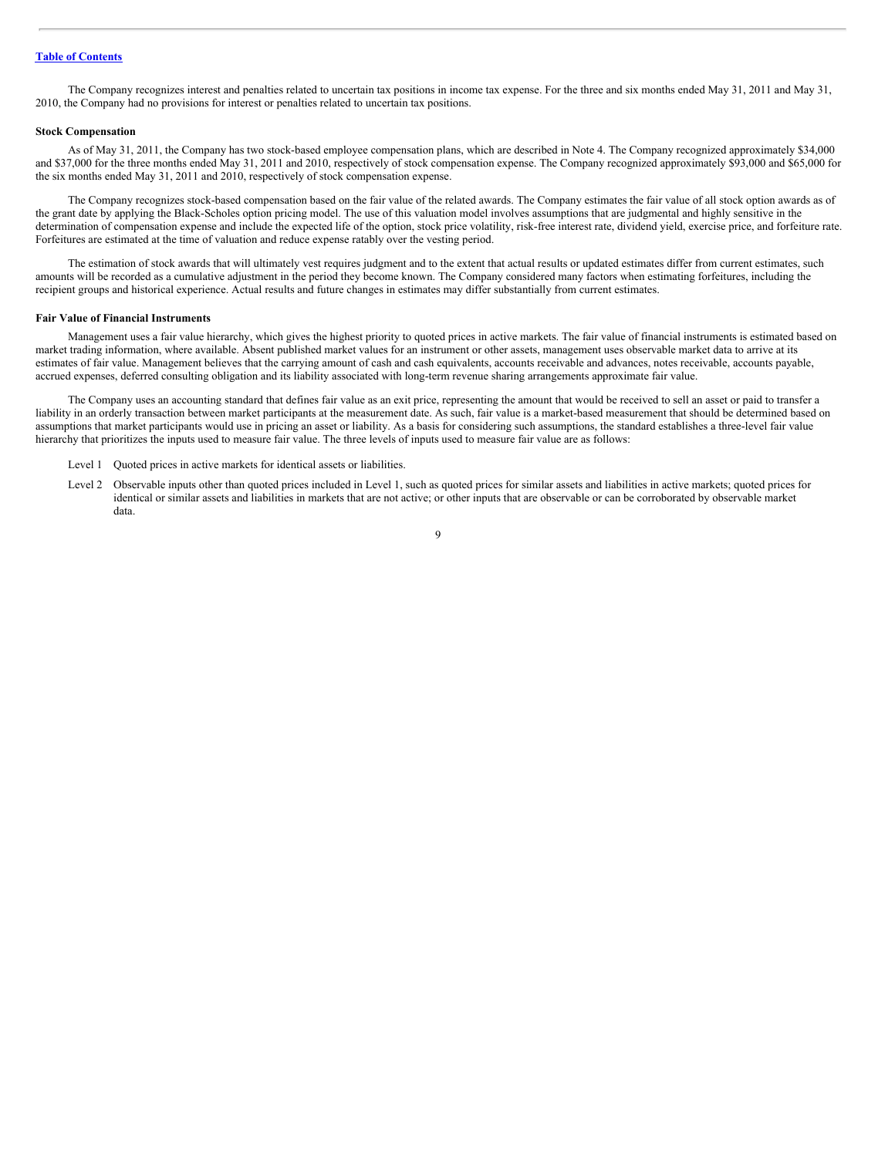The Company recognizes interest and penalties related to uncertain tax positions in income tax expense. For the three and six months ended May 31, 2011 and May 31, 2010, the Company had no provisions for interest or penalties related to uncertain tax positions.

#### **Stock Compensation**

As of May 31, 2011, the Company has two stock-based employee compensation plans, which are described in Note 4. The Company recognized approximately \$34,000 and \$37,000 for the three months ended May 31, 2011 and 2010, respectively of stock compensation expense. The Company recognized approximately \$93,000 and \$65,000 for the six months ended May 31, 2011 and 2010, respectively of stock compensation expense.

The Company recognizes stock-based compensation based on the fair value of the related awards. The Company estimates the fair value of all stock option awards as of the grant date by applying the Black-Scholes option pricing model. The use of this valuation model involves assumptions that are judgmental and highly sensitive in the determination of compensation expense and include the expected life of the option, stock price volatility, risk-free interest rate, dividend yield, exercise price, and forfeiture rate. Forfeitures are estimated at the time of valuation and reduce expense ratably over the vesting period.

The estimation of stock awards that will ultimately vest requires judgment and to the extent that actual results or updated estimates differ from current estimates, such amounts will be recorded as a cumulative adjustment in the period they become known. The Company considered many factors when estimating forfeitures, including the recipient groups and historical experience. Actual results and future changes in estimates may differ substantially from current estimates.

#### **Fair Value of Financial Instruments**

Management uses a fair value hierarchy, which gives the highest priority to quoted prices in active markets. The fair value of financial instruments is estimated based on market trading information, where available. Absent published market values for an instrument or other assets, management uses observable market data to arrive at its estimates of fair value. Management believes that the carrying amount of cash and cash equivalents, accounts receivable and advances, notes receivable, accounts payable, accrued expenses, deferred consulting obligation and its liability associated with long-term revenue sharing arrangements approximate fair value.

The Company uses an accounting standard that defines fair value as an exit price, representing the amount that would be received to sell an asset or paid to transfer a liability in an orderly transaction between market participants at the measurement date. As such, fair value is a market-based measurement that should be determined based on assumptions that market participants would use in pricing an asset or liability. As a basis for considering such assumptions, the standard establishes a three-level fair value hierarchy that prioritizes the inputs used to measure fair value. The three levels of inputs used to measure fair value are as follows:

- Level 1 Quoted prices in active markets for identical assets or liabilities.
- Level 2 Observable inputs other than quoted prices included in Level 1, such as quoted prices for similar assets and liabilities in active markets; quoted prices for identical or similar assets and liabilities in markets that are not active; or other inputs that are observable or can be corroborated by observable market data.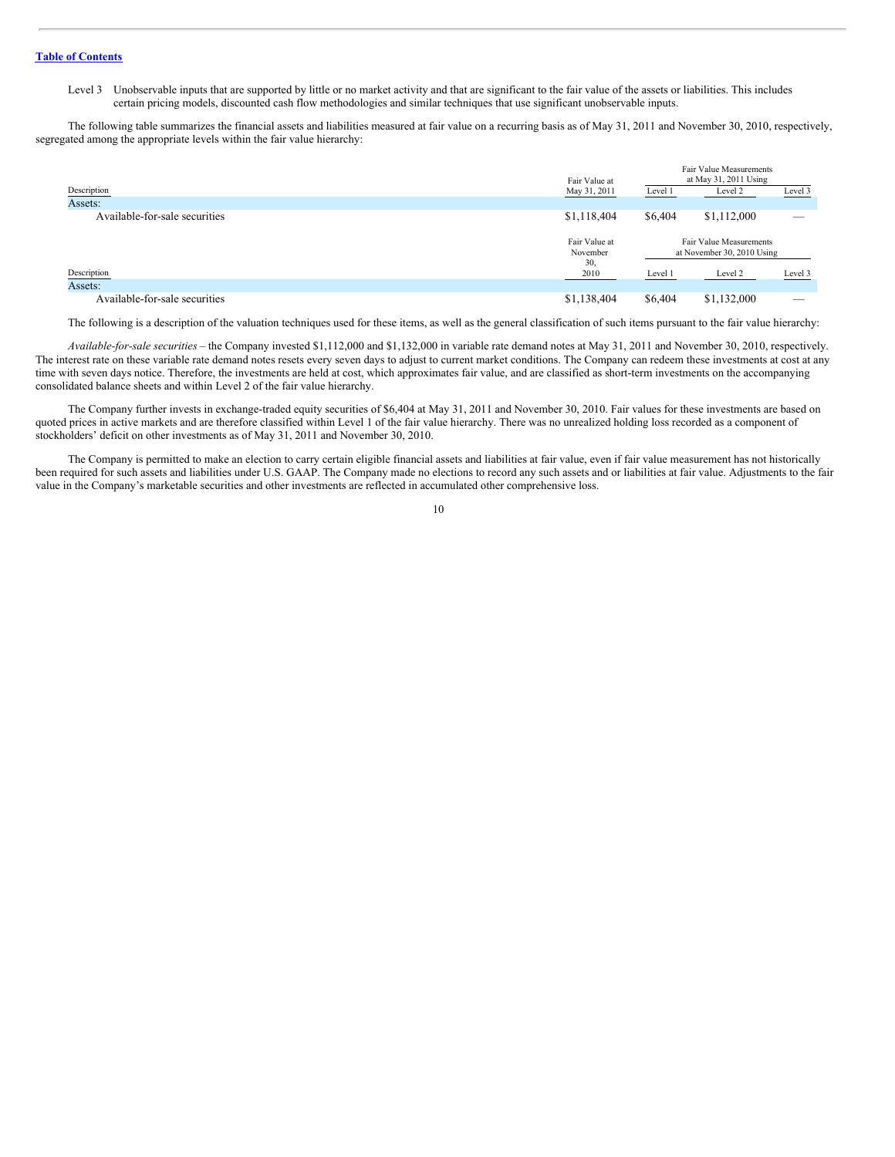Level 3 Unobservable inputs that are supported by little or no market activity and that are significant to the fair value of the assets or liabilities. This includes certain pricing models, discounted cash flow methodologies and similar techniques that use significant unobservable inputs.

The following table summarizes the financial assets and liabilities measured at fair value on a recurring basis as of May 31, 2011 and November 30, 2010, respectively, segregated among the appropriate levels within the fair value hierarchy:

|                               | Fair Value at             | Fair Value Measurements<br>at May 31, 2011 Using      |             |         |  |
|-------------------------------|---------------------------|-------------------------------------------------------|-------------|---------|--|
| Description                   | May 31, 2011              | Level 1                                               | Level 2     | Level 3 |  |
| Assets:                       |                           |                                                       |             |         |  |
| Available-for-sale securities | \$1,118,404               | \$6,404                                               | \$1,112,000 |         |  |
|                               | Fair Value at<br>November | Fair Value Measurements<br>at November 30, 2010 Using |             |         |  |
| Description<br>Assets:        | 30,<br>2010               | Level 1                                               | Level 2     | Level 3 |  |
| Available-for-sale securities | \$1,138,404               | \$6,404                                               | \$1,132,000 | __      |  |

The following is a description of the valuation techniques used for these items, as well as the general classification of such items pursuant to the fair value hierarchy:

*Available-for-sale securities* – the Company invested \$1,112,000 and \$1,132,000 in variable rate demand notes at May 31, 2011 and November 30, 2010, respectively. The interest rate on these variable rate demand notes resets every seven days to adjust to current market conditions. The Company can redeem these investments at cost at any time with seven days notice. Therefore, the investments are held at cost, which approximates fair value, and are classified as short-term investments on the accompanying consolidated balance sheets and within Level 2 of the fair value hierarchy.

The Company further invests in exchange-traded equity securities of \$6,404 at May 31, 2011 and November 30, 2010. Fair values for these investments are based on quoted prices in active markets and are therefore classified within Level 1 of the fair value hierarchy. There was no unrealized holding loss recorded as a component of stockholders' deficit on other investments as of May 31, 2011 and November 30, 2010.

The Company is permitted to make an election to carry certain eligible financial assets and liabilities at fair value, even if fair value measurement has not historically been required for such assets and liabilities under U.S. GAAP. The Company made no elections to record any such assets and or liabilities at fair value. Adjustments to the fair value in the Company's marketable securities and other investments are reflected in accumulated other comprehensive loss.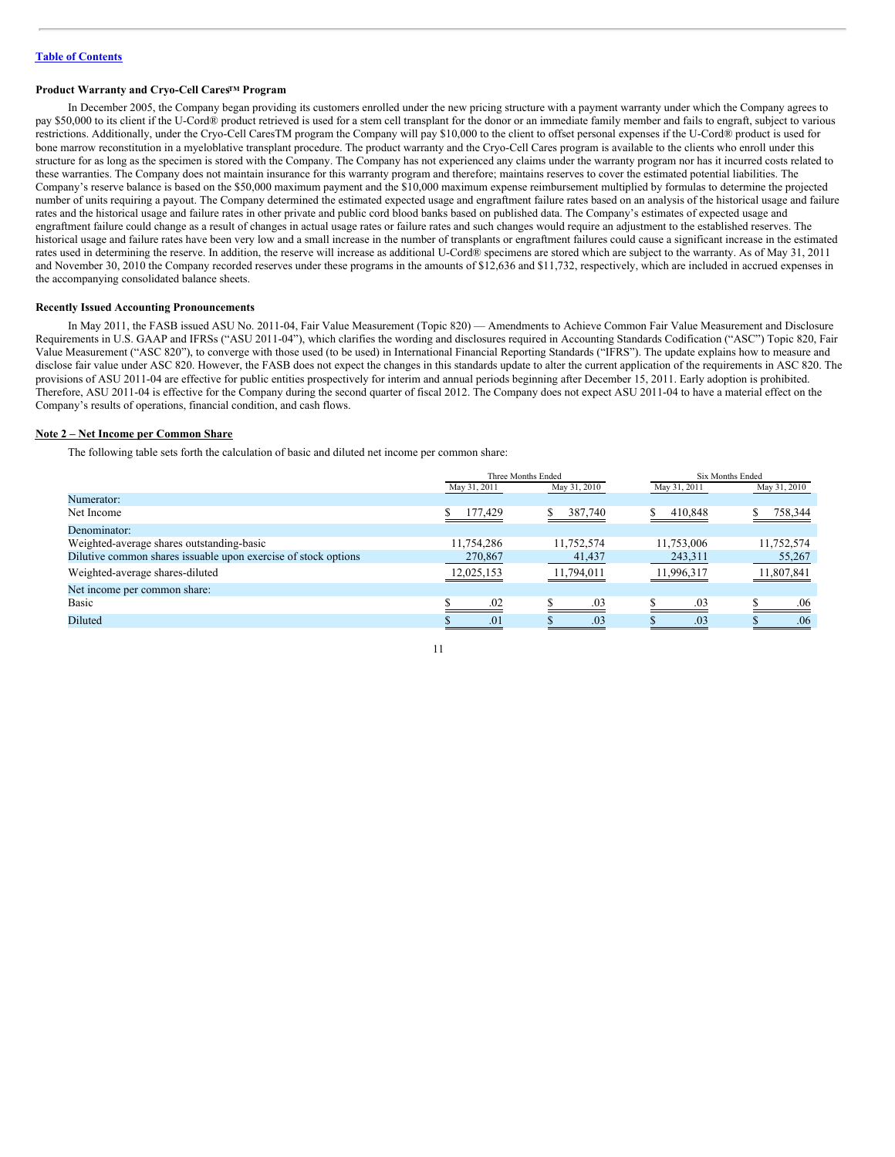#### **Product Warranty and Cryo-Cell Cares<sup>TM</sup> Program**

In December 2005, the Company began providing its customers enrolled under the new pricing structure with a payment warranty under which the Company agrees to pay \$50,000 to its client if the U-Cord® product retrieved is used for a stem cell transplant for the donor or an immediate family member and fails to engraft, subject to various restrictions. Additionally, under the Cryo-Cell CaresTM program the Company will pay \$10,000 to the client to offset personal expenses if the U-Cord® product is used for bone marrow reconstitution in a myeloblative transplant procedure. The product warranty and the Cryo-Cell Cares program is available to the clients who enroll under this structure for as long as the specimen is stored with the Company. The Company has not experienced any claims under the warranty program nor has it incurred costs related to these warranties. The Company does not maintain insurance for this warranty program and therefore; maintains reserves to cover the estimated potential liabilities. The Company's reserve balance is based on the \$50,000 maximum payment and the \$10,000 maximum expense reimbursement multiplied by formulas to determine the projected number of units requiring a payout. The Company determined the estimated expected usage and engraftment failure rates based on an analysis of the historical usage and failure rates and the historical usage and failure rates in other private and public cord blood banks based on published data. The Company's estimates of expected usage and engraftment failure could change as a result of changes in actual usage rates or failure rates and such changes would require an adjustment to the established reserves. The historical usage and failure rates have been very low and a small increase in the number of transplants or engraftment failures could cause a significant increase in the estimated rates used in determining the reserve. In addition, the reserve will increase as additional U-Cord® specimens are stored which are subject to the warranty. As of May 31, 2011 and November 30, 2010 the Company recorded reserves under these programs in the amounts of \$12,636 and \$11,732, respectively, which are included in accrued expenses in the accompanying consolidated balance sheets.

#### **Recently Issued Accounting Pronouncements**

In May 2011, the FASB issued ASU No. 2011-04, Fair Value Measurement (Topic 820) — Amendments to Achieve Common Fair Value Measurement and Disclosure Requirements in U.S. GAAP and IFRSs ("ASU 2011-04"), which clarifies the wording and disclosures required in Accounting Standards Codification ("ASC") Topic 820, Fair Value Measurement ("ASC 820"), to converge with those used (to be used) in International Financial Reporting Standards ("IFRS"). The update explains how to measure and disclose fair value under ASC 820. However, the FASB does not expect the changes in this standards update to alter the current application of the requirements in ASC 820. The provisions of ASU 2011-04 are effective for public entities prospectively for interim and annual periods beginning after December 15, 2011. Early adoption is prohibited. Therefore, ASU 2011-04 is effective for the Company during the second quarter of fiscal 2012. The Company does not expect ASU 2011-04 to have a material effect on the Company's results of operations, financial condition, and cash flows.

#### **Note 2 – Net Income per Common Share**

The following table sets forth the calculation of basic and diluted net income per common share:

|                                                                |              | Three Months Ended |              | <b>Six Months Ended</b> |  |
|----------------------------------------------------------------|--------------|--------------------|--------------|-------------------------|--|
|                                                                | May 31, 2011 | May 31, 2010       | May 31, 2011 | May 31, 2010            |  |
| Numerator:                                                     |              |                    |              |                         |  |
| Net Income                                                     | 177,429      | 387,740            | 410,848      | 758,344                 |  |
| Denominator:                                                   |              |                    |              |                         |  |
| Weighted-average shares outstanding-basic                      | 11,754,286   | 11,752,574         | 11,753,006   | 11,752,574              |  |
| Dilutive common shares issuable upon exercise of stock options | 270,867      | 41,437             | 243,311      | 55,267                  |  |
| Weighted-average shares-diluted                                | 12,025,153   | 11,794,011         | 11,996,317   | 11,807,841              |  |
| Net income per common share:                                   |              |                    |              |                         |  |
| Basic                                                          | .02          | .03                | .03          | .06                     |  |
| Diluted                                                        | .01          | .03                | .03          | .06                     |  |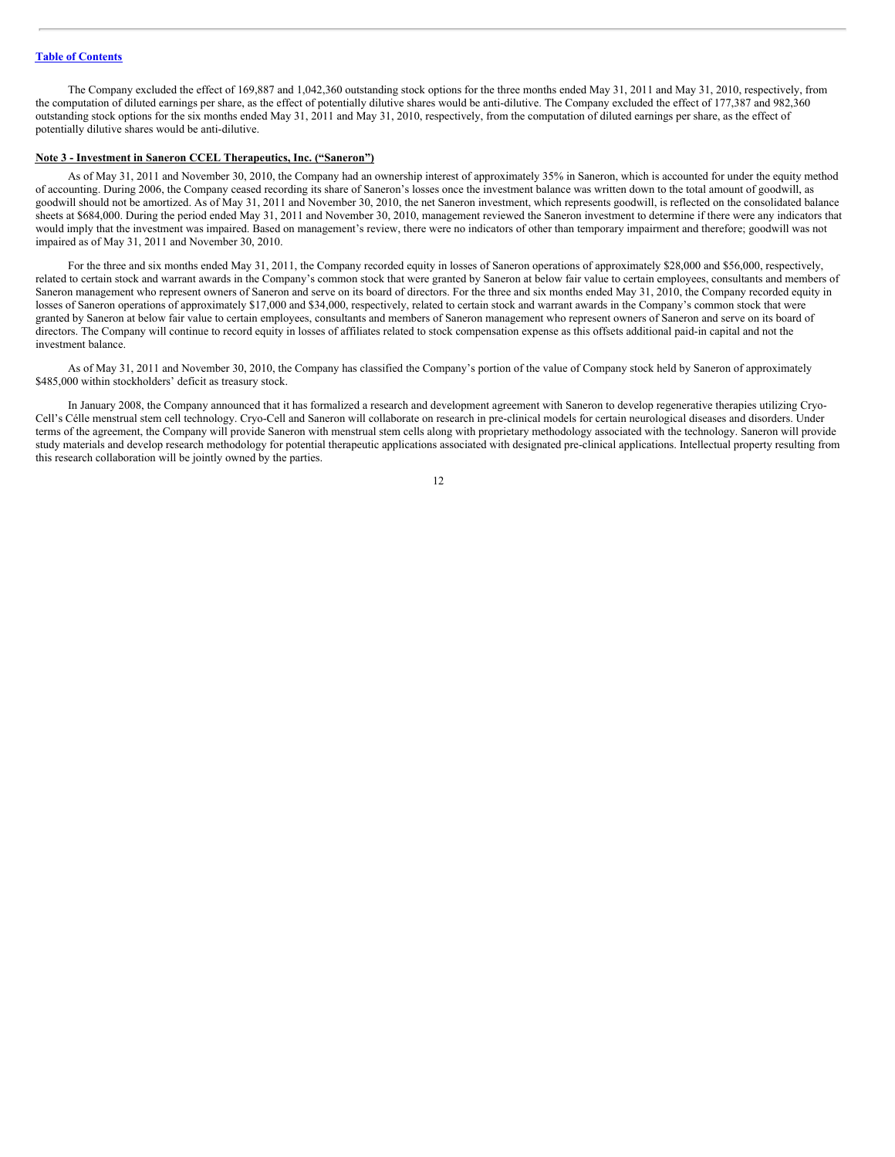The Company excluded the effect of 169,887 and 1,042,360 outstanding stock options for the three months ended May 31, 2011 and May 31, 2010, respectively, from the computation of diluted earnings per share, as the effect of potentially dilutive shares would be anti-dilutive. The Company excluded the effect of 177,387 and 982,360 outstanding stock options for the six months ended May 31, 2011 and May 31, 2010, respectively, from the computation of diluted earnings per share, as the effect of potentially dilutive shares would be anti-dilutive.

# **Note 3 - Investment in Saneron CCEL Therapeutics, Inc. ("Saneron")**

As of May 31, 2011 and November 30, 2010, the Company had an ownership interest of approximately 35% in Saneron, which is accounted for under the equity method of accounting. During 2006, the Company ceased recording its share of Saneron's losses once the investment balance was written down to the total amount of goodwill, as goodwill should not be amortized. As of May 31, 2011 and November 30, 2010, the net Saneron investment, which represents goodwill, is reflected on the consolidated balance sheets at \$684,000. During the period ended May 31, 2011 and November 30, 2010, management reviewed the Saneron investment to determine if there were any indicators that would imply that the investment was impaired. Based on management's review, there were no indicators of other than temporary impairment and therefore; goodwill was not impaired as of May 31, 2011 and November 30, 2010.

For the three and six months ended May 31, 2011, the Company recorded equity in losses of Saneron operations of approximately \$28,000 and \$56,000, respectively, related to certain stock and warrant awards in the Company's common stock that were granted by Saneron at below fair value to certain employees, consultants and members of Saneron management who represent owners of Saneron and serve on its board of directors. For the three and six months ended May 31, 2010, the Company recorded equity in losses of Saneron operations of approximately \$17,000 and \$34,000, respectively, related to certain stock and warrant awards in the Company's common stock that were granted by Saneron at below fair value to certain employees, consultants and members of Saneron management who represent owners of Saneron and serve on its board of directors. The Company will continue to record equity in losses of affiliates related to stock compensation expense as this offsets additional paid-in capital and not the investment balance.

As of May 31, 2011 and November 30, 2010, the Company has classified the Company's portion of the value of Company stock held by Saneron of approximately \$485,000 within stockholders' deficit as treasury stock.

In January 2008, the Company announced that it has formalized a research and development agreement with Saneron to develop regenerative therapies utilizing Cryo-Cell's Célle menstrual stem cell technology. Cryo-Cell and Saneron will collaborate on research in pre-clinical models for certain neurological diseases and disorders. Under terms of the agreement, the Company will provide Saneron with menstrual stem cells along with proprietary methodology associated with the technology. Saneron will provide study materials and develop research methodology for potential therapeutic applications associated with designated pre-clinical applications. Intellectual property resulting from this research collaboration will be jointly owned by the parties.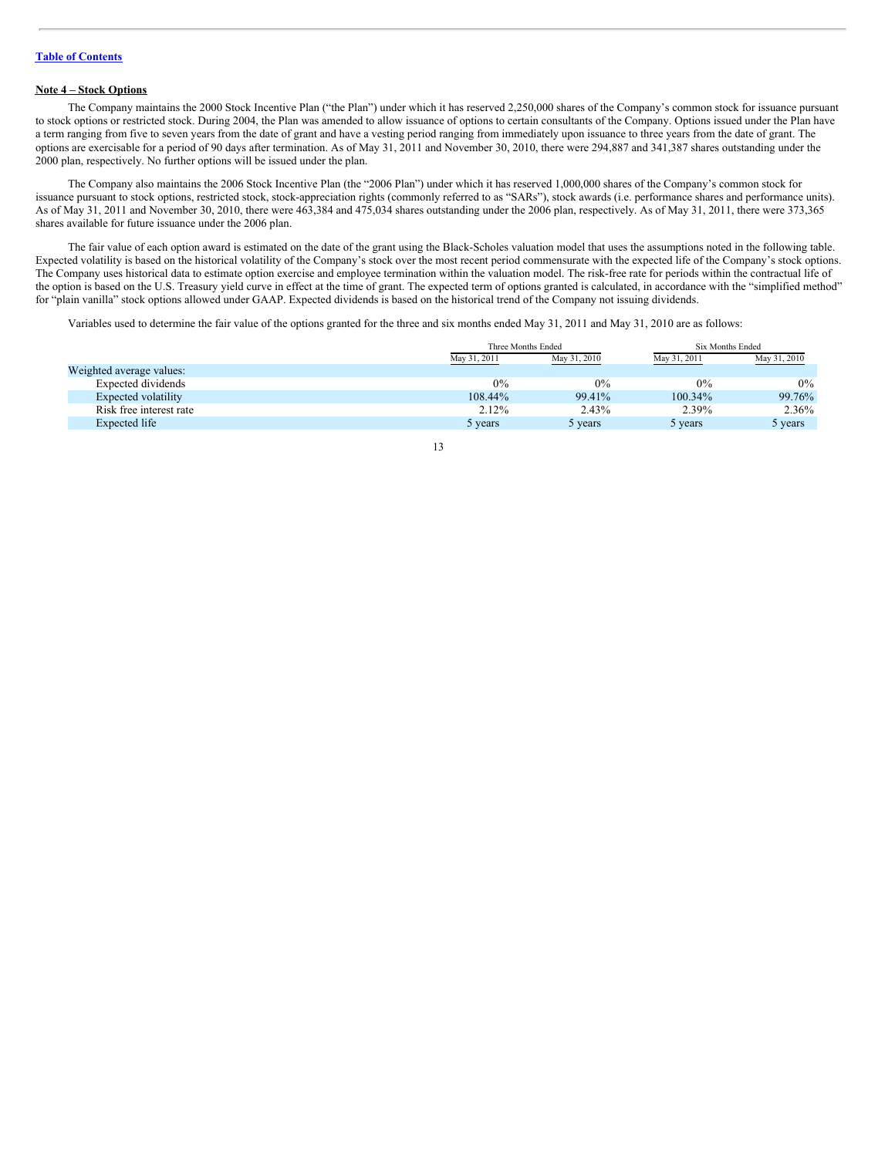# **Note 4 – Stock Options**

The Company maintains the 2000 Stock Incentive Plan ("the Plan") under which it has reserved 2,250,000 shares of the Company's common stock for issuance pursuant to stock options or restricted stock. During 2004, the Plan was amended to allow issuance of options to certain consultants of the Company. Options issued under the Plan have a term ranging from five to seven years from the date of grant and have a vesting period ranging from immediately upon issuance to three years from the date of grant. The options are exercisable for a period of 90 days after termination. As of May 31, 2011 and November 30, 2010, there were 294,887 and 341,387 shares outstanding under the 2000 plan, respectively. No further options will be issued under the plan.

The Company also maintains the 2006 Stock Incentive Plan (the "2006 Plan") under which it has reserved 1,000,000 shares of the Company's common stock for issuance pursuant to stock options, restricted stock, stock-appreciation rights (commonly referred to as "SARs"), stock awards (i.e. performance shares and performance units). As of May 31, 2011 and November 30, 2010, there were 463,384 and 475,034 shares outstanding under the 2006 plan, respectively. As of May 31, 2011, there were 373,365 shares available for future issuance under the 2006 plan.

The fair value of each option award is estimated on the date of the grant using the Black-Scholes valuation model that uses the assumptions noted in the following table. Expected volatility is based on the historical volatility of the Company's stock over the most recent period commensurate with the expected life of the Company's stock options. The Company uses historical data to estimate option exercise and employee termination within the valuation model. The risk-free rate for periods within the contractual life of the option is based on the U.S. Treasury yield curve in effect at the time of grant. The expected term of options granted is calculated, in accordance with the "simplified method" for "plain vanilla" stock options allowed under GAAP. Expected dividends is based on the historical trend of the Company not issuing dividends.

Variables used to determine the fair value of the options granted for the three and six months ended May 31, 2011 and May 31, 2010 are as follows:

|                          |              | Three Months Ended |              | Six Months Ended |
|--------------------------|--------------|--------------------|--------------|------------------|
|                          | May 31, 2011 | May 31, 2010       | May 31, 2011 | May 31, 2010     |
| Weighted average values: |              |                    |              |                  |
| Expected dividends       | $0\%$        | $0\%$              | $0\%$        | $0\%$            |
| Expected volatility      | 108.44%      | 99.41%             | 100.34%      | 99.76%           |
| Risk free interest rate  | 2.12%        | 2.43%              | 2.39%        | 2.36%            |
| Expected life            | 5 years      | 5 years            | 5 years      | 5 years          |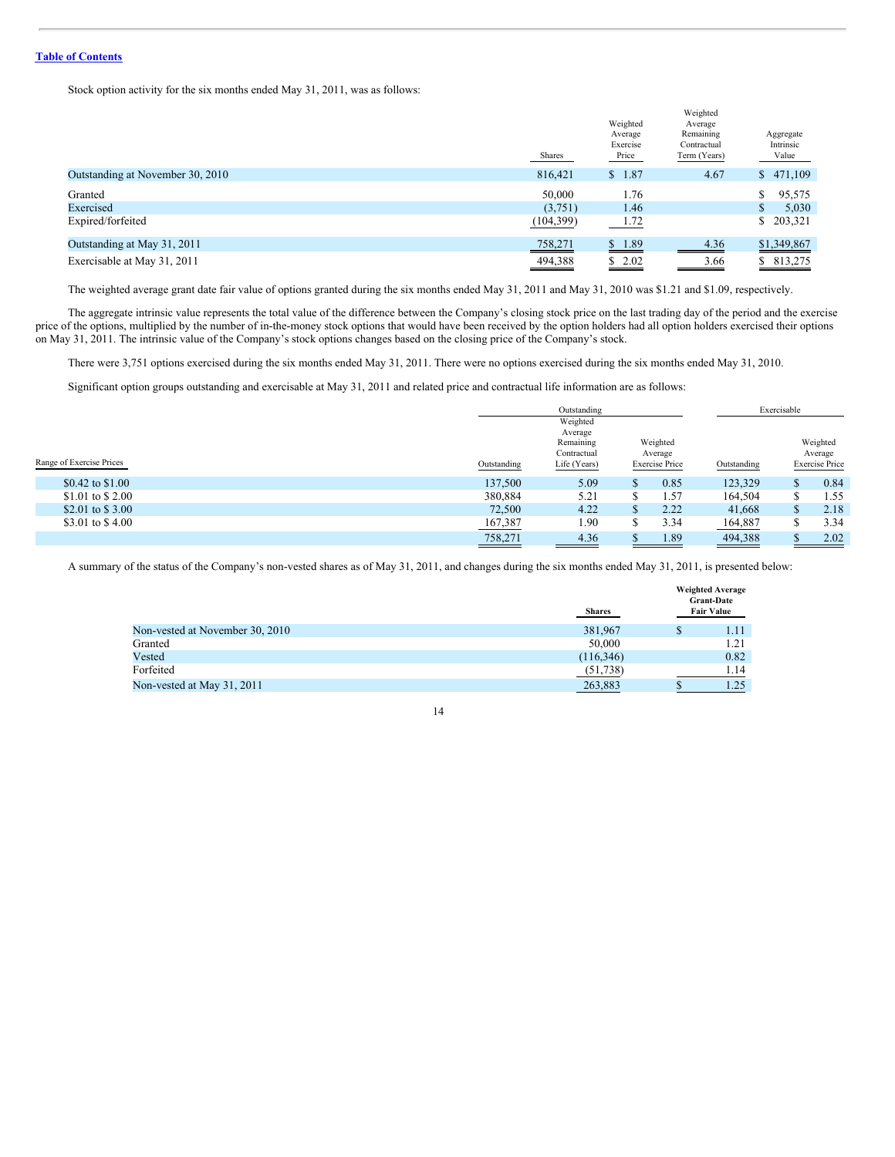Stock option activity for the six months ended May 31, 2011, was as follows:

|                                  | Shares    | Weighted<br>Average<br>Exercise<br>Price | Weighted<br>Average<br>Remaining<br>Contractual<br>Term (Years) | Aggregate<br>Intrinsic<br>Value |
|----------------------------------|-----------|------------------------------------------|-----------------------------------------------------------------|---------------------------------|
| Outstanding at November 30, 2010 | 816,421   | \$1.87                                   | 4.67                                                            | \$471,109                       |
| Granted                          | 50,000    | 1.76                                     |                                                                 | 95,575<br>S                     |
| Exercised                        | (3,751)   | 1.46                                     |                                                                 | 5,030                           |
| Expired/forfeited                | (104,399) | 1.72                                     |                                                                 | S<br>203,321                    |
| Outstanding at May 31, 2011      | 758,271   | \$1.89                                   | 4.36                                                            | \$1,349,867                     |
| Exercisable at May 31, 2011      | 494,388   | \$2.02                                   | 3.66                                                            | 813,275<br>S.                   |

The weighted average grant date fair value of options granted during the six months ended May 31, 2011 and May 31, 2010 was \$1.21 and \$1.09, respectively.

The aggregate intrinsic value represents the total value of the difference between the Company's closing stock price on the last trading day of the period and the exercise price of the options, multiplied by the number of in-the-money stock options that would have been received by the option holders had all option holders exercised their options on May 31, 2011. The intrinsic value of the Company's stock options changes based on the closing price of the Company's stock.

There were 3,751 options exercised during the six months ended May 31, 2011. There were no options exercised during the six months ended May 31, 2010.

Significant option groups outstanding and exercisable at May 31, 2011 and related price and contractual life information are as follows:

|                          |             | Outstanding                                                     |    |                                              | Exercisable |    |                                              |
|--------------------------|-------------|-----------------------------------------------------------------|----|----------------------------------------------|-------------|----|----------------------------------------------|
| Range of Exercise Prices | Outstanding | Weighted<br>Average<br>Remaining<br>Contractual<br>Life (Years) |    | Weighted<br>Average<br><b>Exercise Price</b> | Outstanding |    | Weighted<br>Average<br><b>Exercise Price</b> |
| \$0.42 to \$1.00         | 137,500     | 5.09                                                            | \$ | 0.85                                         | 123,329     | \$ | 0.84                                         |
| \$1.01 to \$2.00         | 380,884     | 5.21                                                            |    | 1.57                                         | 164,504     |    | 1.55                                         |
| \$2.01 to \$3.00         | 72,500      | 4.22                                                            | ъ  | 2.22                                         | 41,668      | \$ | 2.18                                         |
| \$3.01 to \$4.00         | 167,387     | 1.90                                                            |    | 3.34                                         | 164,887     | S  | 3.34                                         |
|                          | 758,271     | 4.36                                                            |    | 1.89                                         | 494,388     |    | 2.02                                         |

A summary of the status of the Company's non-vested shares as of May 31, 2011, and changes during the six months ended May 31, 2011, is presented below:

|                                 | <b>Shares</b> | <b>Weighted Average</b><br><b>Grant-Date</b><br><b>Fair Value</b> |
|---------------------------------|---------------|-------------------------------------------------------------------|
| Non-vested at November 30, 2010 | 381,967       | 1.11                                                              |
| Granted                         | 50,000        | 1.21                                                              |
| Vested                          | (116, 346)    | 0.82                                                              |
| Forfeited                       | (51, 738)     | 1.14                                                              |
| Non-vested at May 31, 2011      | 263,883       | 1.25                                                              |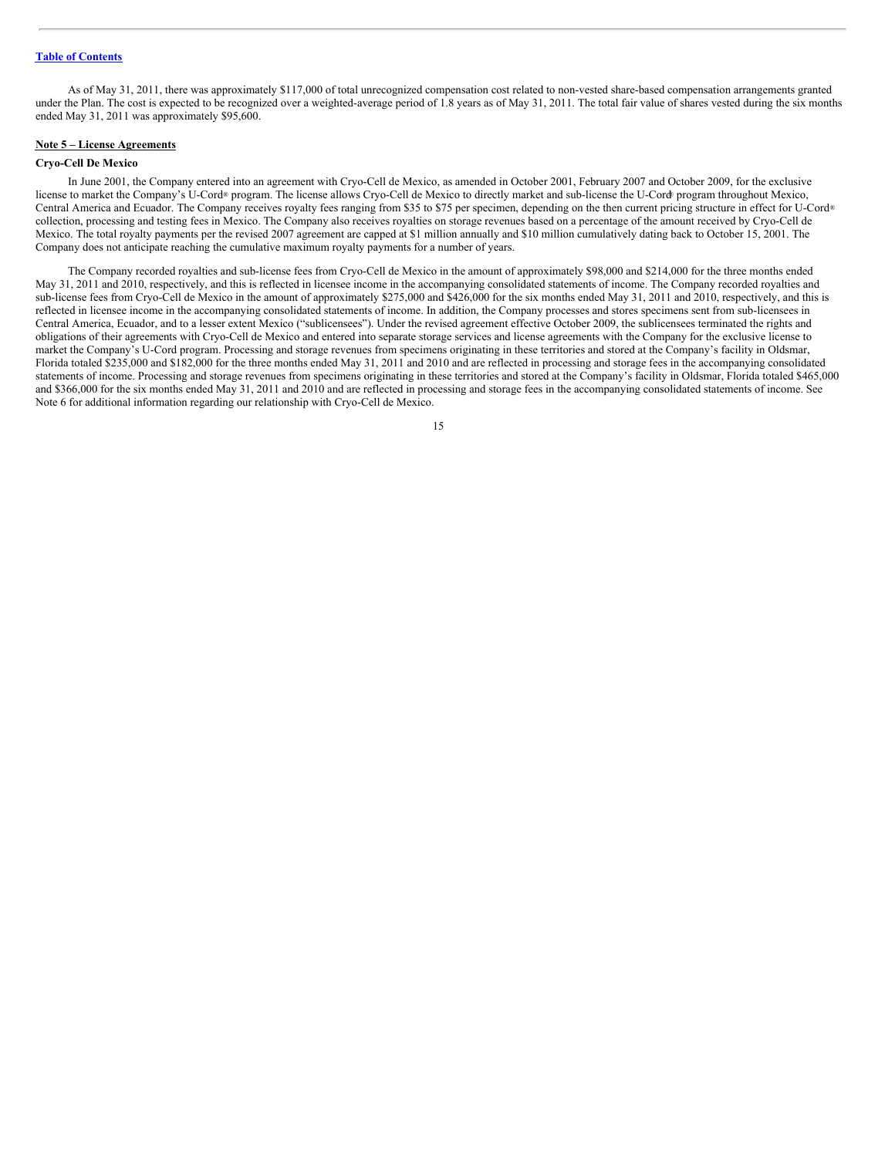As of May 31, 2011, there was approximately \$117,000 of total unrecognized compensation cost related to non-vested share-based compensation arrangements granted under the Plan. The cost is expected to be recognized over a weighted-average period of 1.8 years as of May 31, 2011. The total fair value of shares vested during the six months ended May 31, 2011 was approximately \$95,600.

#### **Note 5 – License Agreements**

#### **Cryo-Cell De Mexico**

In June 2001, the Company entered into an agreement with Cryo-Cell de Mexico, as amended in October 2001, February 2007 and October 2009, for the exclusive license to market the Company's U-Cord® program. The license allows Cryo-Cell de Mexico to directly market and sub-license the U-Cord® program throughout Mexico, Central America and Ecuador. The Company receives royalty fees ranging from \$35 to \$75 per specimen, depending on the then current pricing structure in effect for U-Cord ®collection, processing and testing fees in Mexico. The Company also receives royalties on storage revenues based on a percentage of the amount received by Cryo-Cell de Mexico. The total royalty payments per the revised 2007 agreement are capped at \$1 million annually and \$10 million cumulatively dating back to October 15, 2001. The Company does not anticipate reaching the cumulative maximum royalty payments for a number of years.

The Company recorded royalties and sub-license fees from Cryo-Cell de Mexico in the amount of approximately \$98,000 and \$214,000 for the three months ended May 31, 2011 and 2010, respectively, and this is reflected in licensee income in the accompanying consolidated statements of income. The Company recorded royalties and sub-license fees from Cryo-Cell de Mexico in the amount of approximately \$275,000 and \$426,000 for the six months ended May 31, 2011 and 2010, respectively, and this is reflected in licensee income in the accompanying consolidated statements of income. In addition, the Company processes and stores specimens sent from sub-licensees in Central America, Ecuador, and to a lesser extent Mexico ("sublicensees"). Under the revised agreement effective October 2009, the sublicensees terminated the rights and obligations of their agreements with Cryo-Cell de Mexico and entered into separate storage services and license agreements with the Company for the exclusive license to market the Company's U-Cord program. Processing and storage revenues from specimens originating in these territories and stored at the Company's facility in Oldsmar, Florida totaled \$235,000 and \$182,000 for the three months ended May 31, 2011 and 2010 and are reflected in processing and storage fees in the accompanying consolidated statements of income. Processing and storage revenues from specimens originating in these territories and stored at the Company's facility in Oldsmar, Florida totaled \$465,000 and \$366,000 for the six months ended May 31, 2011 and 2010 and are reflected in processing and storage fees in the accompanying consolidated statements of income. See Note 6 for additional information regarding our relationship with Cryo-Cell de Mexico.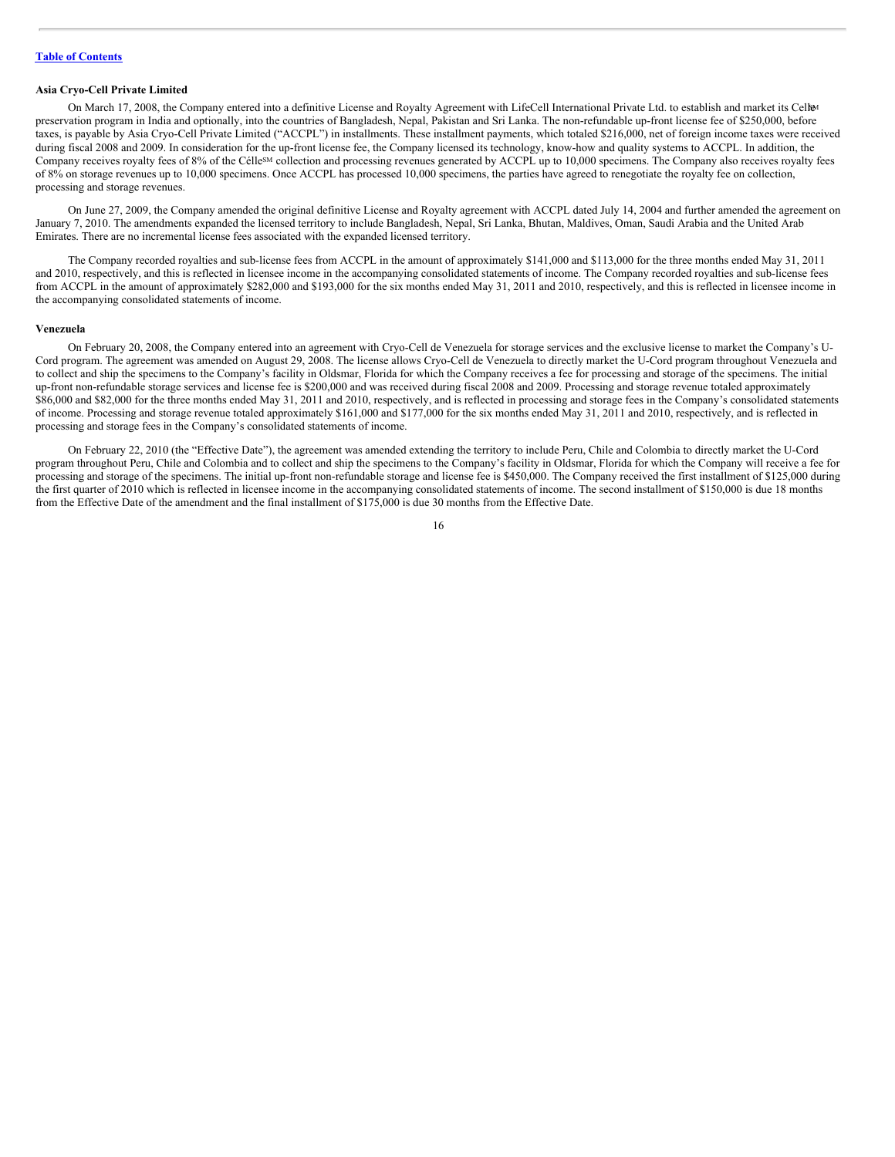### **Asia Cryo-Cell Private Limited**

On March 17, 2008, the Company entered into a definitive License and Royalty Agreement with LifeCell International Private Ltd. to establish and market its Cell&<sup>1</sup> preservation program in India and optionally, into the countries of Bangladesh, Nepal, Pakistan and Sri Lanka. The non-refundable up-front license fee of \$250,000, before taxes, is payable by Asia Cryo-Cell Private Limited ("ACCPL") in installments. These installment payments, which totaled \$216,000, net of foreign income taxes were received during fiscal 2008 and 2009. In consideration for the up-front license fee, the Company licensed its technology, know-how and quality systems to ACCPL. In addition, the Company receives royalty fees of 8% of the CéllesM collection and processing revenues generated by ACCPL up to 10,000 specimens. The Company also receives royalty fees of 8% on storage revenues up to 10,000 specimens. Once ACCPL has processed 10,000 specimens, the parties have agreed to renegotiate the royalty fee on collection, processing and storage revenues.

On June 27, 2009, the Company amended the original definitive License and Royalty agreement with ACCPL dated July 14, 2004 and further amended the agreement on January 7, 2010. The amendments expanded the licensed territory to include Bangladesh, Nepal, Sri Lanka, Bhutan, Maldives, Oman, Saudi Arabia and the United Arab Emirates. There are no incremental license fees associated with the expanded licensed territory.

The Company recorded royalties and sub-license fees from ACCPL in the amount of approximately \$141,000 and \$113,000 for the three months ended May 31, 2011 and 2010, respectively, and this is reflected in licensee income in the accompanying consolidated statements of income. The Company recorded royalties and sub-license fees from ACCPL in the amount of approximately \$282,000 and \$193,000 for the six months ended May 31, 2011 and 2010, respectively, and this is reflected in licensee income in the accompanying consolidated statements of income.

#### **Venezuela**

On February 20, 2008, the Company entered into an agreement with Cryo-Cell de Venezuela for storage services and the exclusive license to market the Company's U-Cord program. The agreement was amended on August 29, 2008. The license allows Cryo-Cell de Venezuela to directly market the U-Cord program throughout Venezuela and to collect and ship the specimens to the Company's facility in Oldsmar, Florida for which the Company receives a fee for processing and storage of the specimens. The initial up-front non-refundable storage services and license fee is \$200,000 and was received during fiscal 2008 and 2009. Processing and storage revenue totaled approximately \$86,000 and \$82,000 for the three months ended May 31, 2011 and 2010, respectively, and is reflected in processing and storage fees in the Company's consolidated statements of income. Processing and storage revenue totaled approximately \$161,000 and \$177,000 for the six months ended May 31, 2011 and 2010, respectively, and is reflected in processing and storage fees in the Company's consolidated statements of income.

On February 22, 2010 (the "Effective Date"), the agreement was amended extending the territory to include Peru, Chile and Colombia to directly market the U-Cord program throughout Peru, Chile and Colombia and to collect and ship the specimens to the Company's facility in Oldsmar, Florida for which the Company will receive a fee for processing and storage of the specimens. The initial up-front non-refundable storage and license fee is \$450,000. The Company received the first installment of \$125,000 during the first quarter of 2010 which is reflected in licensee income in the accompanying consolidated statements of income. The second installment of \$150,000 is due 18 months from the Effective Date of the amendment and the final installment of \$175,000 is due 30 months from the Effective Date.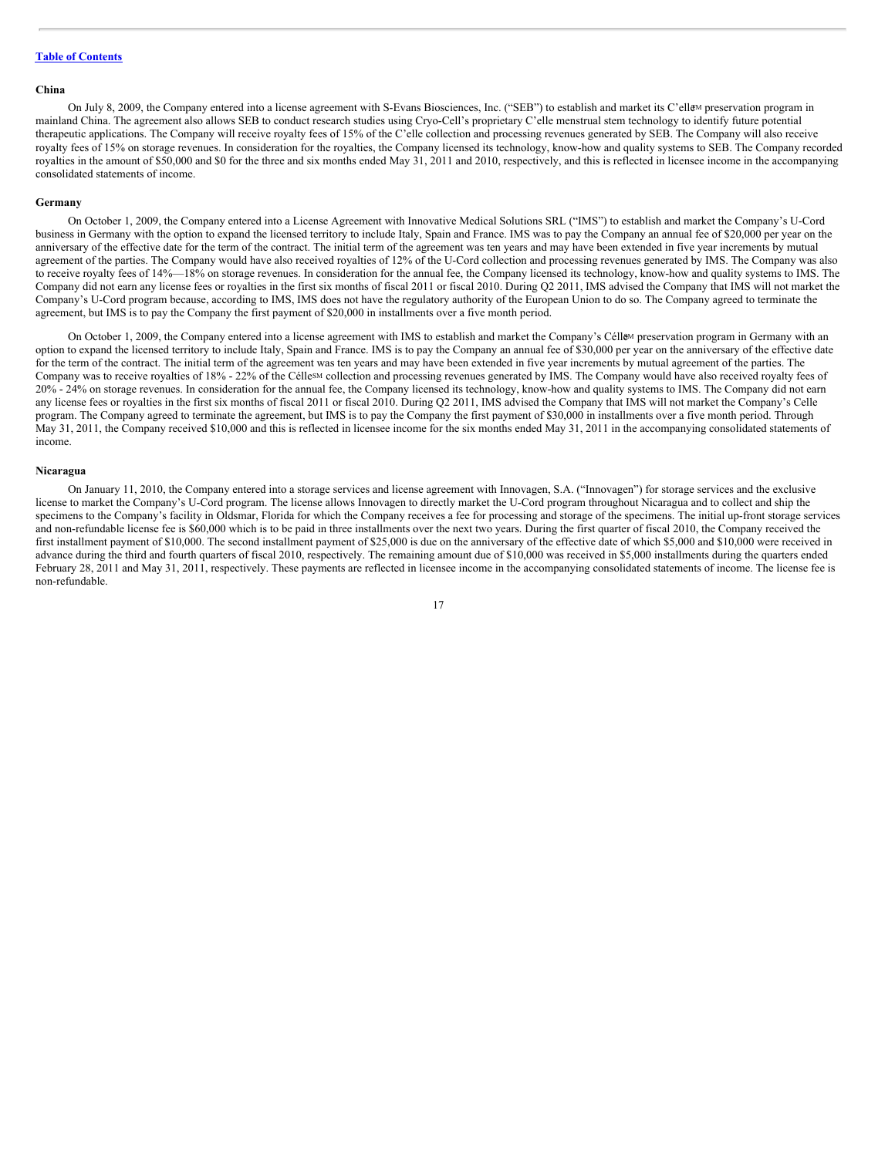#### **China**

On July 8, 2009, the Company entered into a license agreement with S-Evans Biosciences, Inc. ("SEB") to establish and market its C'ell&M preservation program in mainland China. The agreement also allows SEB to conduct research studies using Cryo-Cell's proprietary C'elle menstrual stem technology to identify future potential therapeutic applications. The Company will receive royalty fees of 15% of the C'elle collection and processing revenues generated by SEB. The Company will also receive royalty fees of 15% on storage revenues. In consideration for the royalties, the Company licensed its technology, know-how and quality systems to SEB. The Company recorded royalties in the amount of \$50,000 and \$0 for the three and six months ended May 31, 2011 and 2010, respectively, and this is reflected in licensee income in the accompanying consolidated statements of income.

#### **Germany**

On October 1, 2009, the Company entered into a License Agreement with Innovative Medical Solutions SRL ("IMS") to establish and market the Company's U-Cord business in Germany with the option to expand the licensed territory to include Italy, Spain and France. IMS was to pay the Company an annual fee of \$20,000 per year on the anniversary of the effective date for the term of the contract. The initial term of the agreement was ten years and may have been extended in five year increments by mutual agreement of the parties. The Company would have also received royalties of 12% of the U-Cord collection and processing revenues generated by IMS. The Company was also to receive royalty fees of 14%—18% on storage revenues. In consideration for the annual fee, the Company licensed its technology, know-how and quality systems to IMS. The Company did not earn any license fees or royalties in the first six months of fiscal 2011 or fiscal 2010. During Q2 2011, IMS advised the Company that IMS will not market the Company's U-Cord program because, according to IMS, IMS does not have the regulatory authority of the European Union to do so. The Company agreed to terminate the agreement, but IMS is to pay the Company the first payment of \$20,000 in installments over a five month period.

On October 1, 2009, the Company entered into a license agreement with IMS to establish and market the Company's Célle<sup>M</sup> preservation program in Germany with an option to expand the licensed territory to include Italy, Spain and France. IMS is to pay the Company an annual fee of \$30,000 per year on the anniversary of the effective date for the term of the contract. The initial term of the agreement was ten years and may have been extended in five year increments by mutual agreement of the parties. The Company was to receive royalties of 18% - 22% of the Célle<sup>SM</sup> collection and processing revenues generated by IMS. The Company would have also received royalty fees of 20% - 24% on storage revenues. In consideration for the annual fee, the Company licensed its technology, know-how and quality systems to IMS. The Company did not earn any license fees or royalties in the first six months of fiscal 2011 or fiscal 2010. During Q2 2011, IMS advised the Company that IMS will not market the Company's Celle program. The Company agreed to terminate the agreement, but IMS is to pay the Company the first payment of \$30,000 in installments over a five month period. Through May 31, 2011, the Company received \$10,000 and this is reflected in licensee income for the six months ended May 31, 2011 in the accompanying consolidated statements of income.

#### **Nicaragua**

On January 11, 2010, the Company entered into a storage services and license agreement with Innovagen, S.A. ("Innovagen") for storage services and the exclusive license to market the Company's U-Cord program. The license allows Innovagen to directly market the U-Cord program throughout Nicaragua and to collect and ship the specimens to the Company's facility in Oldsmar, Florida for which the Company receives a fee for processing and storage of the specimens. The initial up-front storage services and non-refundable license fee is \$60,000 which is to be paid in three installments over the next two years. During the first quarter of fiscal 2010, the Company received the first installment payment of \$10,000. The second installment payment of \$25,000 is due on the anniversary of the effective date of which \$5,000 and \$10,000 were received in advance during the third and fourth quarters of fiscal 2010, respectively. The remaining amount due of \$10,000 was received in \$5,000 installments during the quarters ended February 28, 2011 and May 31, 2011, respectively. These payments are reflected in licensee income in the accompanying consolidated statements of income. The license fee is non-refundable.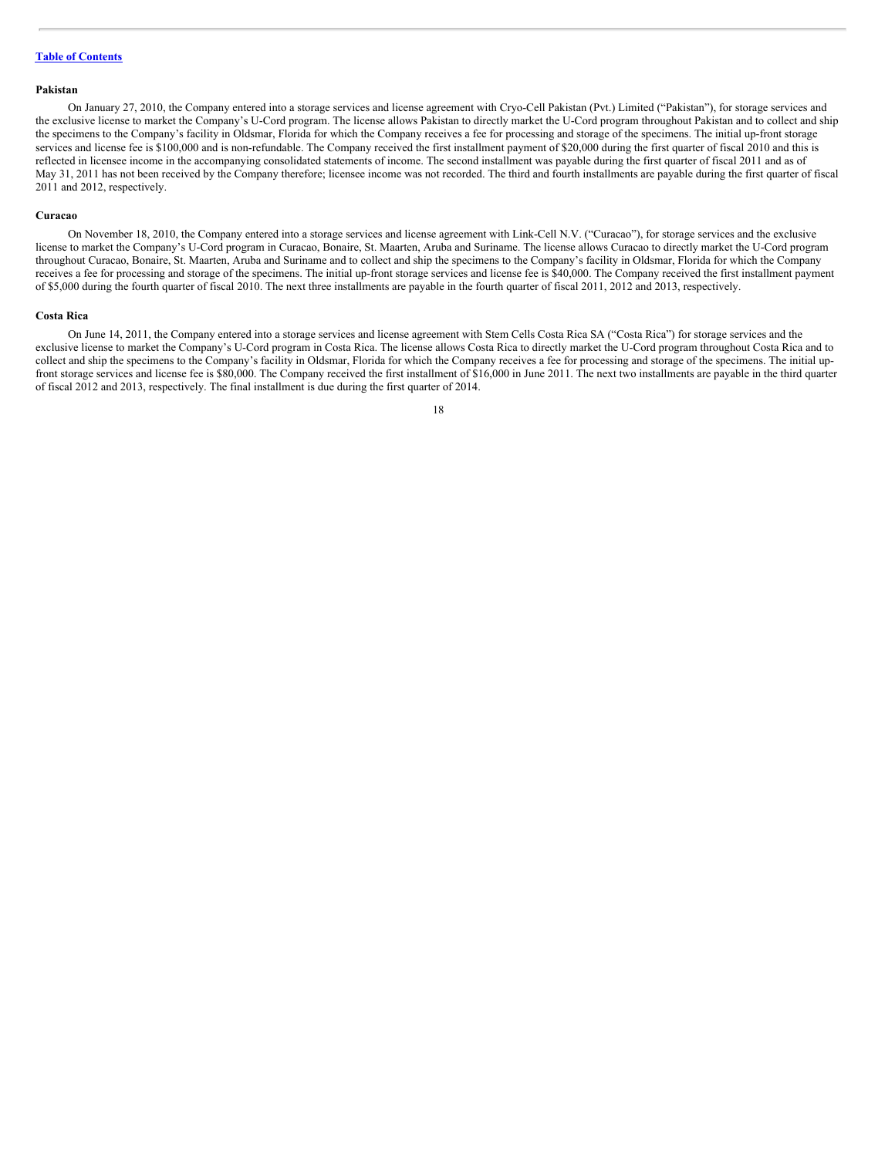#### **Pakistan**

On January 27, 2010, the Company entered into a storage services and license agreement with Cryo-Cell Pakistan (Pvt.) Limited ("Pakistan"), for storage services and the exclusive license to market the Company's U-Cord program. The license allows Pakistan to directly market the U-Cord program throughout Pakistan and to collect and ship the specimens to the Company's facility in Oldsmar, Florida for which the Company receives a fee for processing and storage of the specimens. The initial up-front storage services and license fee is \$100,000 and is non-refundable. The Company received the first installment payment of \$20,000 during the first quarter of fiscal 2010 and this is reflected in licensee income in the accompanying consolidated statements of income. The second installment was payable during the first quarter of fiscal 2011 and as of May 31, 2011 has not been received by the Company therefore; licensee income was not recorded. The third and fourth installments are payable during the first quarter of fiscal 2011 and 2012, respectively.

#### **Curacao**

On November 18, 2010, the Company entered into a storage services and license agreement with Link-Cell N.V. ("Curacao"), for storage services and the exclusive license to market the Company's U-Cord program in Curacao, Bonaire, St. Maarten, Aruba and Suriname. The license allows Curacao to directly market the U-Cord program throughout Curacao, Bonaire, St. Maarten, Aruba and Suriname and to collect and ship the specimens to the Company's facility in Oldsmar, Florida for which the Company receives a fee for processing and storage of the specimens. The initial up-front storage services and license fee is \$40,000. The Company received the first installment payment of \$5,000 during the fourth quarter of fiscal 2010. The next three installments are payable in the fourth quarter of fiscal 2011, 2012 and 2013, respectively.

#### **Costa Rica**

On June 14, 2011, the Company entered into a storage services and license agreement with Stem Cells Costa Rica SA ("Costa Rica") for storage services and the exclusive license to market the Company's U-Cord program in Costa Rica. The license allows Costa Rica to directly market the U-Cord program throughout Costa Rica and to collect and ship the specimens to the Company's facility in Oldsmar, Florida for which the Company receives a fee for processing and storage of the specimens. The initial upfront storage services and license fee is \$80,000. The Company received the first installment of \$16,000 in June 2011. The next two installments are payable in the third quarter of fiscal 2012 and 2013, respectively. The final installment is due during the first quarter of 2014.

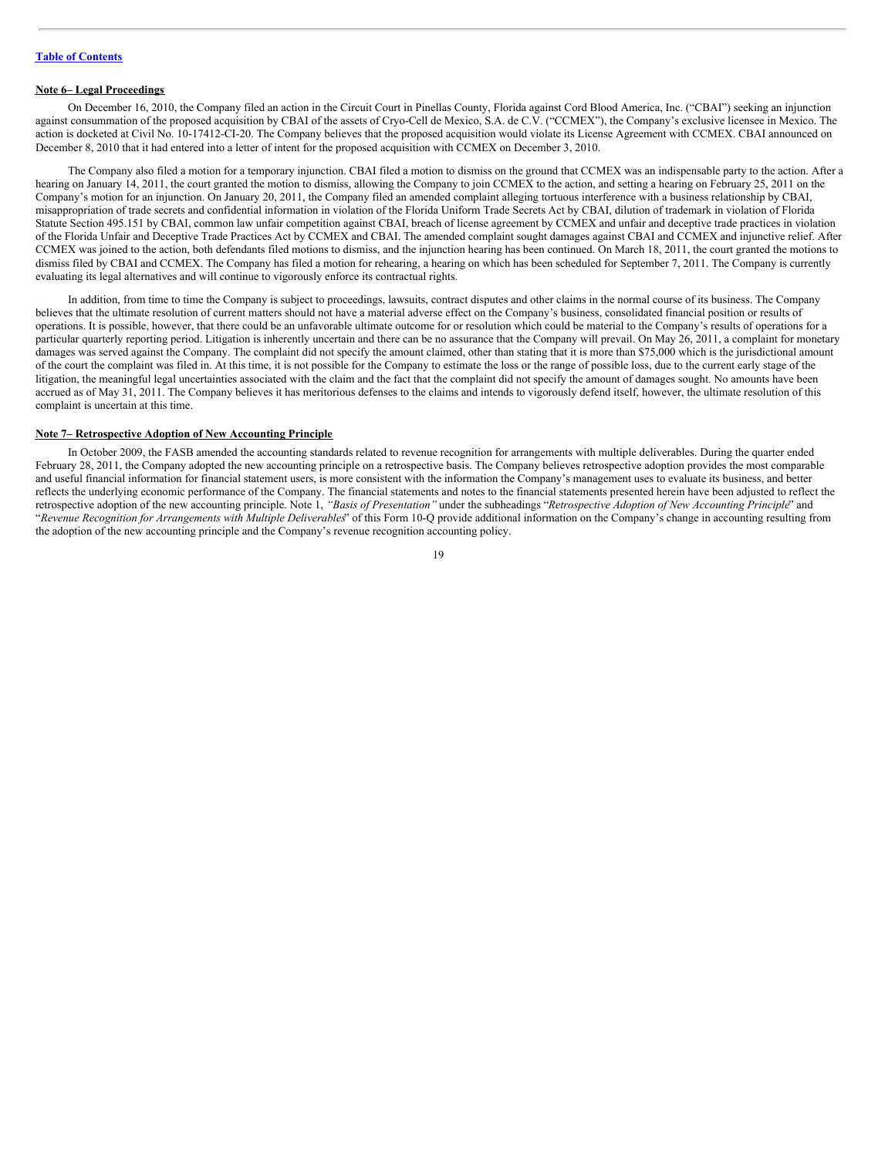## **Note 6– Legal Proceedings**

On December 16, 2010, the Company filed an action in the Circuit Court in Pinellas County, Florida against Cord Blood America, Inc. ("CBAI") seeking an injunction against consummation of the proposed acquisition by CBAI of the assets of Cryo-Cell de Mexico, S.A. de C.V. ("CCMEX"), the Company's exclusive licensee in Mexico. The action is docketed at Civil No. 10-17412-CI-20. The Company believes that the proposed acquisition would violate its License Agreement with CCMEX. CBAI announced on December 8, 2010 that it had entered into a letter of intent for the proposed acquisition with CCMEX on December 3, 2010.

The Company also filed a motion for a temporary injunction. CBAI filed a motion to dismiss on the ground that CCMEX was an indispensable party to the action. After a hearing on January 14, 2011, the court granted the motion to dismiss, allowing the Company to join CCMEX to the action, and setting a hearing on February 25, 2011 on the Company's motion for an injunction. On January 20, 2011, the Company filed an amended complaint alleging tortuous interference with a business relationship by CBAI, misappropriation of trade secrets and confidential information in violation of the Florida Uniform Trade Secrets Act by CBAI, dilution of trademark in violation of Florida Statute Section 495.151 by CBAI, common law unfair competition against CBAI, breach of license agreement by CCMEX and unfair and deceptive trade practices in violation of the Florida Unfair and Deceptive Trade Practices Act by CCMEX and CBAI. The amended complaint sought damages against CBAI and CCMEX and injunctive relief. After CCMEX was joined to the action, both defendants filed motions to dismiss, and the injunction hearing has been continued. On March 18, 2011, the court granted the motions to dismiss filed by CBAI and CCMEX. The Company has filed a motion for rehearing, a hearing on which has been scheduled for September 7, 2011. The Company is currently evaluating its legal alternatives and will continue to vigorously enforce its contractual rights.

In addition, from time to time the Company is subject to proceedings, lawsuits, contract disputes and other claims in the normal course of its business. The Company believes that the ultimate resolution of current matters should not have a material adverse effect on the Company's business, consolidated financial position or results of operations. It is possible, however, that there could be an unfavorable ultimate outcome for or resolution which could be material to the Company's results of operations for a particular quarterly reporting period. Litigation is inherently uncertain and there can be no assurance that the Company will prevail. On May 26, 2011, a complaint for monetary damages was served against the Company. The complaint did not specify the amount claimed, other than stating that it is more than \$75,000 which is the jurisdictional amount of the court the complaint was filed in. At this time, it is not possible for the Company to estimate the loss or the range of possible loss, due to the current early stage of the litigation, the meaningful legal uncertainties associated with the claim and the fact that the complaint did not specify the amount of damages sought. No amounts have been accrued as of May 31, 2011. The Company believes it has meritorious defenses to the claims and intends to vigorously defend itself, however, the ultimate resolution of this complaint is uncertain at this time.

#### **Note 7– Retrospective Adoption of New Accounting Principle**

In October 2009, the FASB amended the accounting standards related to revenue recognition for arrangements with multiple deliverables. During the quarter ended February 28, 2011, the Company adopted the new accounting principle on a retrospective basis. The Company believes retrospective adoption provides the most comparable and useful financial information for financial statement users, is more consistent with the information the Company's management uses to evaluate its business, and better reflects the underlying economic performance of the Company. The financial statements and notes to the financial statements presented herein have been adjusted to reflect the retrospective adoption of the new accounting principle. Note 1, "Basis of Presentation" under the subheadings "Retrospective Adoption of New Accounting Principle" and "*Revenue Recognition for Arrangements with Multiple Deliverables*" of this Form 10-Q provide additional information on the Company's change in accounting resulting from the adoption of the new accounting principle and the Company's revenue recognition accounting policy.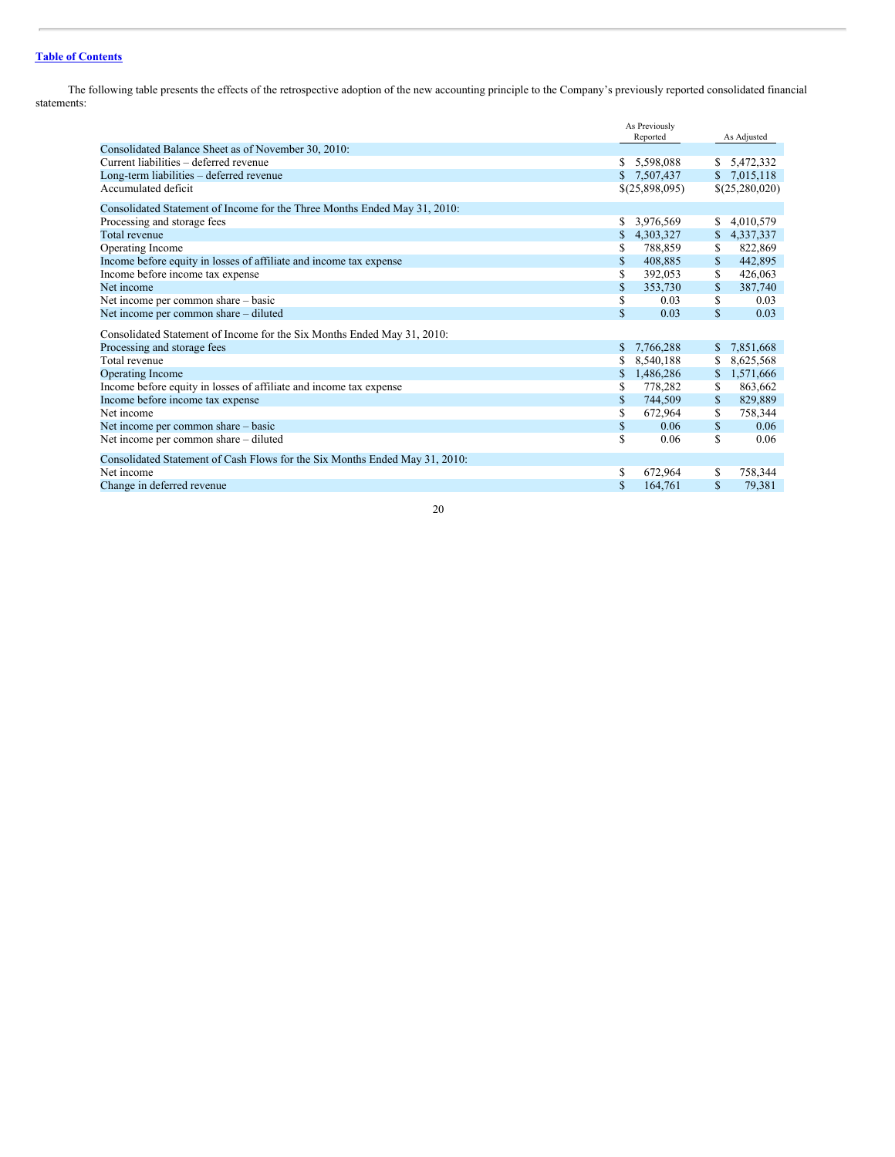The following table presents the effects of the retrospective adoption of the new accounting principle to the Company's previously reported consolidated financial statements:

|                                                                             |    | As Previously  |              |                |
|-----------------------------------------------------------------------------|----|----------------|--------------|----------------|
|                                                                             |    | Reported       |              | As Adjusted    |
| Consolidated Balance Sheet as of November 30, 2010:                         |    |                |              |                |
| Current liabilities – deferred revenue                                      | S. | 5,598,088      | \$           | 5,472,332      |
| Long-term liabilities - deferred revenue                                    |    | \$7,507,437    |              | \$7,015,118    |
| Accumulated deficit                                                         |    | \$(25,898,095) |              | \$(25,280,020) |
| Consolidated Statement of Income for the Three Months Ended May 31, 2010:   |    |                |              |                |
| Processing and storage fees                                                 |    | 3,976,569      | S            | 4,010,579      |
| Total revenue                                                               | \$ | 4,303,327      | \$           | 4,337,337      |
| Operating Income                                                            | \$ | 788,859        | \$           | 822,869        |
| Income before equity in losses of affiliate and income tax expense          | \$ | 408,885        | \$           | 442,895        |
| Income before income tax expense                                            | \$ | 392,053        | \$           | 426,063        |
| Net income                                                                  | \$ | 353,730        | \$           | 387,740        |
| Net income per common share – basic                                         | \$ | 0.03           | \$           | 0.03           |
| Net income per common share - diluted                                       | \$ | 0.03           | $\mathbf S$  | 0.03           |
| Consolidated Statement of Income for the Six Months Ended May 31, 2010:     |    |                |              |                |
| Processing and storage fees                                                 | S. | 7,766,288      | \$           | 7,851,668      |
| Total revenue                                                               |    | 8,540,188      |              | 8,625,568      |
| Operating Income                                                            | \$ | 1,486,286      | $\mathbf{s}$ | 1,571,666      |
| Income before equity in losses of affiliate and income tax expense          | S  | 778,282        | S            | 863,662        |
| Income before income tax expense                                            | \$ | 744,509        | \$           | 829,889        |
| Net income                                                                  | \$ | 672.964        | \$           | 758,344        |
| Net income per common share - basic                                         | \$ | 0.06           | \$           | 0.06           |
| Net income per common share – diluted                                       | Ś  | 0.06           | \$           | 0.06           |
| Consolidated Statement of Cash Flows for the Six Months Ended May 31, 2010: |    |                |              |                |
| Net income                                                                  | \$ | 672,964        | \$           | 758,344        |
| Change in deferred revenue                                                  |    | 164,761        | \$           | 79,381         |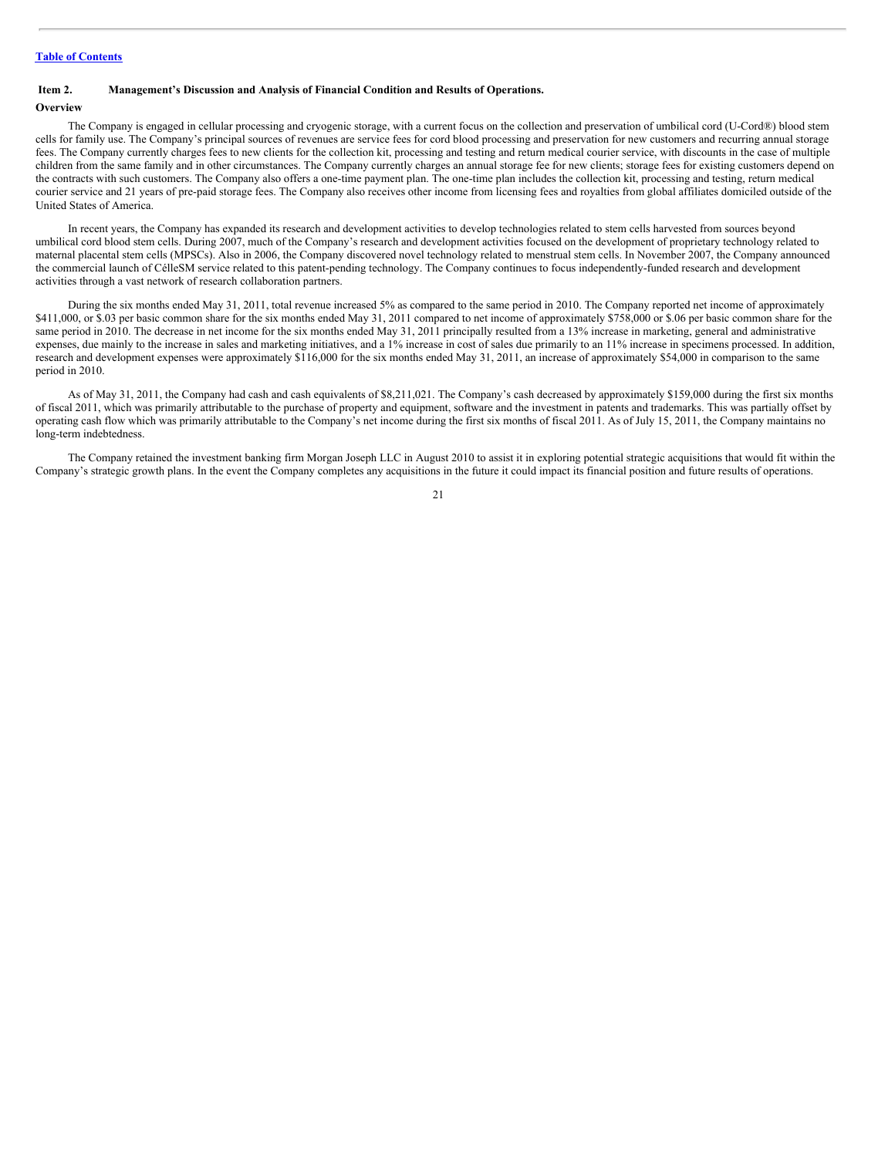# <span id="page-20-0"></span>**Item 2. Management's Discussion and Analysis of Financial Condition and Results of Operations.**

#### **Overview**

The Company is engaged in cellular processing and cryogenic storage, with a current focus on the collection and preservation of umbilical cord (U-Cord®) blood stem cells for family use. The Company's principal sources of revenues are service fees for cord blood processing and preservation for new customers and recurring annual storage fees. The Company currently charges fees to new clients for the collection kit, processing and testing and return medical courier service, with discounts in the case of multiple children from the same family and in other circumstances. The Company currently charges an annual storage fee for new clients; storage fees for existing customers depend on the contracts with such customers. The Company also offers a one-time payment plan. The one-time plan includes the collection kit, processing and testing, return medical courier service and 21 years of pre-paid storage fees. The Company also receives other income from licensing fees and royalties from global affiliates domiciled outside of the United States of America.

In recent years, the Company has expanded its research and development activities to develop technologies related to stem cells harvested from sources beyond umbilical cord blood stem cells. During 2007, much of the Company's research and development activities focused on the development of proprietary technology related to maternal placental stem cells (MPSCs). Also in 2006, the Company discovered novel technology related to menstrual stem cells. In November 2007, the Company announced the commercial launch of CélleSM service related to this patent-pending technology. The Company continues to focus independently-funded research and development activities through a vast network of research collaboration partners.

During the six months ended May 31, 2011, total revenue increased 5% as compared to the same period in 2010. The Company reported net income of approximately \$411,000, or \$.03 per basic common share for the six months ended May 31, 2011 compared to net income of approximately \$758,000 or \$.06 per basic common share for the same period in 2010. The decrease in net income for the six months ended May 31, 2011 principally resulted from a 13% increase in marketing, general and administrative expenses, due mainly to the increase in sales and marketing initiatives, and a 1% increase in cost of sales due primarily to an 11% increase in specimens processed. In addition, research and development expenses were approximately \$116,000 for the six months ended May 31, 2011, an increase of approximately \$54,000 in comparison to the same period in 2010.

As of May 31, 2011, the Company had cash and cash equivalents of \$8,211,021. The Company's cash decreased by approximately \$159,000 during the first six months of fiscal 2011, which was primarily attributable to the purchase of property and equipment, software and the investment in patents and trademarks. This was partially offset by operating cash flow which was primarily attributable to the Company's net income during the first six months of fiscal 2011. As of July 15, 2011, the Company maintains no long-term indebtedness.

The Company retained the investment banking firm Morgan Joseph LLC in August 2010 to assist it in exploring potential strategic acquisitions that would fit within the Company's strategic growth plans. In the event the Company completes any acquisitions in the future it could impact its financial position and future results of operations.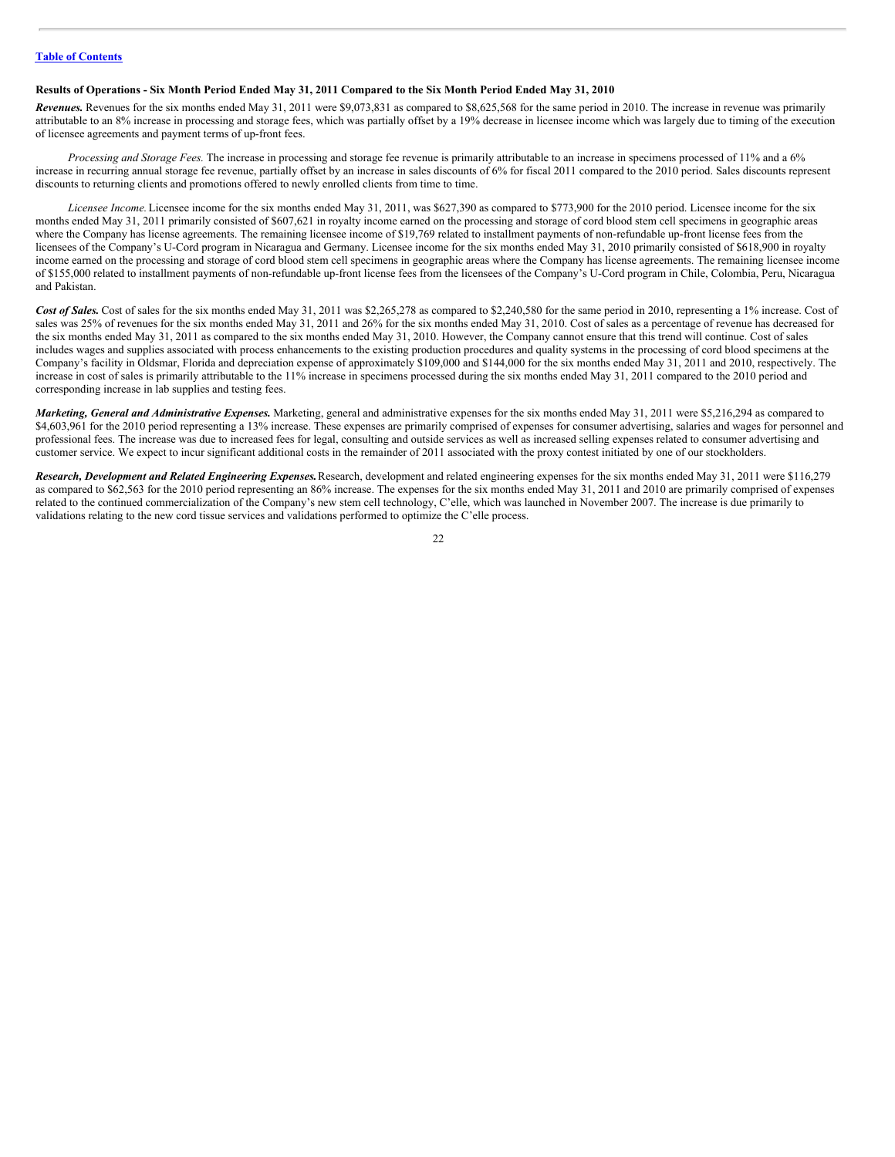#### Results of Operations - Six Month Period Ended May 31, 2011 Compared to the Six Month Period Ended May 31, 2010

*Revenues.* Revenues for the six months ended May 31, 2011 were \$9,073,831 as compared to \$8,625,568 for the same period in 2010. The increase in revenue was primarily attributable to an 8% increase in processing and storage fees, which was partially offset by a 19% decrease in licensee income which was largely due to timing of the execution of licensee agreements and payment terms of up-front fees.

*Processing and Storage Fees.* The increase in processing and storage fee revenue is primarily attributable to an increase in specimens processed of 11% and a 6% increase in recurring annual storage fee revenue, partially offset by an increase in sales discounts of 6% for fiscal 2011 compared to the 2010 period. Sales discounts represent discounts to returning clients and promotions offered to newly enrolled clients from time to time.

*Licensee Income.*Licensee income for the six months ended May 31, 2011, was \$627,390 as compared to \$773,900 for the 2010 period. Licensee income for the six months ended May 31, 2011 primarily consisted of \$607,621 in royalty income earned on the processing and storage of cord blood stem cell specimens in geographic areas where the Company has license agreements. The remaining licensee income of \$19,769 related to installment payments of non-refundable up-front license fees from the licensees of the Company's U-Cord program in Nicaragua and Germany. Licensee income for the six months ended May 31, 2010 primarily consisted of \$618,900 in royalty income earned on the processing and storage of cord blood stem cell specimens in geographic areas where the Company has license agreements. The remaining licensee income of \$155,000 related to installment payments of non-refundable up-front license fees from the licensees of the Company's U-Cord program in Chile, Colombia, Peru, Nicaragua and Pakistan.

Cost of Sales. Cost of sales for the six months ended May 31, 2011 was \$2,265,278 as compared to \$2,240,580 for the same period in 2010, representing a 1% increase. Cost of sales was 25% of revenues for the six months ended May 31, 2011 and 26% for the six months ended May 31, 2010. Cost of sales as a percentage of revenue has decreased for the six months ended May 31, 2011 as compared to the six months ended May 31, 2010. However, the Company cannot ensure that this trend will continue. Cost of sales includes wages and supplies associated with process enhancements to the existing production procedures and quality systems in the processing of cord blood specimens at the Company's facility in Oldsmar, Florida and depreciation expense of approximately \$109,000 and \$144,000 for the six months ended May 31, 2011 and 2010, respectively. The increase in cost of sales is primarily attributable to the 11% increase in specimens processed during the six months ended May 31, 2011 compared to the 2010 period and corresponding increase in lab supplies and testing fees.

*Marketing, General and Administrative Expenses.* Marketing, general and administrative expenses for the six months ended May 31, 2011 were \$5,216,294 as compared to \$4,603,961 for the 2010 period representing a 13% increase. These expenses are primarily comprised of expenses for consumer advertising, salaries and wages for personnel and professional fees. The increase was due to increased fees for legal, consulting and outside services as well as increased selling expenses related to consumer advertising and customer service. We expect to incur significant additional costs in the remainder of 2011 associated with the proxy contest initiated by one of our stockholders.

*Research, Development and Related Engineering Expenses.*Research, development and related engineering expenses for the six months ended May 31, 2011 were \$116,279 as compared to \$62,563 for the 2010 period representing an 86% increase. The expenses for the six months ended May 31, 2011 and 2010 are primarily comprised of expenses related to the continued commercialization of the Company's new stem cell technology, C'elle, which was launched in November 2007. The increase is due primarily to validations relating to the new cord tissue services and validations performed to optimize the C'elle process.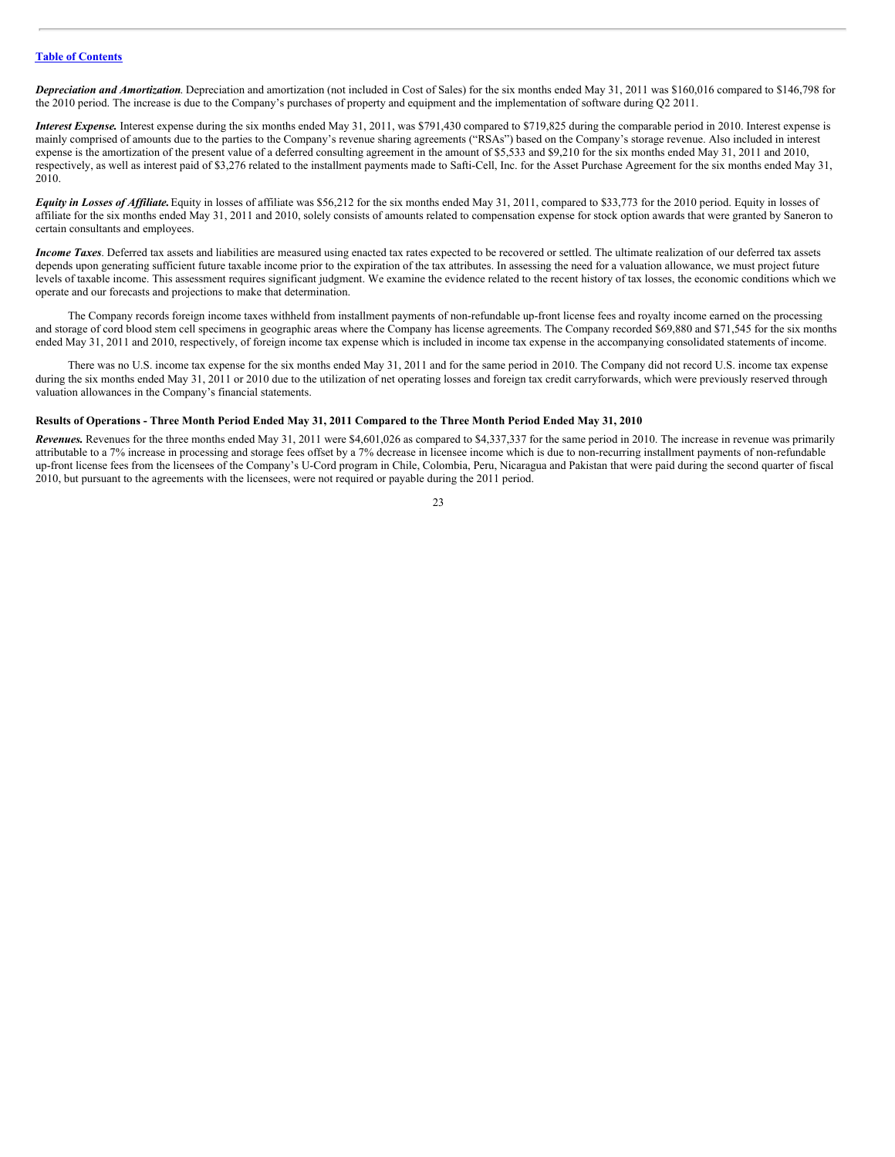*Depreciation and Amortization*. Depreciation and amortization (not included in Cost of Sales) for the six months ended May 31, 2011 was \$160,016 compared to \$146,798 for the 2010 period. The increase is due to the Company's purchases of property and equipment and the implementation of software during Q2 2011.

*Interest Expense.* Interest expense during the six months ended May 31, 2011, was \$791,430 compared to \$719,825 during the comparable period in 2010. Interest expense is mainly comprised of amounts due to the parties to the Company's revenue sharing agreements ("RSAs") based on the Company's storage revenue. Also included in interest expense is the amortization of the present value of a deferred consulting agreement in the amount of \$5,533 and \$9,210 for the six months ended May 31, 2011 and 2010, respectively, as well as interest paid of \$3,276 related to the installment payments made to Safti-Cell, Inc. for the Asset Purchase Agreement for the six months ended May 31, 2010.

*Equity in Losses of Affiliate*. Equity in losses of affiliate was \$56,212 for the six months ended May 31, 2011, compared to \$33,773 for the 2010 period. Equity in losses of affiliate for the six months ended May 31, 2011 and 2010, solely consists of amounts related to compensation expense for stock option awards that were granted by Saneron to certain consultants and employees.

*Income Taxes*. Deferred tax assets and liabilities are measured using enacted tax rates expected to be recovered or settled. The ultimate realization of our deferred tax assets depends upon generating sufficient future taxable income prior to the expiration of the tax attributes. In assessing the need for a valuation allowance, we must project future levels of taxable income. This assessment requires significant judgment. We examine the evidence related to the recent history of tax losses, the economic conditions which we operate and our forecasts and projections to make that determination.

The Company records foreign income taxes withheld from installment payments of non-refundable up-front license fees and royalty income earned on the processing and storage of cord blood stem cell specimens in geographic areas where the Company has license agreements. The Company recorded \$69,880 and \$71,545 for the six months ended May 31, 2011 and 2010, respectively, of foreign income tax expense which is included in income tax expense in the accompanying consolidated statements of income.

There was no U.S. income tax expense for the six months ended May 31, 2011 and for the same period in 2010. The Company did not record U.S. income tax expense during the six months ended May 31, 2011 or 2010 due to the utilization of net operating losses and foreign tax credit carryforwards, which were previously reserved through valuation allowances in the Company's financial statements.

# Results of Operations - Three Month Period Ended May 31, 2011 Compared to the Three Month Period Ended May 31, 2010

*Revenues.* Revenues for the three months ended May 31, 2011 were \$4,601,026 as compared to \$4,337,337 for the same period in 2010. The increase in revenue was primarily attributable to a 7% increase in processing and storage fees offset by a 7% decrease in licensee income which is due to non-recurring installment payments of non-refundable up-front license fees from the licensees of the Company's U-Cord program in Chile, Colombia, Peru, Nicaragua and Pakistan that were paid during the second quarter of fiscal 2010, but pursuant to the agreements with the licensees, were not required or payable during the 2011 period.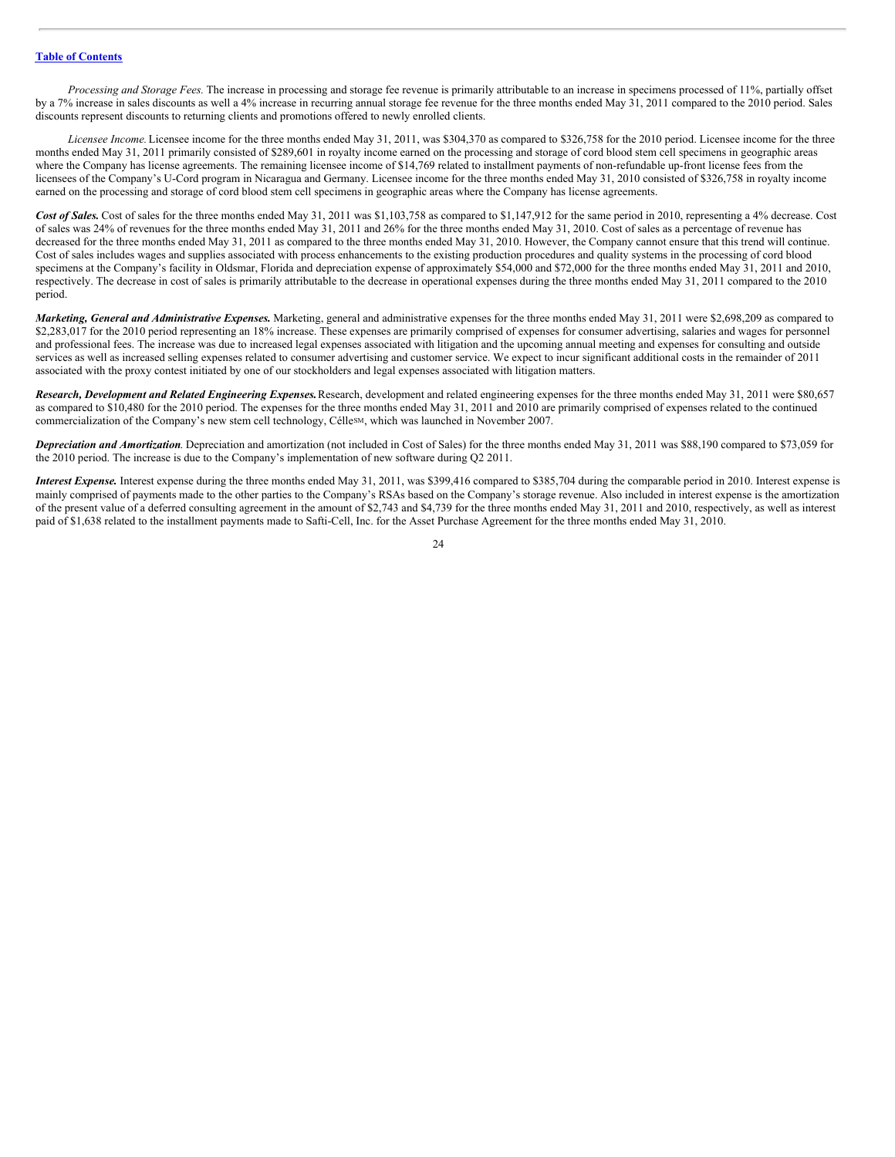*Processing and Storage Fees.* The increase in processing and storage fee revenue is primarily attributable to an increase in specimens processed of 11%, partially offset by a 7% increase in sales discounts as well a 4% increase in recurring annual storage fee revenue for the three months ended May 31, 2011 compared to the 2010 period. Sales discounts represent discounts to returning clients and promotions offered to newly enrolled clients.

*Licensee Income.*Licensee income for the three months ended May 31, 2011, was \$304,370 as compared to \$326,758 for the 2010 period. Licensee income for the three months ended May 31, 2011 primarily consisted of \$289,601 in royalty income earned on the processing and storage of cord blood stem cell specimens in geographic areas where the Company has license agreements. The remaining licensee income of \$14,769 related to installment payments of non-refundable up-front license fees from the licensees of the Company's U-Cord program in Nicaragua and Germany. Licensee income for the three months ended May 31, 2010 consisted of \$326,758 in royalty income earned on the processing and storage of cord blood stem cell specimens in geographic areas where the Company has license agreements.

Cost of Sales. Cost of sales for the three months ended May 31, 2011 was \$1,103,758 as compared to \$1,147,912 for the same period in 2010, representing a 4% decrease. Cost of sales was 24% of revenues for the three months ended May 31, 2011 and 26% for the three months ended May 31, 2010. Cost of sales as a percentage of revenue has decreased for the three months ended May 31, 2011 as compared to the three months ended May 31, 2010. However, the Company cannot ensure that this trend will continue. Cost of sales includes wages and supplies associated with process enhancements to the existing production procedures and quality systems in the processing of cord blood specimens at the Company's facility in Oldsmar, Florida and depreciation expense of approximately \$54,000 and \$72,000 for the three months ended May 31, 2011 and 2010, respectively. The decrease in cost of sales is primarily attributable to the decrease in operational expenses during the three months ended May 31, 2011 compared to the 2010 period.

*Marketing, General and Administrative Expenses.* Marketing, general and administrative expenses for the three months ended May 31, 2011 were \$2,698,209 as compared to \$2,283,017 for the 2010 period representing an 18% increase. These expenses are primarily comprised of expenses for consumer advertising, salaries and wages for personnel and professional fees. The increase was due to increased legal expenses associated with litigation and the upcoming annual meeting and expenses for consulting and outside services as well as increased selling expenses related to consumer advertising and customer service. We expect to incur significant additional costs in the remainder of 2011 associated with the proxy contest initiated by one of our stockholders and legal expenses associated with litigation matters.

*Research, Development and Related Engineering Expenses.*Research, development and related engineering expenses for the three months ended May 31, 2011 were \$80,657 as compared to \$10,480 for the 2010 period. The expenses for the three months ended May 31, 2011 and 2010 are primarily comprised of expenses related to the continued commercialization of the Company's new stem cell technology, Célle<sup>SM</sup>, which was launched in November 2007.

*Depreciation and Amortization*. Depreciation and amortization (not included in Cost of Sales) for the three months ended May 31, 2011 was \$88,190 compared to \$73,059 for the 2010 period. The increase is due to the Company's implementation of new software during Q2 2011.

*Interest Expense.* Interest expense during the three months ended May 31, 2011, was \$399,416 compared to \$385,704 during the comparable period in 2010. Interest expense is mainly comprised of payments made to the other parties to the Company's RSAs based on the Company's storage revenue. Also included in interest expense is the amortization of the present value of a deferred consulting agreement in the amount of \$2,743 and \$4,739 for the three months ended May 31, 2011 and 2010, respectively, as well as interest paid of \$1,638 related to the installment payments made to Safti-Cell, Inc. for the Asset Purchase Agreement for the three months ended May 31, 2010.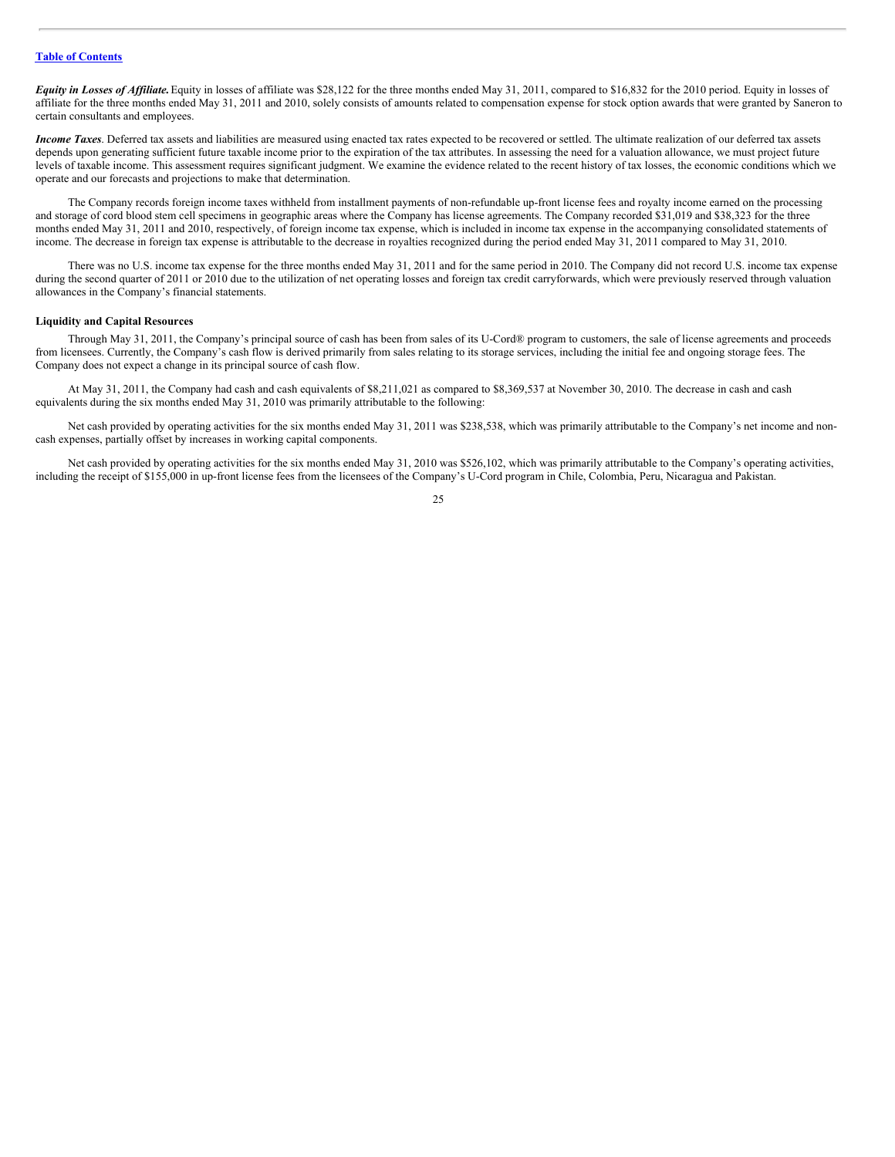*Equity in Losses of Affiliate*. Equity in losses of affiliate was \$28,122 for the three months ended May 31, 2011, compared to \$16,832 for the 2010 period. Equity in losses of affiliate for the three months ended May 31, 2011 and 2010, solely consists of amounts related to compensation expense for stock option awards that were granted by Saneron to certain consultants and employees.

*Income Taxes*. Deferred tax assets and liabilities are measured using enacted tax rates expected to be recovered or settled. The ultimate realization of our deferred tax assets depends upon generating sufficient future taxable income prior to the expiration of the tax attributes. In assessing the need for a valuation allowance, we must project future levels of taxable income. This assessment requires significant judgment. We examine the evidence related to the recent history of tax losses, the economic conditions which we operate and our forecasts and projections to make that determination.

The Company records foreign income taxes withheld from installment payments of non-refundable up-front license fees and royalty income earned on the processing and storage of cord blood stem cell specimens in geographic areas where the Company has license agreements. The Company recorded \$31,019 and \$38,323 for the three months ended May 31, 2011 and 2010, respectively, of foreign income tax expense, which is included in income tax expense in the accompanying consolidated statements of income. The decrease in foreign tax expense is attributable to the decrease in royalties recognized during the period ended May 31, 2011 compared to May 31, 2010.

There was no U.S. income tax expense for the three months ended May 31, 2011 and for the same period in 2010. The Company did not record U.S. income tax expense during the second quarter of 2011 or 2010 due to the utilization of net operating losses and foreign tax credit carryforwards, which were previously reserved through valuation allowances in the Company's financial statements.

# **Liquidity and Capital Resources**

Through May 31, 2011, the Company's principal source of cash has been from sales of its U-Cord® program to customers, the sale of license agreements and proceeds from licensees. Currently, the Company's cash flow is derived primarily from sales relating to its storage services, including the initial fee and ongoing storage fees. The Company does not expect a change in its principal source of cash flow.

At May 31, 2011, the Company had cash and cash equivalents of \$8,211,021 as compared to \$8,369,537 at November 30, 2010. The decrease in cash and cash equivalents during the six months ended May 31, 2010 was primarily attributable to the following:

Net cash provided by operating activities for the six months ended May 31, 2011 was \$238,538, which was primarily attributable to the Company's net income and noncash expenses, partially offset by increases in working capital components.

Net cash provided by operating activities for the six months ended May 31, 2010 was \$526,102, which was primarily attributable to the Company's operating activities, including the receipt of \$155,000 in up-front license fees from the licensees of the Company's U-Cord program in Chile, Colombia, Peru, Nicaragua and Pakistan.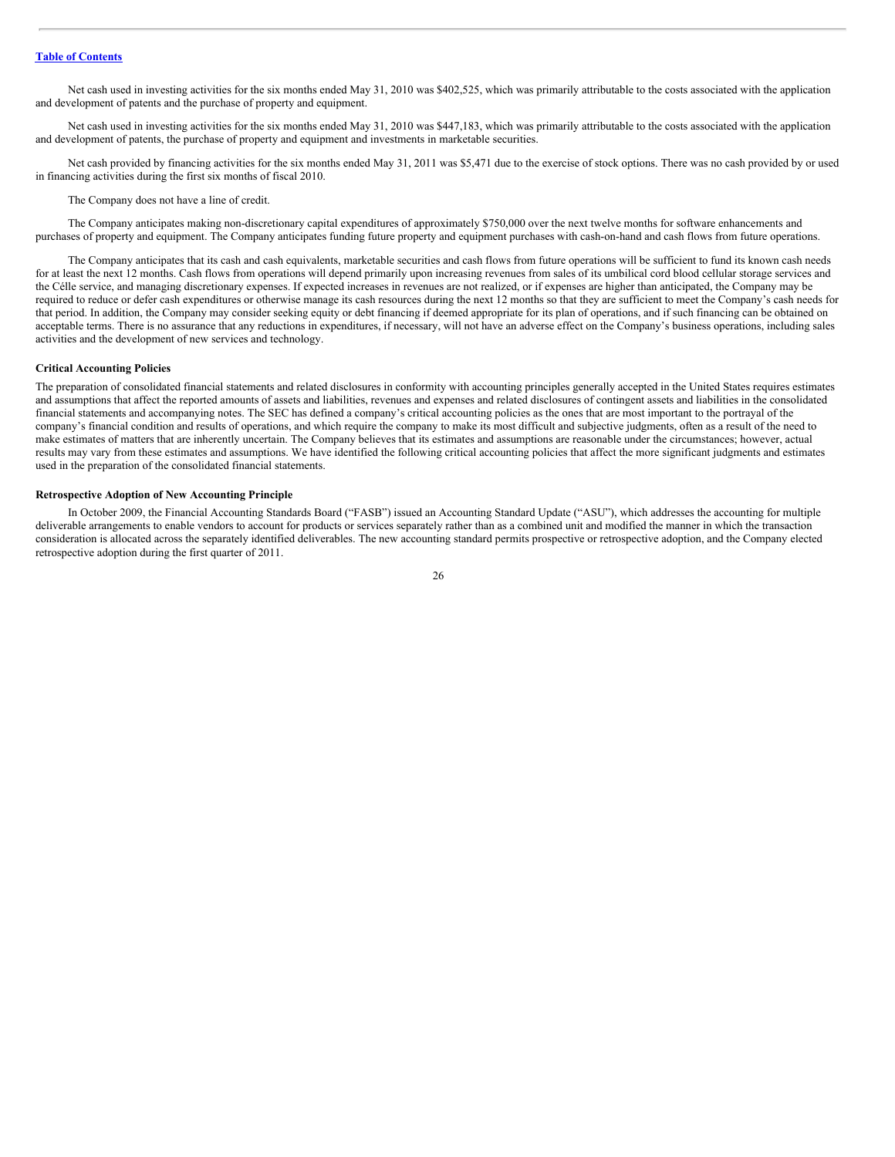Net cash used in investing activities for the six months ended May 31, 2010 was \$402,525, which was primarily attributable to the costs associated with the application and development of patents and the purchase of property and equipment.

Net cash used in investing activities for the six months ended May 31, 2010 was \$447,183, which was primarily attributable to the costs associated with the application and development of patents, the purchase of property and equipment and investments in marketable securities.

Net cash provided by financing activities for the six months ended May 31, 2011 was \$5,471 due to the exercise of stock options. There was no cash provided by or used in financing activities during the first six months of fiscal 2010.

The Company does not have a line of credit.

The Company anticipates making non-discretionary capital expenditures of approximately \$750,000 over the next twelve months for software enhancements and purchases of property and equipment. The Company anticipates funding future property and equipment purchases with cash-on-hand and cash flows from future operations.

The Company anticipates that its cash and cash equivalents, marketable securities and cash flows from future operations will be sufficient to fund its known cash needs for at least the next 12 months. Cash flows from operations will depend primarily upon increasing revenues from sales of its umbilical cord blood cellular storage services and the Célle service, and managing discretionary expenses. If expected increases in revenues are not realized, or if expenses are higher than anticipated, the Company may be required to reduce or defer cash expenditures or otherwise manage its cash resources during the next 12 months so that they are sufficient to meet the Company's cash needs for that period. In addition, the Company may consider seeking equity or debt financing if deemed appropriate for its plan of operations, and if such financing can be obtained on acceptable terms. There is no assurance that any reductions in expenditures, if necessary, will not have an adverse effect on the Company's business operations, including sales activities and the development of new services and technology.

#### **Critical Accounting Policies**

The preparation of consolidated financial statements and related disclosures in conformity with accounting principles generally accepted in the United States requires estimates and assumptions that affect the reported amounts of assets and liabilities, revenues and expenses and related disclosures of contingent assets and liabilities in the consolidated financial statements and accompanying notes. The SEC has defined a company's critical accounting policies as the ones that are most important to the portrayal of the company's financial condition and results of operations, and which require the company to make its most difficult and subjective judgments, often as a result of the need to make estimates of matters that are inherently uncertain. The Company believes that its estimates and assumptions are reasonable under the circumstances; however, actual results may vary from these estimates and assumptions. We have identified the following critical accounting policies that affect the more significant judgments and estimates used in the preparation of the consolidated financial statements.

#### **Retrospective Adoption of New Accounting Principle**

In October 2009, the Financial Accounting Standards Board ("FASB") issued an Accounting Standard Update ("ASU"), which addresses the accounting for multiple deliverable arrangements to enable vendors to account for products or services separately rather than as a combined unit and modified the manner in which the transaction consideration is allocated across the separately identified deliverables. The new accounting standard permits prospective or retrospective adoption, and the Company elected retrospective adoption during the first quarter of 2011.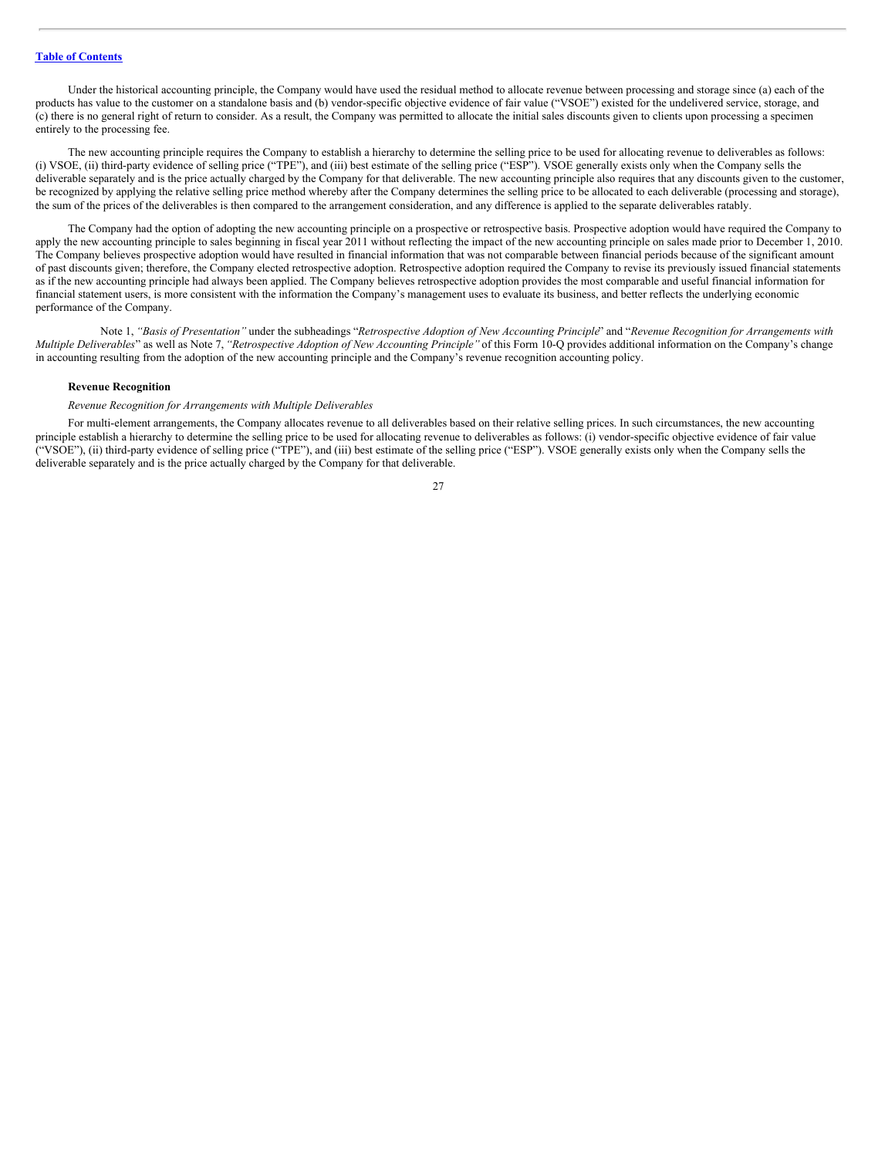Under the historical accounting principle, the Company would have used the residual method to allocate revenue between processing and storage since (a) each of the products has value to the customer on a standalone basis and (b) vendor-specific objective evidence of fair value ("VSOE") existed for the undelivered service, storage, and (c) there is no general right of return to consider. As a result, the Company was permitted to allocate the initial sales discounts given to clients upon processing a specimen entirely to the processing fee.

The new accounting principle requires the Company to establish a hierarchy to determine the selling price to be used for allocating revenue to deliverables as follows: (i) VSOE, (ii) third-party evidence of selling price ("TPE"), and (iii) best estimate of the selling price ("ESP"). VSOE generally exists only when the Company sells the deliverable separately and is the price actually charged by the Company for that deliverable. The new accounting principle also requires that any discounts given to the customer, be recognized by applying the relative selling price method whereby after the Company determines the selling price to be allocated to each deliverable (processing and storage), the sum of the prices of the deliverables is then compared to the arrangement consideration, and any difference is applied to the separate deliverables ratably.

The Company had the option of adopting the new accounting principle on a prospective or retrospective basis. Prospective adoption would have required the Company to apply the new accounting principle to sales beginning in fiscal year 2011 without reflecting the impact of the new accounting principle on sales made prior to December 1, 2010. The Company believes prospective adoption would have resulted in financial information that was not comparable between financial periods because of the significant amount of past discounts given; therefore, the Company elected retrospective adoption. Retrospective adoption required the Company to revise its previously issued financial statements as if the new accounting principle had always been applied. The Company believes retrospective adoption provides the most comparable and useful financial information for financial statement users, is more consistent with the information the Company's management uses to evaluate its business, and better reflects the underlying economic performance of the Company.

Note 1, "Basis of Presentation" under the subheadings "Retrospective Adoption of New Accounting Principle" and "Revenue Recognition for Arrangements with *Multiple Deliverables*" as well as Note 7, *"Retrospective Adoption of New Accounting Principle"* of this Form 10-Q provides additional information on the Company's change in accounting resulting from the adoption of the new accounting principle and the Company's revenue recognition accounting policy.

# **Revenue Recognition**

#### *Revenue Recognition for Arrangements with Multiple Deliverables*

For multi-element arrangements, the Company allocates revenue to all deliverables based on their relative selling prices. In such circumstances, the new accounting principle establish a hierarchy to determine the selling price to be used for allocating revenue to deliverables as follows: (i) vendor-specific objective evidence of fair value ("VSOE"), (ii) third-party evidence of selling price ("TPE"), and (iii) best estimate of the selling price ("ESP"). VSOE generally exists only when the Company sells the deliverable separately and is the price actually charged by the Company for that deliverable.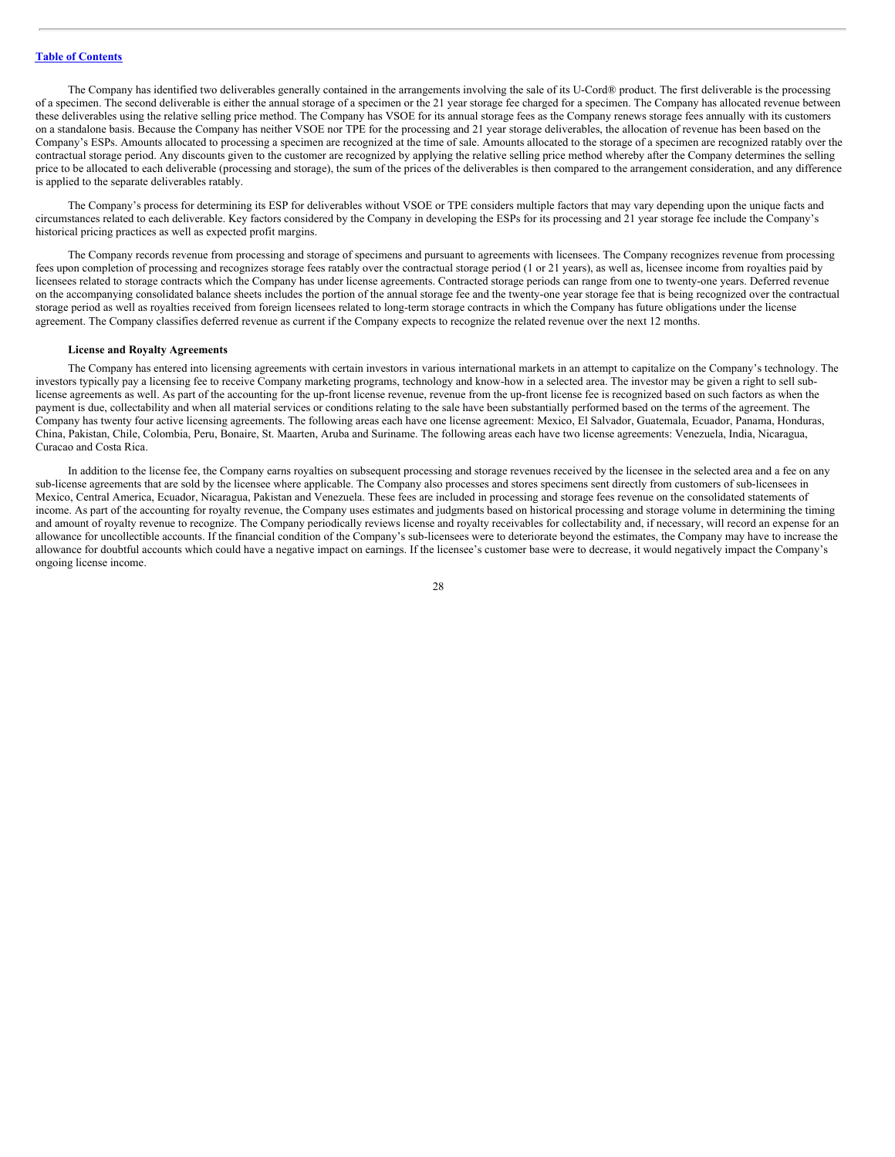The Company has identified two deliverables generally contained in the arrangements involving the sale of its U-Cord® product. The first deliverable is the processing of a specimen. The second deliverable is either the annual storage of a specimen or the 21 year storage fee charged for a specimen. The Company has allocated revenue between these deliverables using the relative selling price method. The Company has VSOE for its annual storage fees as the Company renews storage fees annually with its customers on a standalone basis. Because the Company has neither VSOE nor TPE for the processing and 21 year storage deliverables, the allocation of revenue has been based on the Company's ESPs. Amounts allocated to processing a specimen are recognized at the time of sale. Amounts allocated to the storage of a specimen are recognized ratably over the contractual storage period. Any discounts given to the customer are recognized by applying the relative selling price method whereby after the Company determines the selling price to be allocated to each deliverable (processing and storage), the sum of the prices of the deliverables is then compared to the arrangement consideration, and any difference is applied to the separate deliverables ratably.

The Company's process for determining its ESP for deliverables without VSOE or TPE considers multiple factors that may vary depending upon the unique facts and circumstances related to each deliverable. Key factors considered by the Company in developing the ESPs for its processing and 21 year storage fee include the Company's historical pricing practices as well as expected profit margins.

The Company records revenue from processing and storage of specimens and pursuant to agreements with licensees. The Company recognizes revenue from processing fees upon completion of processing and recognizes storage fees ratably over the contractual storage period (1 or 21 years), as well as, licensee income from royalties paid by licensees related to storage contracts which the Company has under license agreements. Contracted storage periods can range from one to twenty-one years. Deferred revenue on the accompanying consolidated balance sheets includes the portion of the annual storage fee and the twenty-one year storage fee that is being recognized over the contractual storage period as well as royalties received from foreign licensees related to long-term storage contracts in which the Company has future obligations under the license agreement. The Company classifies deferred revenue as current if the Company expects to recognize the related revenue over the next 12 months.

#### **License and Royalty Agreements**

The Company has entered into licensing agreements with certain investors in various international markets in an attempt to capitalize on the Company's technology. The investors typically pay a licensing fee to receive Company marketing programs, technology and know-how in a selected area. The investor may be given a right to sell sublicense agreements as well. As part of the accounting for the up-front license revenue, revenue from the up-front license fee is recognized based on such factors as when the payment is due, collectability and when all material services or conditions relating to the sale have been substantially performed based on the terms of the agreement. The Company has twenty four active licensing agreements. The following areas each have one license agreement: Mexico, El Salvador, Guatemala, Ecuador, Panama, Honduras, China, Pakistan, Chile, Colombia, Peru, Bonaire, St. Maarten, Aruba and Suriname. The following areas each have two license agreements: Venezuela, India, Nicaragua, Curacao and Costa Rica.

In addition to the license fee, the Company earns royalties on subsequent processing and storage revenues received by the licensee in the selected area and a fee on any sub-license agreements that are sold by the licensee where applicable. The Company also processes and stores specimens sent directly from customers of sub-licensees in Mexico, Central America, Ecuador, Nicaragua, Pakistan and Venezuela. These fees are included in processing and storage fees revenue on the consolidated statements of income. As part of the accounting for royalty revenue, the Company uses estimates and judgments based on historical processing and storage volume in determining the timing and amount of royalty revenue to recognize. The Company periodically reviews license and royalty receivables for collectability and, if necessary, will record an expense for an allowance for uncollectible accounts. If the financial condition of the Company's sub-licensees were to deteriorate beyond the estimates, the Company may have to increase the allowance for doubtful accounts which could have a negative impact on earnings. If the licensee's customer base were to decrease, it would negatively impact the Company's ongoing license income.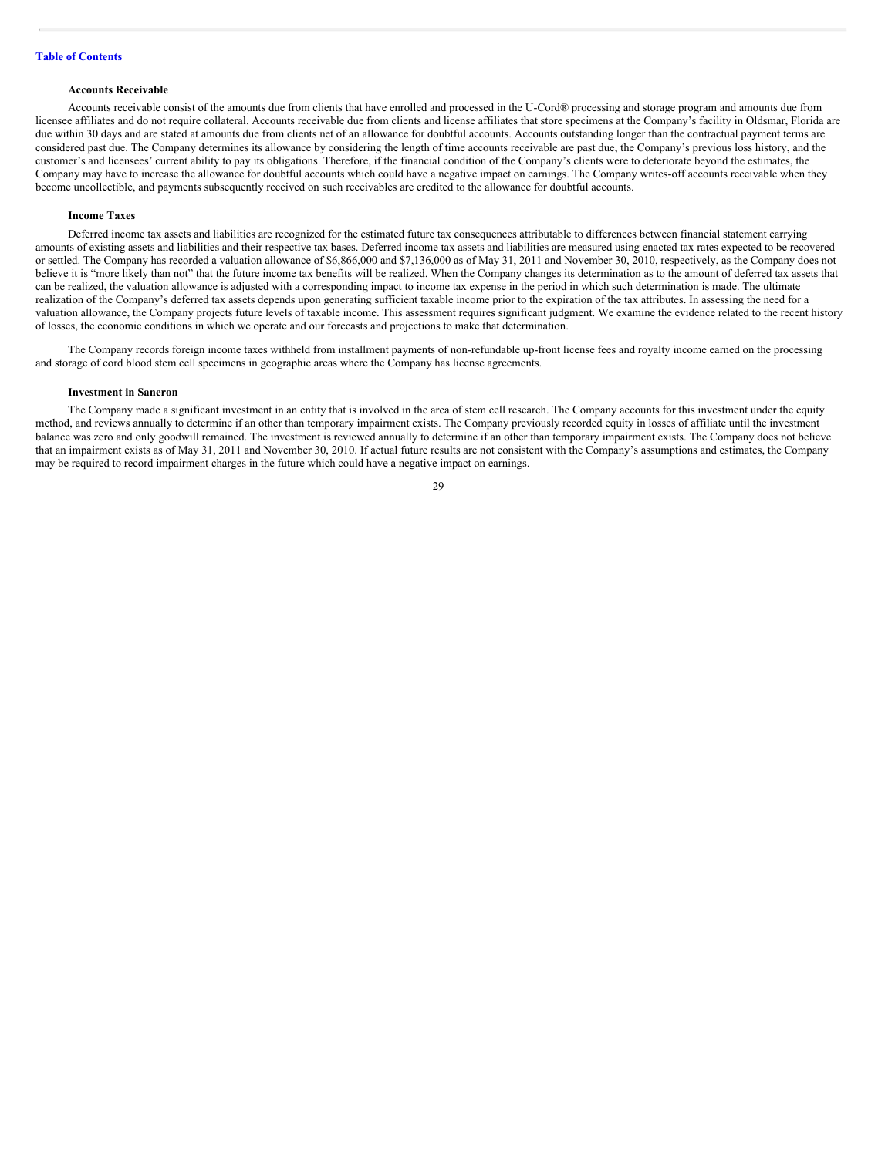## **Accounts Receivable**

Accounts receivable consist of the amounts due from clients that have enrolled and processed in the U-Cord® processing and storage program and amounts due from licensee affiliates and do not require collateral. Accounts receivable due from clients and license affiliates that store specimens at the Company's facility in Oldsmar, Florida are due within 30 days and are stated at amounts due from clients net of an allowance for doubtful accounts. Accounts outstanding longer than the contractual payment terms are considered past due. The Company determines its allowance by considering the length of time accounts receivable are past due, the Company's previous loss history, and the customer's and licensees' current ability to pay its obligations. Therefore, if the financial condition of the Company's clients were to deteriorate beyond the estimates, the Company may have to increase the allowance for doubtful accounts which could have a negative impact on earnings. The Company writes-off accounts receivable when they become uncollectible, and payments subsequently received on such receivables are credited to the allowance for doubtful accounts.

#### **Income Taxes**

Deferred income tax assets and liabilities are recognized for the estimated future tax consequences attributable to differences between financial statement carrying amounts of existing assets and liabilities and their respective tax bases. Deferred income tax assets and liabilities are measured using enacted tax rates expected to be recovered or settled. The Company has recorded a valuation allowance of \$6,866,000 and \$7,136,000 as of May 31, 2011 and November 30, 2010, respectively, as the Company does not believe it is "more likely than not" that the future income tax benefits will be realized. When the Company changes its determination as to the amount of deferred tax assets that can be realized, the valuation allowance is adjusted with a corresponding impact to income tax expense in the period in which such determination is made. The ultimate realization of the Company's deferred tax assets depends upon generating sufficient taxable income prior to the expiration of the tax attributes. In assessing the need for a valuation allowance, the Company projects future levels of taxable income. This assessment requires significant judgment. We examine the evidence related to the recent history of losses, the economic conditions in which we operate and our forecasts and projections to make that determination.

The Company records foreign income taxes withheld from installment payments of non-refundable up-front license fees and royalty income earned on the processing and storage of cord blood stem cell specimens in geographic areas where the Company has license agreements.

#### **Investment in Saneron**

The Company made a significant investment in an entity that is involved in the area of stem cell research. The Company accounts for this investment under the equity method, and reviews annually to determine if an other than temporary impairment exists. The Company previously recorded equity in losses of affiliate until the investment balance was zero and only goodwill remained. The investment is reviewed annually to determine if an other than temporary impairment exists. The Company does not believe that an impairment exists as of May 31, 2011 and November 30, 2010. If actual future results are not consistent with the Company's assumptions and estimates, the Company may be required to record impairment charges in the future which could have a negative impact on earnings.

| ł<br>×, |               |
|---------|---------------|
| I       | ۰.<br>۰,<br>٧ |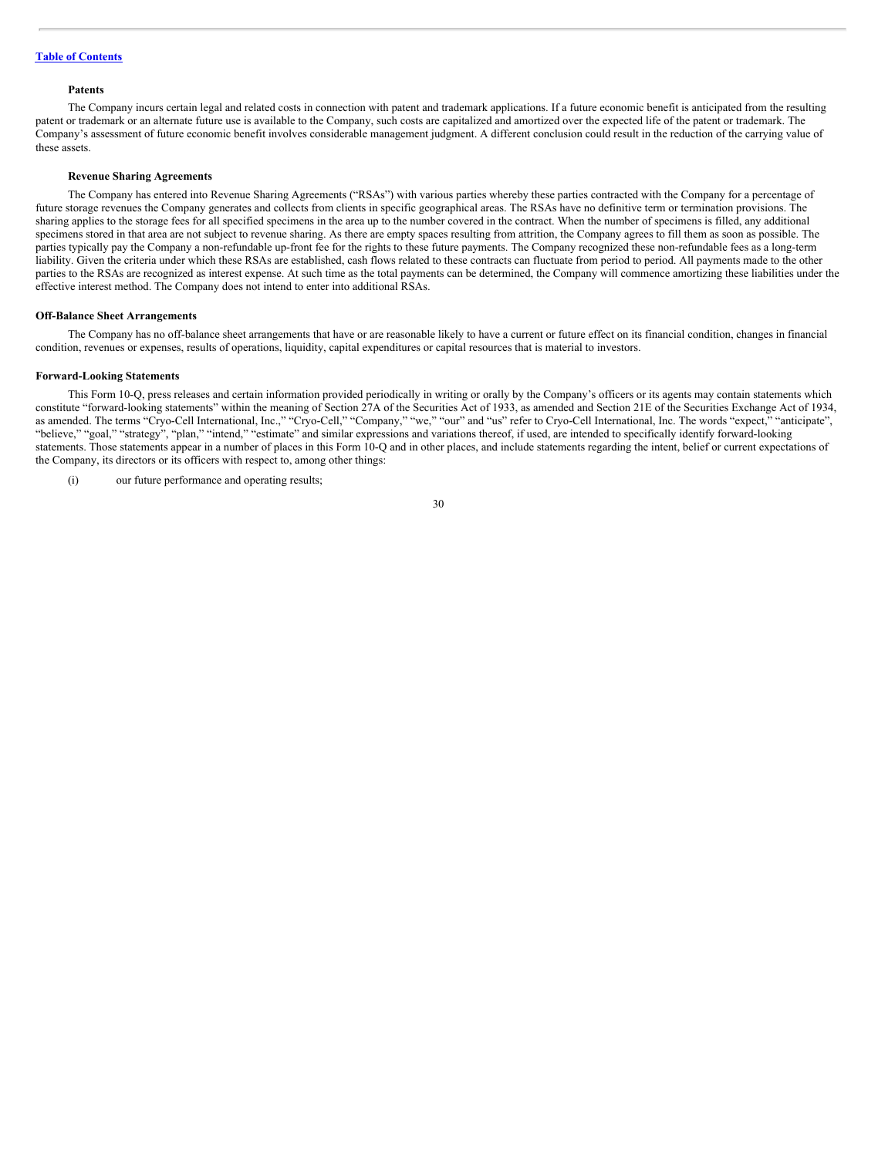#### **Patents**

The Company incurs certain legal and related costs in connection with patent and trademark applications. If a future economic benefit is anticipated from the resulting patent or trademark or an alternate future use is available to the Company, such costs are capitalized and amortized over the expected life of the patent or trademark. The Company's assessment of future economic benefit involves considerable management judgment. A different conclusion could result in the reduction of the carrying value of these assets.

#### **Revenue Sharing Agreements**

The Company has entered into Revenue Sharing Agreements ("RSAs") with various parties whereby these parties contracted with the Company for a percentage of future storage revenues the Company generates and collects from clients in specific geographical areas. The RSAs have no definitive term or termination provisions. The sharing applies to the storage fees for all specified specimens in the area up to the number covered in the contract. When the number of specimens is filled, any additional specimens stored in that area are not subject to revenue sharing. As there are empty spaces resulting from attrition, the Company agrees to fill them as soon as possible. The parties typically pay the Company a non-refundable up-front fee for the rights to these future payments. The Company recognized these non-refundable fees as a long-term liability. Given the criteria under which these RSAs are established, cash flows related to these contracts can fluctuate from period to period. All payments made to the other parties to the RSAs are recognized as interest expense. At such time as the total payments can be determined, the Company will commence amortizing these liabilities under the effective interest method. The Company does not intend to enter into additional RSAs.

#### **Off-Balance Sheet Arrangements**

The Company has no off-balance sheet arrangements that have or are reasonable likely to have a current or future effect on its financial condition, changes in financial condition, revenues or expenses, results of operations, liquidity, capital expenditures or capital resources that is material to investors.

#### **Forward-Looking Statements**

This Form 10-Q, press releases and certain information provided periodically in writing or orally by the Company's officers or its agents may contain statements which constitute "forward-looking statements" within the meaning of Section 27A of the Securities Act of 1933, as amended and Section 21E of the Securities Exchange Act of 1934, as amended. The terms "Cryo-Cell International, Inc.," "Cryo-Cell," "Company," "we," "our" and "us" refer to Cryo-Cell International, Inc. The words "expect," "anticipate", "believe," "goal," "strategy", "plan," "intend," "estimate" and similar expressions and variations thereof, if used, are intended to specifically identify forward-looking statements. Those statements appear in a number of places in this Form 10-Q and in other places, and include statements regarding the intent, belief or current expectations of the Company, its directors or its officers with respect to, among other things:

(i) our future performance and operating results;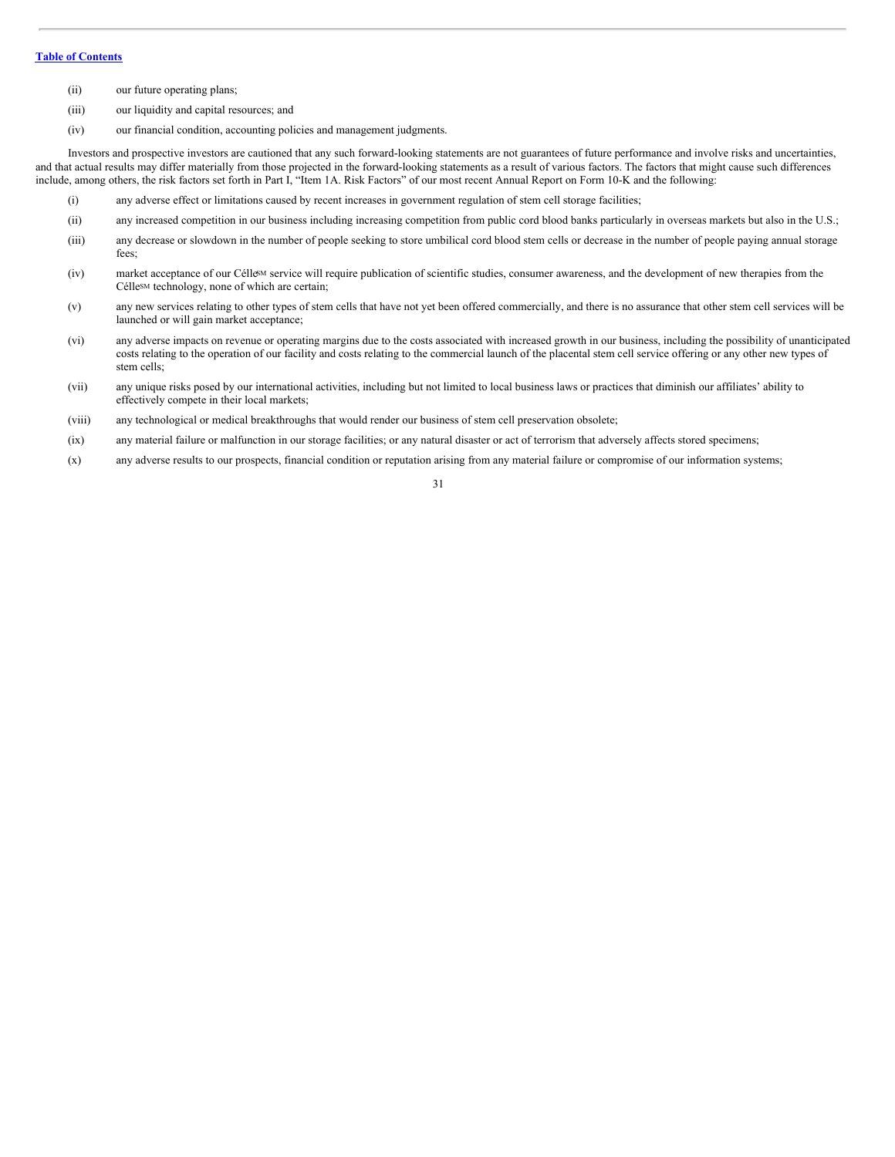- (ii) our future operating plans;
- (iii) our liquidity and capital resources; and
- (iv) our financial condition, accounting policies and management judgments.

Investors and prospective investors are cautioned that any such forward-looking statements are not guarantees of future performance and involve risks and uncertainties, and that actual results may differ materially from those projected in the forward-looking statements as a result of various factors. The factors that might cause such differences include, among others, the risk factors set forth in Part I, "Item 1A. Risk Factors" of our most recent Annual Report on Form 10-K and the following:

- (i) any adverse effect or limitations caused by recent increases in government regulation of stem cell storage facilities;
- (ii) any increased competition in our business including increasing competition from public cord blood banks particularly in overseas markets but also in the U.S.;
- (iii) any decrease or slowdown in the number of people seeking to store umbilical cord blood stem cells or decrease in the number of people paying annual storage fees;
- (iv) market acceptance of our Célle<sup>M</sup> service will require publication of scientific studies, consumer awareness, and the development of new therapies from the Célle<sup>SM</sup> technology, none of which are certain;
- (v) any new services relating to other types of stem cells that have not yet been offered commercially, and there is no assurance that other stem cell services will be launched or will gain market acceptance;
- (vi) any adverse impacts on revenue or operating margins due to the costs associated with increased growth in our business, including the possibility of unanticipated costs relating to the operation of our facility and costs relating to the commercial launch of the placental stem cell service offering or any other new types of stem cells;
- (vii) any unique risks posed by our international activities, including but not limited to local business laws or practices that diminish our affiliates' ability to effectively compete in their local markets;
- (viii) any technological or medical breakthroughs that would render our business of stem cell preservation obsolete;
- (ix) any material failure or malfunction in our storage facilities; or any natural disaster or act of terrorism that adversely affects stored specimens;
- (x) any adverse results to our prospects, financial condition or reputation arising from any material failure or compromise of our information systems;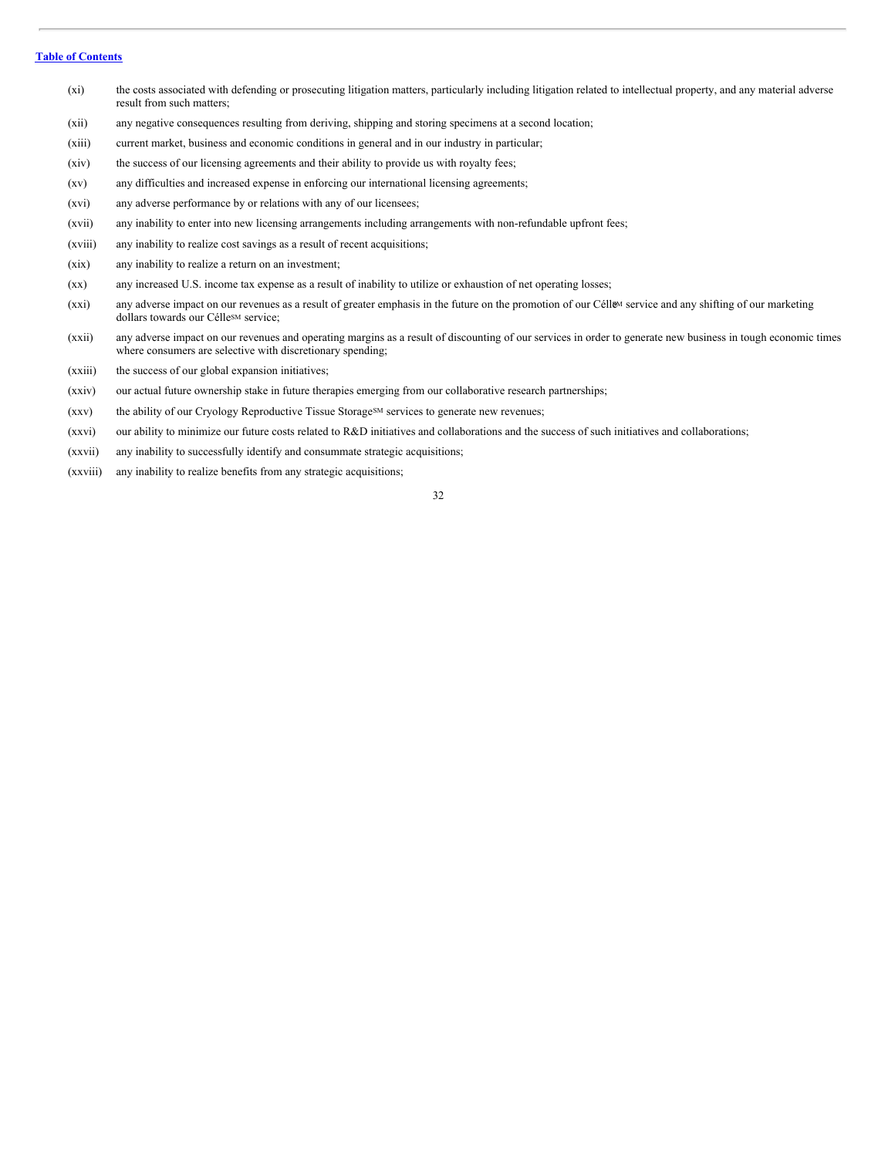- (xi) the costs associated with defending or prosecuting litigation matters, particularly including litigation related to intellectual property, and any material adverse result from such matters;
- (xii) any negative consequences resulting from deriving, shipping and storing specimens at a second location;
- (xiii) current market, business and economic conditions in general and in our industry in particular;
- (xiv) the success of our licensing agreements and their ability to provide us with royalty fees;
- (xv) any difficulties and increased expense in enforcing our international licensing agreements;
- (xvi) any adverse performance by or relations with any of our licensees;
- (xvii) any inability to enter into new licensing arrangements including arrangements with non-refundable upfront fees;
- (xviii) any inability to realize cost savings as a result of recent acquisitions;
- (xix) any inability to realize a return on an investment;
- (xx) any increased U.S. income tax expense as a result of inability to utilize or exhaustion of net operating losses;
- (xxi) any adverse impact on our revenues as a result of greater emphasis in the future on the promotion of our Céll<sup>eM</sup> service and any shifting of our marketing dollars towards our Célle<sup>SM</sup> service;
- (xxii) any adverse impact on our revenues and operating margins as a result of discounting of our services in order to generate new business in tough economic times where consumers are selective with discretionary spending;
- (xxiii) the success of our global expansion initiatives;
- (xxiv) our actual future ownership stake in future therapies emerging from our collaborative research partnerships;
- $(xxy)$  the ability of our Cryology Reproductive Tissue Storage<sup>SM</sup> services to generate new revenues;
- (xxvi) our ability to minimize our future costs related to R&D initiatives and collaborations and the success of such initiatives and collaborations;
- (xxvii) any inability to successfully identify and consummate strategic acquisitions;
- (xxviii) any inability to realize benefits from any strategic acquisitions;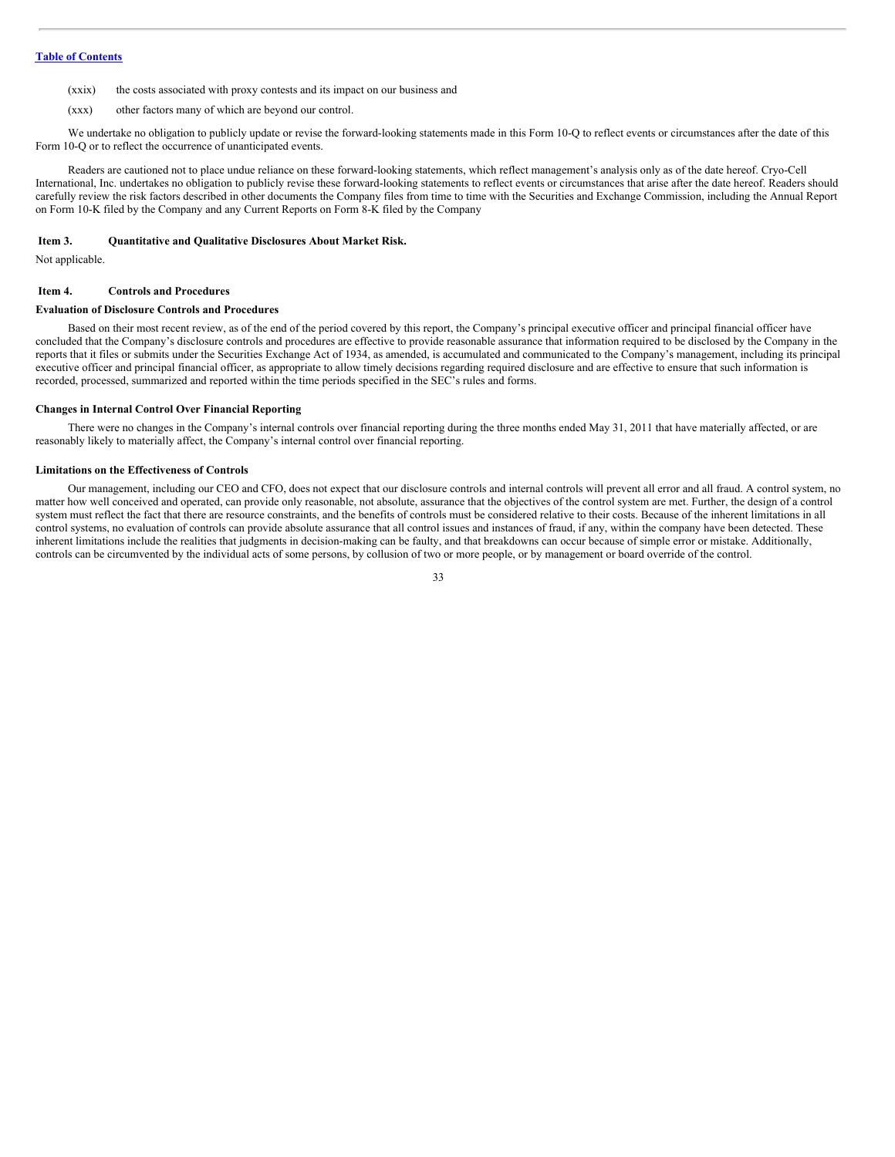- (xxix) the costs associated with proxy contests and its impact on our business and
- (xxx) other factors many of which are beyond our control.

We undertake no obligation to publicly update or revise the forward-looking statements made in this Form 10-Q to reflect events or circumstances after the date of this Form 10-Q or to reflect the occurrence of unanticipated events.

Readers are cautioned not to place undue reliance on these forward-looking statements, which reflect management's analysis only as of the date hereof. Cryo-Cell International, Inc. undertakes no obligation to publicly revise these forward-looking statements to reflect events or circumstances that arise after the date hereof. Readers should carefully review the risk factors described in other documents the Company files from time to time with the Securities and Exchange Commission, including the Annual Report on Form 10-K filed by the Company and any Current Reports on Form 8-K filed by the Company

#### <span id="page-32-0"></span>**Item 3. Quantitative and Qualitative Disclosures About Market Risk.**

Not applicable.

# <span id="page-32-1"></span>**Item 4. Controls and Procedures**

#### **Evaluation of Disclosure Controls and Procedures**

Based on their most recent review, as of the end of the period covered by this report, the Company's principal executive officer and principal financial officer have concluded that the Company's disclosure controls and procedures are effective to provide reasonable assurance that information required to be disclosed by the Company in the reports that it files or submits under the Securities Exchange Act of 1934, as amended, is accumulated and communicated to the Company's management, including its principal executive officer and principal financial officer, as appropriate to allow timely decisions regarding required disclosure and are effective to ensure that such information is recorded, processed, summarized and reported within the time periods specified in the SEC's rules and forms.

#### **Changes in Internal Control Over Financial Reporting**

There were no changes in the Company's internal controls over financial reporting during the three months ended May 31, 2011 that have materially affected, or are reasonably likely to materially affect, the Company's internal control over financial reporting.

#### **Limitations on the Effectiveness of Controls**

Our management, including our CEO and CFO, does not expect that our disclosure controls and internal controls will prevent all error and all fraud. A control system, no matter how well conceived and operated, can provide only reasonable, not absolute, assurance that the objectives of the control system are met. Further, the design of a control system must reflect the fact that there are resource constraints, and the benefits of controls must be considered relative to their costs. Because of the inherent limitations in all control systems, no evaluation of controls can provide absolute assurance that all control issues and instances of fraud, if any, within the company have been detected. These inherent limitations include the realities that judgments in decision-making can be faulty, and that breakdowns can occur because of simple error or mistake. Additionally, controls can be circumvented by the individual acts of some persons, by collusion of two or more people, or by management or board override of the control.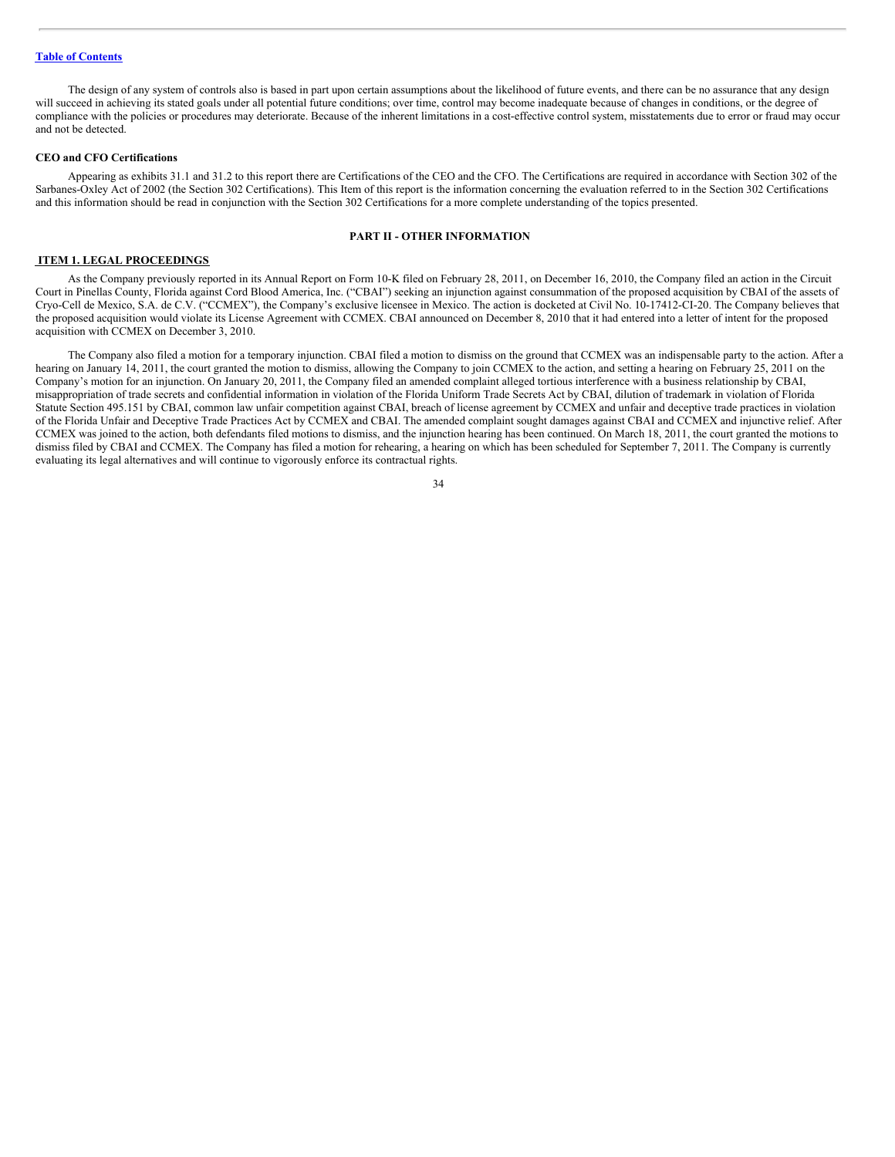The design of any system of controls also is based in part upon certain assumptions about the likelihood of future events, and there can be no assurance that any design will succeed in achieving its stated goals under all potential future conditions; over time, control may become inadequate because of changes in conditions, or the degree of compliance with the policies or procedures may deteriorate. Because of the inherent limitations in a cost-effective control system, misstatements due to error or fraud may occur and not be detected.

#### **CEO and CFO Certifications**

Appearing as exhibits 31.1 and 31.2 to this report there are Certifications of the CEO and the CFO. The Certifications are required in accordance with Section 302 of the Sarbanes-Oxley Act of 2002 (the Section 302 Certifications). This Item of this report is the information concerning the evaluation referred to in the Section 302 Certifications and this information should be read in conjunction with the Section 302 Certifications for a more complete understanding of the topics presented.

# <span id="page-33-0"></span>**PART II - OTHER INFORMATION**

#### <span id="page-33-1"></span>**ITEM 1. LEGAL PROCEEDINGS**

As the Company previously reported in its Annual Report on Form 10-K filed on February 28, 2011, on December 16, 2010, the Company filed an action in the Circuit Court in Pinellas County, Florida against Cord Blood America, Inc. ("CBAI") seeking an injunction against consummation of the proposed acquisition by CBAI of the assets of Cryo-Cell de Mexico, S.A. de C.V. ("CCMEX"), the Company's exclusive licensee in Mexico. The action is docketed at Civil No. 10-17412-CI-20. The Company believes that the proposed acquisition would violate its License Agreement with CCMEX. CBAI announced on December 8, 2010 that it had entered into a letter of intent for the proposed acquisition with CCMEX on December 3, 2010.

The Company also filed a motion for a temporary injunction. CBAI filed a motion to dismiss on the ground that CCMEX was an indispensable party to the action. After a hearing on January 14, 2011, the court granted the motion to dismiss, allowing the Company to join CCMEX to the action, and setting a hearing on February 25, 2011 on the Company's motion for an injunction. On January 20, 2011, the Company filed an amended complaint alleged tortious interference with a business relationship by CBAI, misappropriation of trade secrets and confidential information in violation of the Florida Uniform Trade Secrets Act by CBAI, dilution of trademark in violation of Florida Statute Section 495.151 by CBAI, common law unfair competition against CBAI, breach of license agreement by CCMEX and unfair and deceptive trade practices in violation of the Florida Unfair and Deceptive Trade Practices Act by CCMEX and CBAI. The amended complaint sought damages against CBAI and CCMEX and injunctive relief. After CCMEX was joined to the action, both defendants filed motions to dismiss, and the injunction hearing has been continued. On March 18, 2011, the court granted the motions to dismiss filed by CBAI and CCMEX. The Company has filed a motion for rehearing, a hearing on which has been scheduled for September 7, 2011. The Company is currently evaluating its legal alternatives and will continue to vigorously enforce its contractual rights.

<sup>34</sup>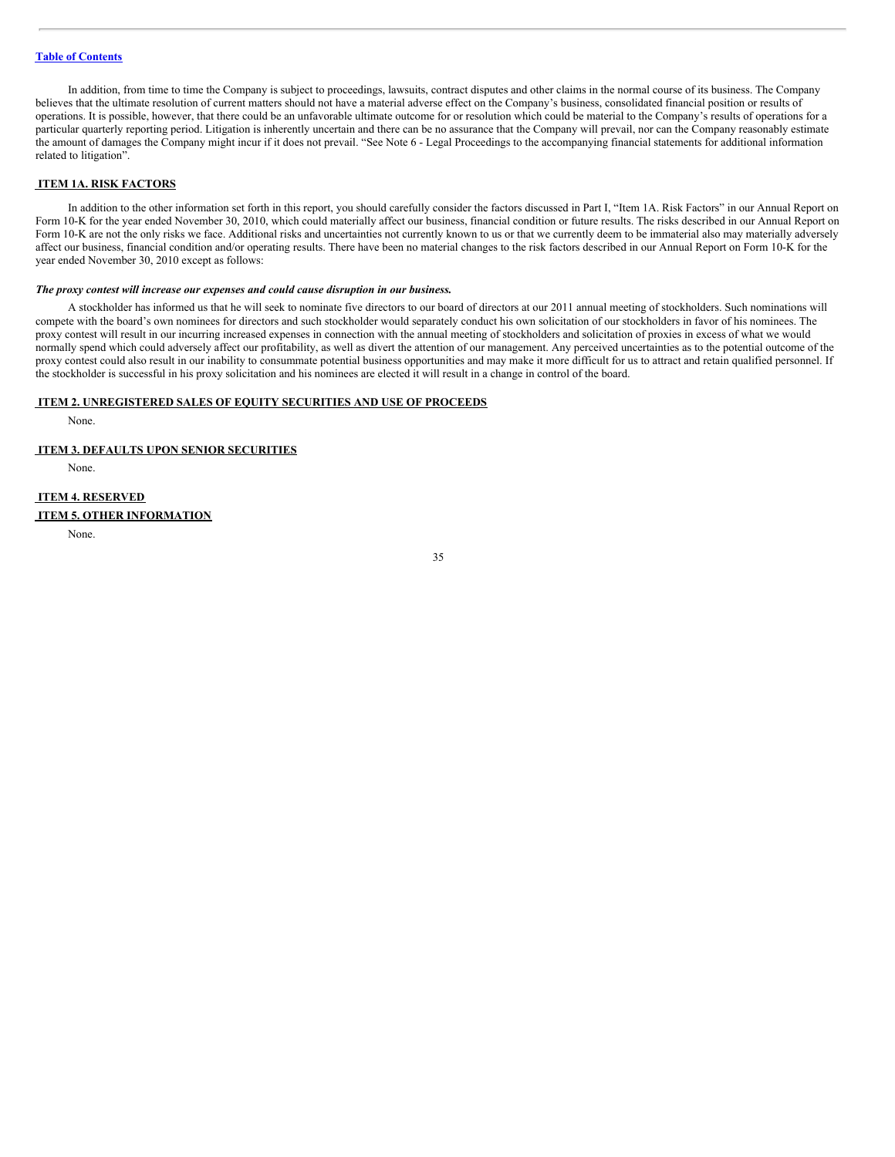In addition, from time to time the Company is subject to proceedings, lawsuits, contract disputes and other claims in the normal course of its business. The Company believes that the ultimate resolution of current matters should not have a material adverse effect on the Company's business, consolidated financial position or results of operations. It is possible, however, that there could be an unfavorable ultimate outcome for or resolution which could be material to the Company's results of operations for a particular quarterly reporting period. Litigation is inherently uncertain and there can be no assurance that the Company will prevail, nor can the Company reasonably estimate the amount of damages the Company might incur if it does not prevail. "See Note 6 - Legal Proceedings to the accompanying financial statements for additional information related to litigation".

#### <span id="page-34-0"></span>**ITEM 1A. RISK FACTORS**

In addition to the other information set forth in this report, you should carefully consider the factors discussed in Part I, "Item 1A. Risk Factors" in our Annual Report on Form 10-K for the year ended November 30, 2010, which could materially affect our business, financial condition or future results. The risks described in our Annual Report on Form 10-K are not the only risks we face. Additional risks and uncertainties not currently known to us or that we currently deem to be immaterial also may materially adversely affect our business, financial condition and/or operating results. There have been no material changes to the risk factors described in our Annual Report on Form 10-K for the year ended November 30, 2010 except as follows:

#### *The proxy contest will increase our expenses and could cause disruption in our business.*

A stockholder has informed us that he will seek to nominate five directors to our board of directors at our 2011 annual meeting of stockholders. Such nominations will compete with the board's own nominees for directors and such stockholder would separately conduct his own solicitation of our stockholders in favor of his nominees. The proxy contest will result in our incurring increased expenses in connection with the annual meeting of stockholders and solicitation of proxies in excess of what we would normally spend which could adversely affect our profitability, as well as divert the attention of our management. Any perceived uncertainties as to the potential outcome of the proxy contest could also result in our inability to consummate potential business opportunities and may make it more difficult for us to attract and retain qualified personnel. If the stockholder is successful in his proxy solicitation and his nominees are elected it will result in a change in control of the board.

# <span id="page-34-1"></span>**ITEM 2. UNREGISTERED SALES OF EQUITY SECURITIES AND USE OF PROCEEDS**

None.

# <span id="page-34-2"></span>**ITEM 3. DEFAULTS UPON SENIOR SECURITIES**

None.

# <span id="page-34-3"></span>**ITEM 4. RESERVED**

#### <span id="page-34-4"></span>**ITEM 5. OTHER INFORMATION**

None.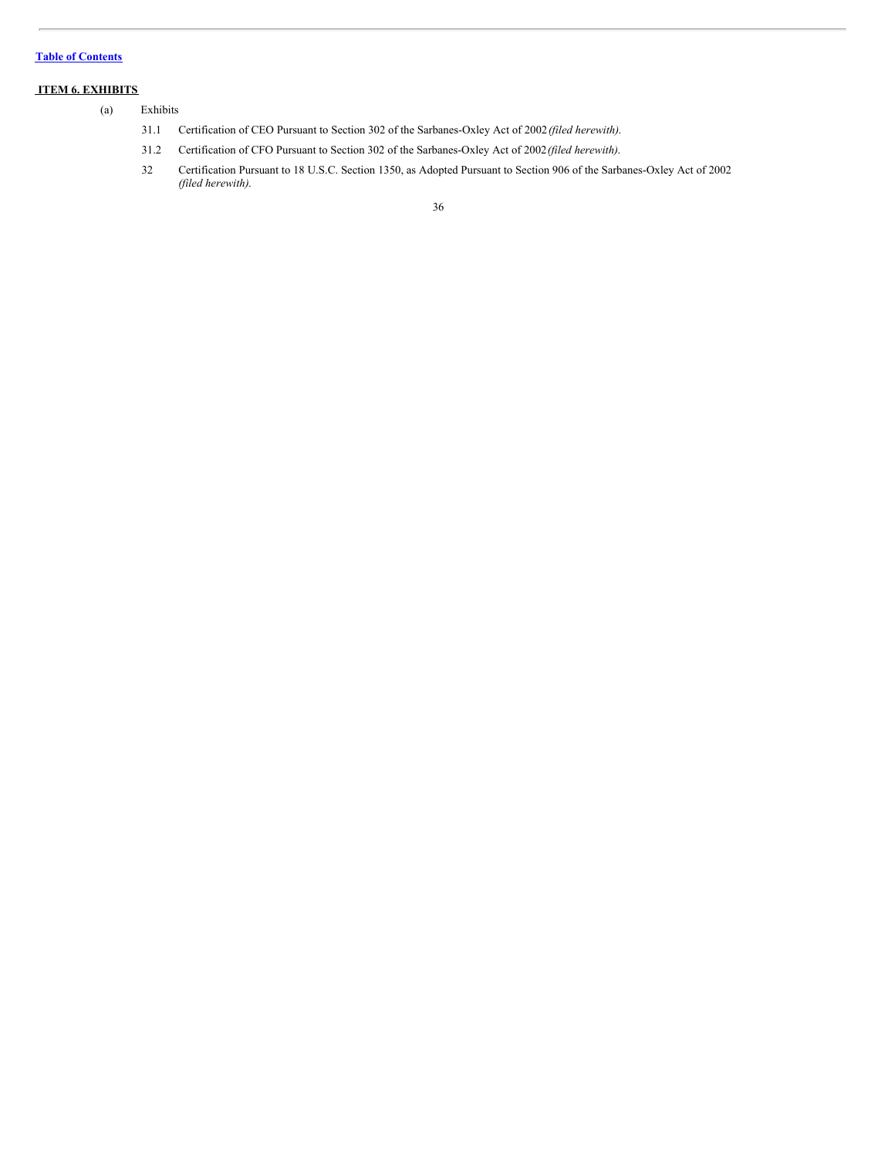# <span id="page-35-0"></span>**ITEM 6. EXHIBITS**

# (a) Exhibits

- 31.1 Certification of CEO Pursuant to Section 302 of the Sarbanes-Oxley Act of 2002*(filed herewith)*.
- 31.2 Certification of CFO Pursuant to Section 302 of the Sarbanes-Oxley Act of 2002*(filed herewith)*.
- 32 Certification Pursuant to 18 U.S.C. Section 1350, as Adopted Pursuant to Section 906 of the Sarbanes-Oxley Act of 2002 *(filed herewith)*.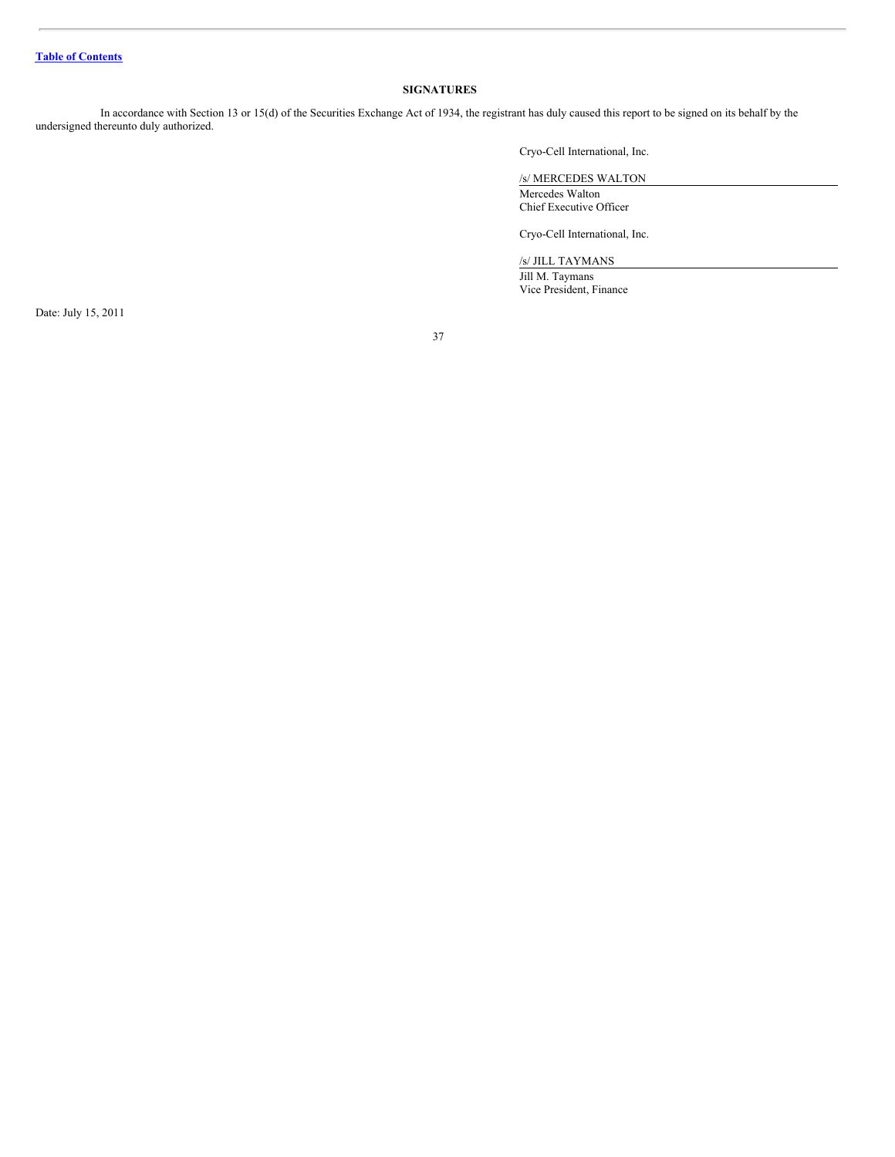# <span id="page-36-0"></span>**SIGNATURES**

In accordance with Section 13 or 15(d) of the Securities Exchange Act of 1934, the registrant has duly caused this report to be signed on its behalf by the undersigned thereunto duly authorized.

Cryo-Cell International, Inc.

/s/ MERCEDES WALTON Mercedes Walton Chief Executive Officer

Cryo-Cell International, Inc.

/s/ JILL TAYMANS

Jill M. Taymans Vice President, Finance

Date: July 15, 2011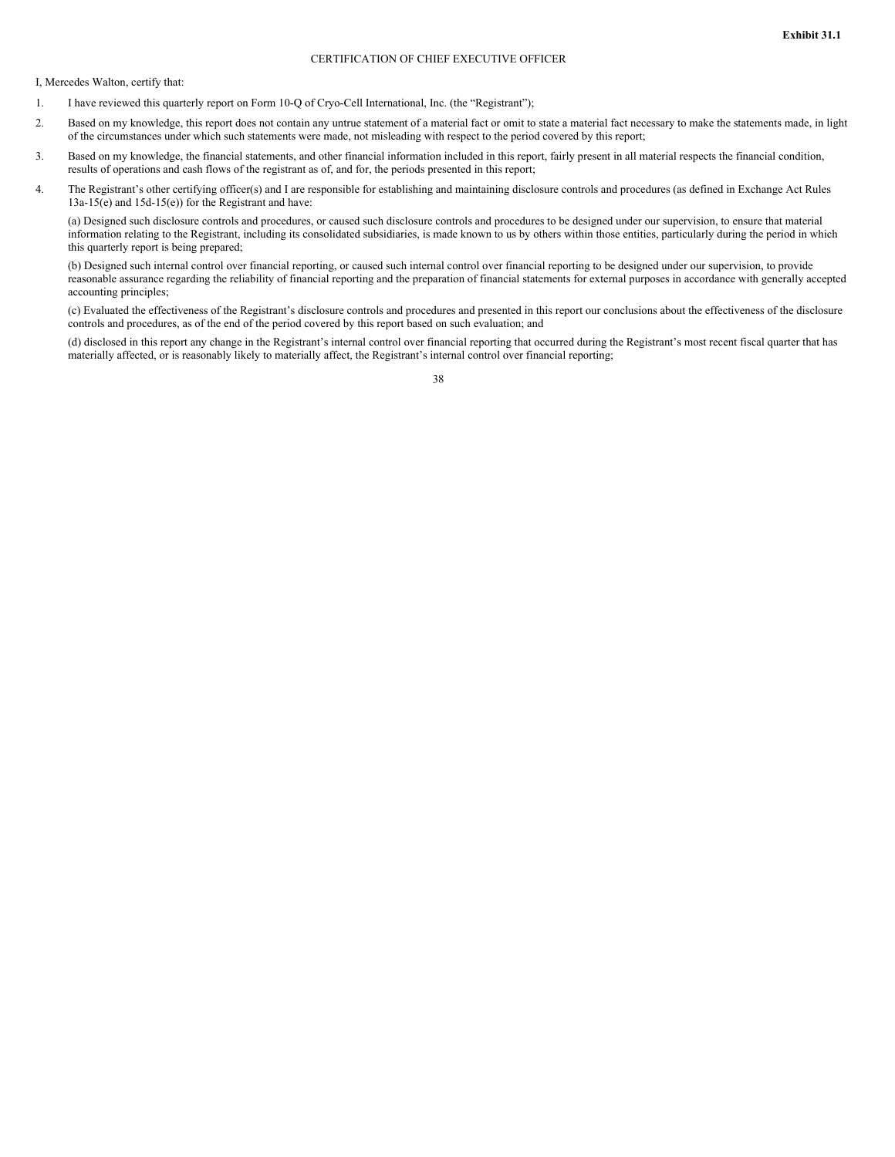# CERTIFICATION OF CHIEF EXECUTIVE OFFICER

I, Mercedes Walton, certify that:

- 1. I have reviewed this quarterly report on Form 10-Q of Cryo-Cell International, Inc. (the "Registrant");
- 2. Based on my knowledge, this report does not contain any untrue statement of a material fact or omit to state a material fact necessary to make the statements made, in light of the circumstances under which such statements were made, not misleading with respect to the period covered by this report;
- 3. Based on my knowledge, the financial statements, and other financial information included in this report, fairly present in all material respects the financial condition, results of operations and cash flows of the registrant as of, and for, the periods presented in this report;
- 4. The Registrant's other certifying officer(s) and I are responsible for establishing and maintaining disclosure controls and procedures (as defined in Exchange Act Rules 13a-15(e) and 15d-15(e)) for the Registrant and have:

(a) Designed such disclosure controls and procedures, or caused such disclosure controls and procedures to be designed under our supervision, to ensure that material information relating to the Registrant, including its consolidated subsidiaries, is made known to us by others within those entities, particularly during the period in which this quarterly report is being prepared;

(b) Designed such internal control over financial reporting, or caused such internal control over financial reporting to be designed under our supervision, to provide reasonable assurance regarding the reliability of financial reporting and the preparation of financial statements for external purposes in accordance with generally accepted accounting principles;

(c) Evaluated the effectiveness of the Registrant's disclosure controls and procedures and presented in this report our conclusions about the effectiveness of the disclosure controls and procedures, as of the end of the period covered by this report based on such evaluation; and

(d) disclosed in this report any change in the Registrant's internal control over financial reporting that occurred during the Registrant's most recent fiscal quarter that has materially affected, or is reasonably likely to materially affect, the Registrant's internal control over financial reporting;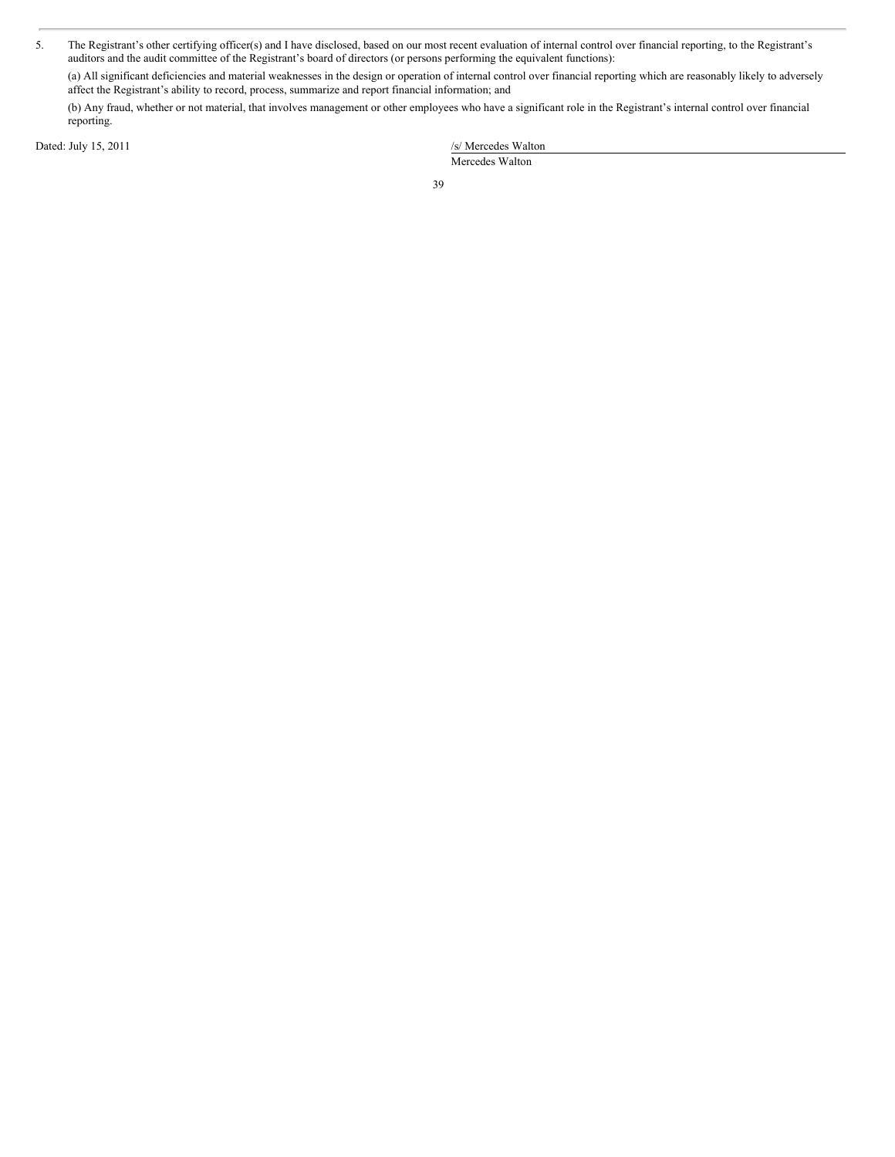5. The Registrant's other certifying officer(s) and I have disclosed, based on our most recent evaluation of internal control over financial reporting, to the Registrant's auditors and the audit committee of the Registrant's board of directors (or persons performing the equivalent functions):

(a) All significant deficiencies and material weaknesses in the design or operation of internal control over financial reporting which are reasonably likely to adversely affect the Registrant's ability to record, process, summarize and report financial information; and

(b) Any fraud, whether or not material, that involves management or other employees who have a significant role in the Registrant's internal control over financial reporting.

Dated: July 15, 2011

| /s/ Mercedes Walton |
|---------------------|
| Mercedes Walton     |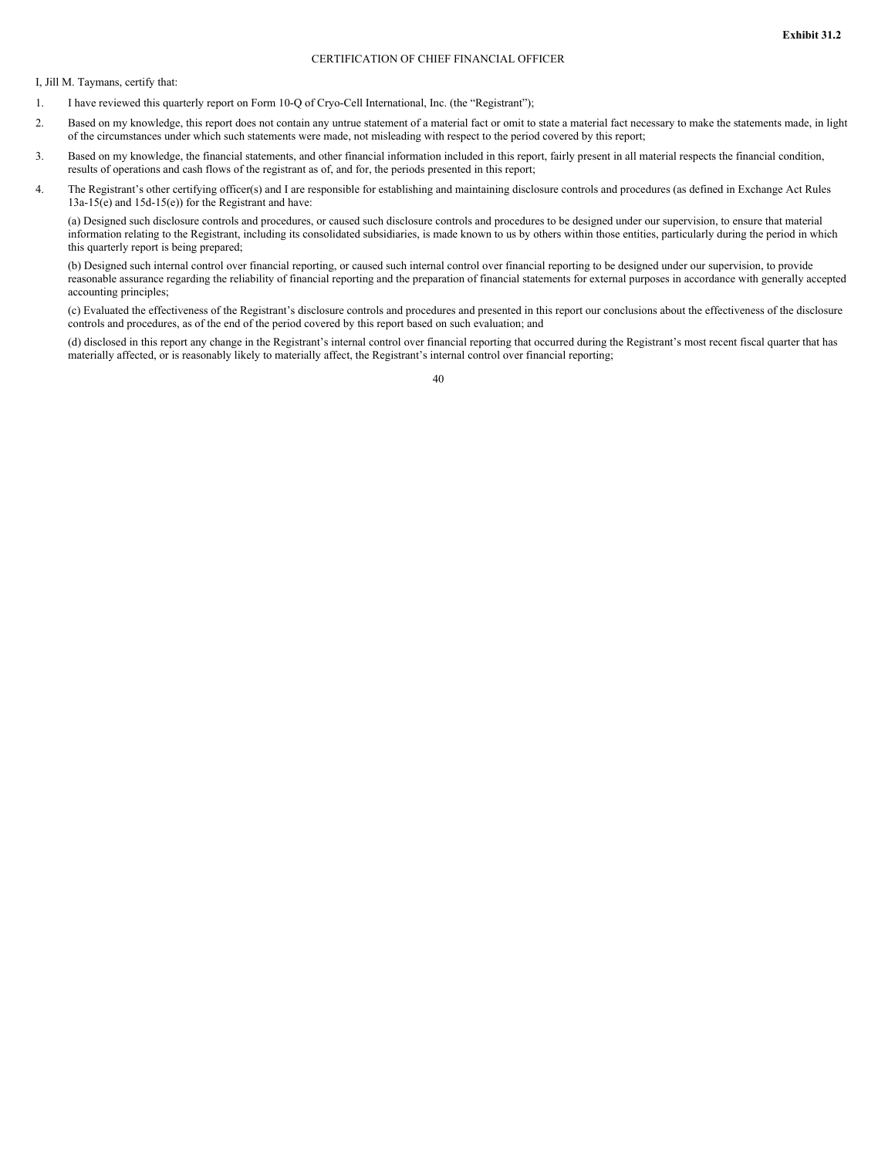# CERTIFICATION OF CHIEF FINANCIAL OFFICER

I, Jill M. Taymans, certify that:

- 1. I have reviewed this quarterly report on Form 10-Q of Cryo-Cell International, Inc. (the "Registrant");
- 2. Based on my knowledge, this report does not contain any untrue statement of a material fact or omit to state a material fact necessary to make the statements made, in light of the circumstances under which such statements were made, not misleading with respect to the period covered by this report;
- 3. Based on my knowledge, the financial statements, and other financial information included in this report, fairly present in all material respects the financial condition, results of operations and cash flows of the registrant as of, and for, the periods presented in this report;
- 4. The Registrant's other certifying officer(s) and I are responsible for establishing and maintaining disclosure controls and procedures (as defined in Exchange Act Rules 13a-15(e) and 15d-15(e)) for the Registrant and have:

(a) Designed such disclosure controls and procedures, or caused such disclosure controls and procedures to be designed under our supervision, to ensure that material information relating to the Registrant, including its consolidated subsidiaries, is made known to us by others within those entities, particularly during the period in which this quarterly report is being prepared;

(b) Designed such internal control over financial reporting, or caused such internal control over financial reporting to be designed under our supervision, to provide reasonable assurance regarding the reliability of financial reporting and the preparation of financial statements for external purposes in accordance with generally accepted accounting principles;

(c) Evaluated the effectiveness of the Registrant's disclosure controls and procedures and presented in this report our conclusions about the effectiveness of the disclosure controls and procedures, as of the end of the period covered by this report based on such evaluation; and

(d) disclosed in this report any change in the Registrant's internal control over financial reporting that occurred during the Registrant's most recent fiscal quarter that has materially affected, or is reasonably likely to materially affect, the Registrant's internal control over financial reporting;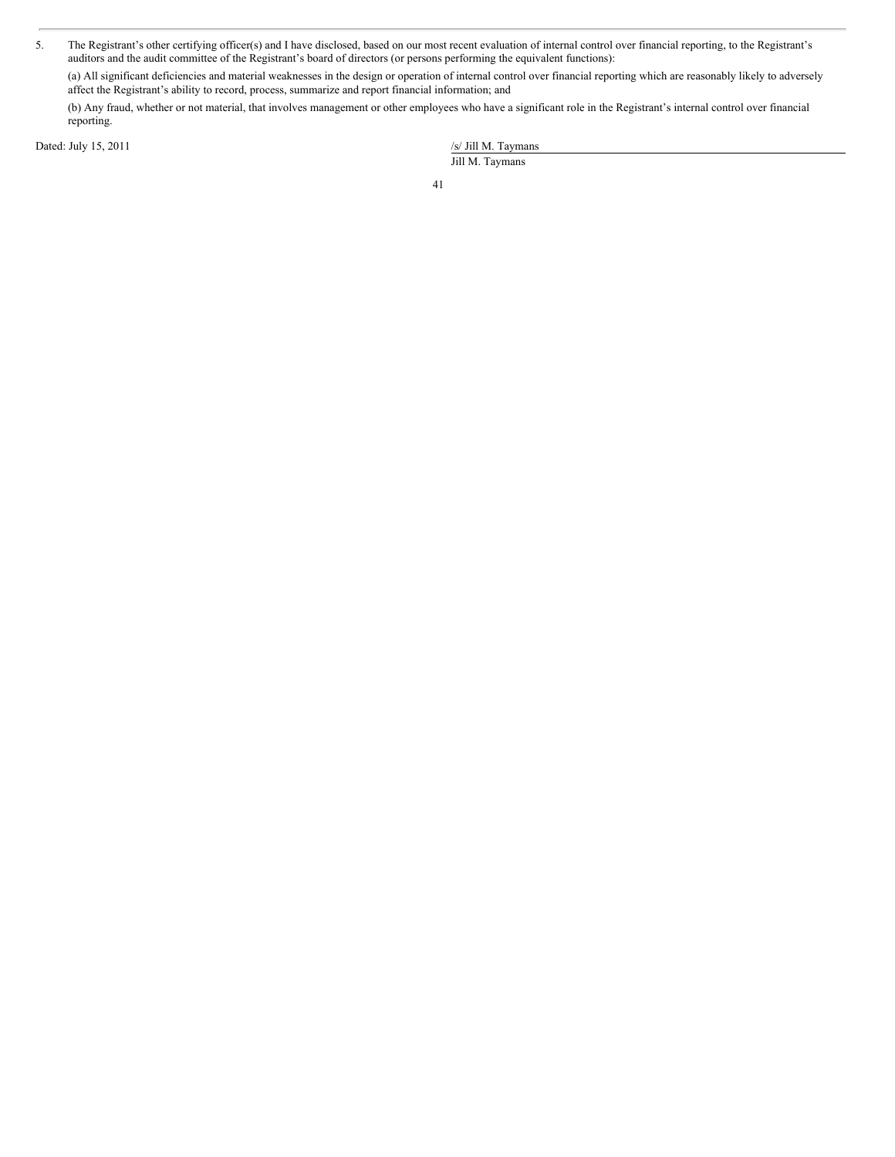5. The Registrant's other certifying officer(s) and I have disclosed, based on our most recent evaluation of internal control over financial reporting, to the Registrant's auditors and the audit committee of the Registrant's board of directors (or persons performing the equivalent functions):

(a) All significant deficiencies and material weaknesses in the design or operation of internal control over financial reporting which are reasonably likely to adversely affect the Registrant's ability to record, process, summarize and report financial information; and

(b) Any fraud, whether or not material, that involves management or other employees who have a significant role in the Registrant's internal control over financial reporting.

Dated: July 15, 2011

| /s/ Jill M. Taymans |
|---------------------|
| Jill M. Taymans     |